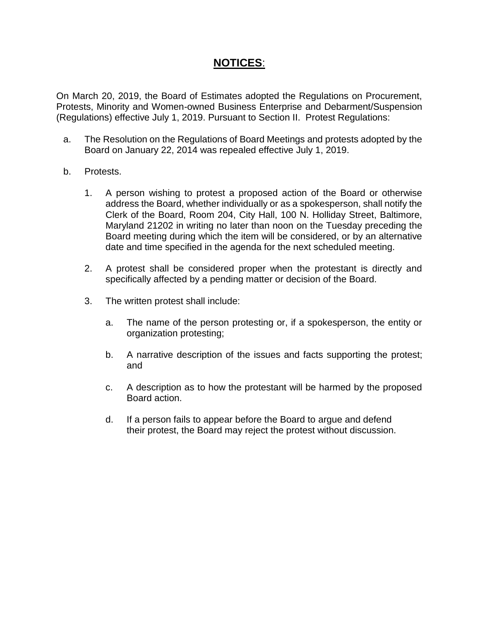# **NOTICES**:

On March 20, 2019, the Board of Estimates adopted the Regulations on Procurement, Protests, Minority and Women-owned Business Enterprise and Debarment/Suspension (Regulations) effective July 1, 2019. Pursuant to Section II. Protest Regulations:

- a. The Resolution on the Regulations of Board Meetings and protests adopted by the Board on January 22, 2014 was repealed effective July 1, 2019.
- b. Protests.
	- 1. A person wishing to protest a proposed action of the Board or otherwise address the Board, whether individually or as a spokesperson, shall notify the Clerk of the Board, Room 204, City Hall, 100 N. Holliday Street, Baltimore, Maryland 21202 in writing no later than noon on the Tuesday preceding the Board meeting during which the item will be considered, or by an alternative date and time specified in the agenda for the next scheduled meeting.
	- 2. A protest shall be considered proper when the protestant is directly and specifically affected by a pending matter or decision of the Board.
	- 3. The written protest shall include:
		- a. The name of the person protesting or, if a spokesperson, the entity or organization protesting;
		- b. A narrative description of the issues and facts supporting the protest; and
		- c. A description as to how the protestant will be harmed by the proposed Board action.
		- d. If a person fails to appear before the Board to argue and defend their protest, the Board may reject the protest without discussion.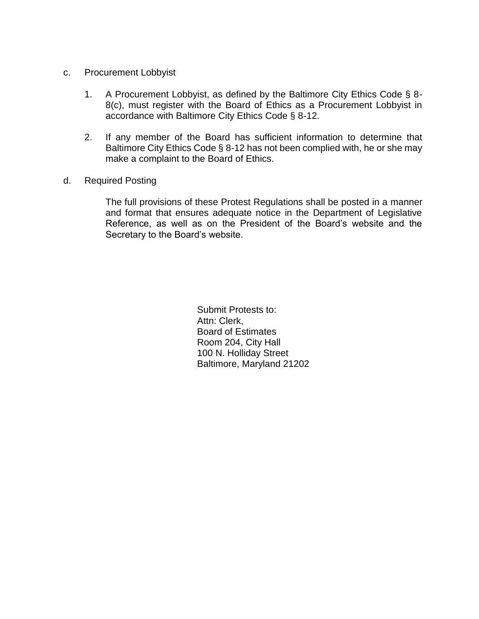- c. Procurement Lobbyist
	- 1. A Procurement Lobbyist, as defined by the Baltimore City Ethics Code § 8- 8(c), must register with the Board of Ethics as a Procurement Lobbyist in accordance with Baltimore City Ethics Code § 8-12.
	- 2. If any member of the Board has sufficient information to determine that Baltimore City Ethics Code § 8-12 has not been complied with, he or she may make a complaint to the Board of Ethics.
- d. Required Posting

The full provisions of these Protest Regulations shall be posted in a manner and format that ensures adequate notice in the Department of Legislative Reference, as well as on the President of the Board's website and the Secretary to the Board's website.

> Submit Protests to: Attn: Clerk, Board of Estimates Room 204, City Hall 100 N. Holliday Street Baltimore, Maryland 21202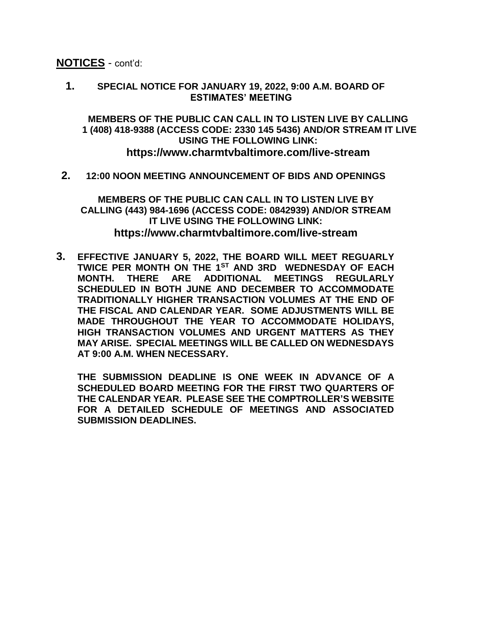**NOTICES** - cont'd:

**1. SPECIAL NOTICE FOR JANUARY 19, 2022, 9:00 A.M. BOARD OF ESTIMATES' MEETING**

**MEMBERS OF THE PUBLIC CAN CALL IN TO LISTEN LIVE BY CALLING 1 (408) 418-9388 (ACCESS CODE: 2330 145 5436) AND/OR STREAM IT LIVE USING THE FOLLOWING LINK: https://www.charmtvbaltimore.com/live-stream**

**2. 12:00 NOON MEETING ANNOUNCEMENT OF BIDS AND OPENINGS**

**MEMBERS OF THE PUBLIC CAN CALL IN TO LISTEN LIVE BY CALLING (443) 984-1696 (ACCESS CODE: 0842939) AND/OR STREAM IT LIVE USING THE FOLLOWING LINK: https://www.charmtvbaltimore.com/live-stream**

**3. EFFECTIVE JANUARY 5, 2022, THE BOARD WILL MEET REGUARLY TWICE PER MONTH ON THE 1ST AND 3RD WEDNESDAY OF EACH MONTH. THERE ARE ADDITIONAL MEETINGS REGULARLY SCHEDULED IN BOTH JUNE AND DECEMBER TO ACCOMMODATE TRADITIONALLY HIGHER TRANSACTION VOLUMES AT THE END OF THE FISCAL AND CALENDAR YEAR. SOME ADJUSTMENTS WILL BE MADE THROUGHOUT THE YEAR TO ACCOMMODATE HOLIDAYS, HIGH TRANSACTION VOLUMES AND URGENT MATTERS AS THEY MAY ARISE. SPECIAL MEETINGS WILL BE CALLED ON WEDNESDAYS AT 9:00 A.M. WHEN NECESSARY.**

**THE SUBMISSION DEADLINE IS ONE WEEK IN ADVANCE OF A SCHEDULED BOARD MEETING FOR THE FIRST TWO QUARTERS OF THE CALENDAR YEAR. PLEASE SEE THE COMPTROLLER'S WEBSITE FOR A DETAILED SCHEDULE OF MEETINGS AND ASSOCIATED SUBMISSION DEADLINES.**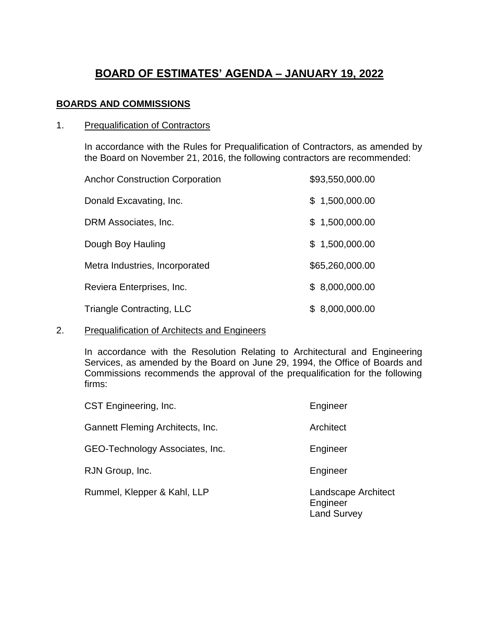# **BOARD OF ESTIMATES' AGENDA – JANUARY 19, 2022**

# **BOARDS AND COMMISSIONS**

# 1. Prequalification of Contractors

In accordance with the Rules for Prequalification of Contractors, as amended by the Board on November 21, 2016, the following contractors are recommended:

| <b>Anchor Construction Corporation</b> | \$93,550,000.00 |
|----------------------------------------|-----------------|
| Donald Excavating, Inc.                | \$1,500,000.00  |
| DRM Associates, Inc.                   | \$1,500,000.00  |
| Dough Boy Hauling                      | \$1,500,000.00  |
| Metra Industries, Incorporated         | \$65,260,000.00 |
| Reviera Enterprises, Inc.              | \$8,000,000.00  |
| <b>Triangle Contracting, LLC</b>       | \$8,000,000.00  |

# 2. Prequalification of Architects and Engineers

In accordance with the Resolution Relating to Architectural and Engineering Services, as amended by the Board on June 29, 1994, the Office of Boards and Commissions recommends the approval of the prequalification for the following firms:

| CST Engineering, Inc.            | Engineer                                              |
|----------------------------------|-------------------------------------------------------|
| Gannett Fleming Architects, Inc. | Architect                                             |
| GEO-Technology Associates, Inc.  | Engineer                                              |
| RJN Group, Inc.                  | Engineer                                              |
| Rummel, Klepper & Kahl, LLP      | Landscape Architect<br>Engineer<br><b>Land Survey</b> |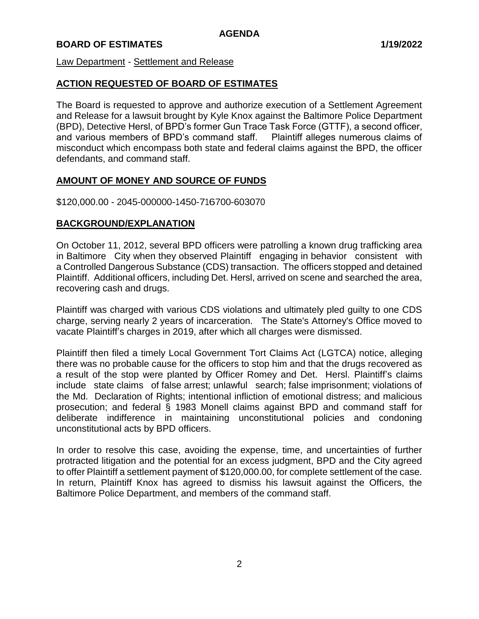Law Department - Settlement and Release

# **ACTION REQUESTED OF BOARD OF ESTIMATES**

The Board is requested to approve and authorize execution of a Settlement Agreement and Release for a lawsuit brought by Kyle Knox against the Baltimore Police Department (BPD), Detective Hersl, of BPD's former Gun Trace Task Force (GTTF), a second officer, and various members of BPD's command staff. Plaintiff alleges numerous claims of misconduct which encompass both state and federal claims against the BPD, the officer defendants, and command staff.

# **AMOUNT OF MONEY AND SOURCE OF FUNDS**

\$120,000.00 - 2045-000000-1450-716700-603070

# **BACKGROUND/EXPLANATION**

On October 11, 2012, several BPD officers were patrolling a known drug trafficking area in Baltimore City when they observed Plaintiff engaging in behavior consistent with a Controlled Dangerous Substance (CDS) transaction. The officers stopped and detained Plaintiff. Additional officers, including Det. Hersl, arrived on scene and searched the area, recovering cash and drugs.

Plaintiff was charged with various CDS violations and ultimately pled guilty to one CDS charge, serving nearly 2 years of incarceration. The State's Attorney's Office moved to vacate Plaintiff's charges in 2019, after which all charges were dismissed.

Plaintiff then filed a timely Local Government Tort Claims Act (LGTCA) notice, alleging there was no probable cause for the officers to stop him and that the drugs recovered as a result of the stop were planted by Officer Romey and Det. Hersl. Plaintiff's claims include state claims of false arrest; unlawful search; false imprisonment; violations of the Md. Declaration of Rights; intentional infliction of emotional distress; and malicious prosecution; and federal § 1983 Monell claims against BPD and command staff for deliberate indifference in maintaining unconstitutional policies and condoning unconstitutional acts by BPD officers.

In order to resolve this case, avoiding the expense, time, and uncertainties of further protracted litigation and the potential for an excess judgment, BPD and the City agreed to offer Plaintiff a settlement payment of \$120,000.00, for complete settlement of the case. In return, Plaintiff Knox has agreed to dismiss his lawsuit against the Officers, the Baltimore Police Department, and members of the command staff.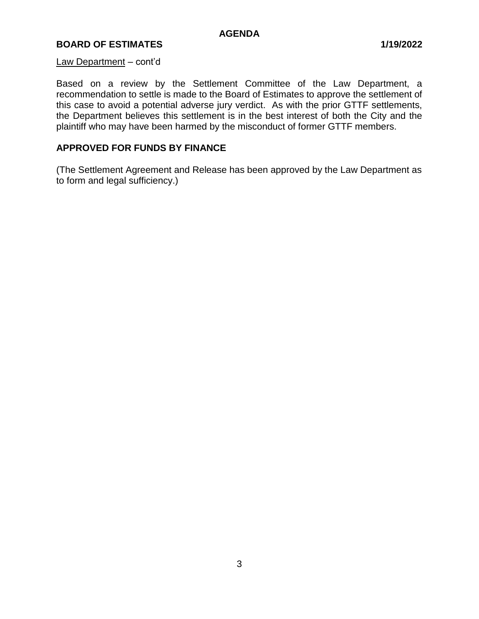### **BOARD OF ESTIMATES 1/19/2022**

#### Law Department – cont'd

Based on a review by the Settlement Committee of the Law Department, a recommendation to settle is made to the Board of Estimates to approve the settlement of this case to avoid a potential adverse jury verdict. As with the prior GTTF settlements, the Department believes this settlement is in the best interest of both the City and the plaintiff who may have been harmed by the misconduct of former GTTF members.

# **APPROVED FOR FUNDS BY FINANCE**

(The Settlement Agreement and Release has been approved by the Law Department as to form and legal sufficiency.)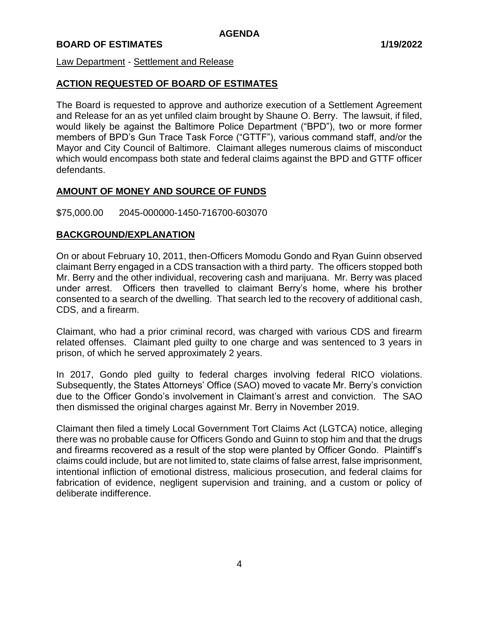#### Law Department - Settlement and Release

# **ACTION REQUESTED OF BOARD OF ESTIMATES**

The Board is requested to approve and authorize execution of a Settlement Agreement and Release for an as yet unfiled claim brought by Shaune O. Berry. The lawsuit, if filed, would likely be against the Baltimore Police Department ("BPD"), two or more former members of BPD's Gun Trace Task Force ("GTTF"), various command staff, and/or the Mayor and City Council of Baltimore. Claimant alleges numerous claims of misconduct which would encompass both state and federal claims against the BPD and GTTF officer defendants.

# **AMOUNT OF MONEY AND SOURCE OF FUNDS**

\$75,000.00 2045-000000-1450-716700-603070

# **BACKGROUND/EXPLANATION**

On or about February 10, 2011, then-Officers Momodu Gondo and Ryan Guinn observed claimant Berry engaged in a CDS transaction with a third party. The officers stopped both Mr. Berry and the other individual, recovering cash and marijuana. Mr. Berry was placed under arrest. Officers then travelled to claimant Berry's home, where his brother consented to a search of the dwelling. That search led to the recovery of additional cash, CDS, and a firearm.

Claimant, who had a prior criminal record, was charged with various CDS and firearm related offenses. Claimant pled guilty to one charge and was sentenced to 3 years in prison, of which he served approximately 2 years.

In 2017, Gondo pled guilty to federal charges involving federal RICO violations. Subsequently, the States Attorneys' Office (SAO) moved to vacate Mr. Berry's conviction due to the Officer Gondo's involvement in Claimant's arrest and conviction. The SAO then dismissed the original charges against Mr. Berry in November 2019.

Claimant then filed a timely Local Government Tort Claims Act (LGTCA) notice, alleging there was no probable cause for Officers Gondo and Guinn to stop him and that the drugs and firearms recovered as a result of the stop were planted by Officer Gondo. Plaintiff's claims could include, but are not limited to, state claims of false arrest, false imprisonment, intentional infliction of emotional distress, malicious prosecution, and federal claims for fabrication of evidence, negligent supervision and training, and a custom or policy of deliberate indifference.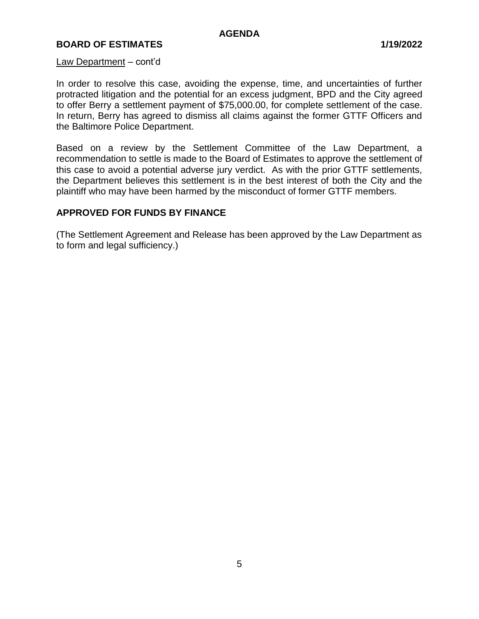#### **BOARD OF ESTIMATES 1/19/2022**

#### Law Department – cont'd

In order to resolve this case, avoiding the expense, time, and uncertainties of further protracted litigation and the potential for an excess judgment, BPD and the City agreed to offer Berry a settlement payment of \$75,000.00, for complete settlement of the case. In return, Berry has agreed to dismiss all claims against the former GTTF Officers and the Baltimore Police Department.

Based on a review by the Settlement Committee of the Law Department, a recommendation to settle is made to the Board of Estimates to approve the settlement of this case to avoid a potential adverse jury verdict. As with the prior GTTF settlements, the Department believes this settlement is in the best interest of both the City and the plaintiff who may have been harmed by the misconduct of former GTTF members.

#### **APPROVED FOR FUNDS BY FINANCE**

(The Settlement Agreement and Release has been approved by the Law Department as to form and legal sufficiency.)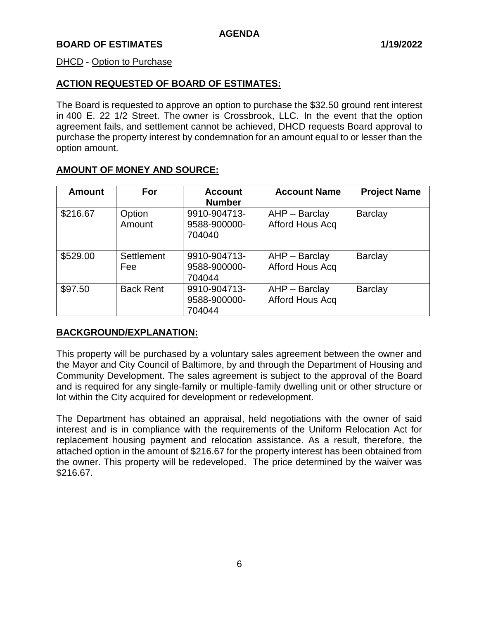#### DHCD - Option to Purchase

# **ACTION REQUESTED OF BOARD OF ESTIMATES:**

The Board is requested to approve an option to purchase the \$32.50 ground rent interest in 400 E. 22 1/2 Street. The owner is Crossbrook, LLC. In the event that the option agreement fails, and settlement cannot be achieved, DHCD requests Board approval to purchase the property interest by condemnation for an amount equal to or lesser than the option amount.

# **AMOUNT OF MONEY AND SOURCE:**

| <b>Amount</b> | For               | <b>Account</b><br><b>Number</b>        | <b>Account Name</b>                | <b>Project Name</b> |
|---------------|-------------------|----------------------------------------|------------------------------------|---------------------|
| \$216.67      | Option<br>Amount  | 9910-904713-<br>9588-900000-<br>704040 | $AHP - Barclay$<br>Afford Hous Acq | <b>Barclay</b>      |
| \$529.00      | Settlement<br>Fee | 9910-904713-<br>9588-900000-<br>704044 | AHP - Barclay<br>Afford Hous Acq   | <b>Barclay</b>      |
| \$97.50       | <b>Back Rent</b>  | 9910-904713-<br>9588-900000-<br>704044 | $AHP - Barclay$<br>Afford Hous Acq | <b>Barclay</b>      |

# **BACKGROUND/EXPLANATION:**

This property will be purchased by a voluntary sales agreement between the owner and the Mayor and City Council of Baltimore, by and through the Department of Housing and Community Development. The sales agreement is subject to the approval of the Board and is required for any single-family or multiple-family dwelling unit or other structure or lot within the City acquired for development or redevelopment.

The Department has obtained an appraisal, held negotiations with the owner of said interest and is in compliance with the requirements of the Uniform Relocation Act for replacement housing payment and relocation assistance. As a result, therefore, the attached option in the amount of \$216.67 for the property interest has been obtained from the owner. This property will be redeveloped. The price determined by the waiver was \$216.67.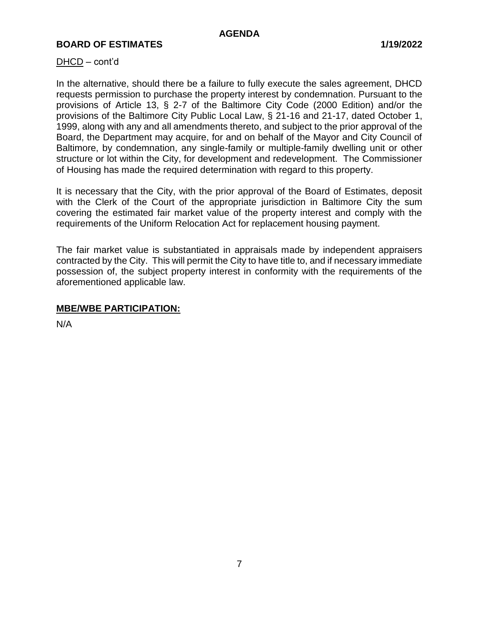#### DHCD – cont'd

In the alternative, should there be a failure to fully execute the sales agreement, DHCD requests permission to purchase the property interest by condemnation. Pursuant to the provisions of Article 13, § 2-7 of the Baltimore City Code (2000 Edition) and/or the provisions of the Baltimore City Public Local Law, § 21-16 and 21-17, dated October 1, 1999, along with any and all amendments thereto, and subject to the prior approval of the Board, the Department may acquire, for and on behalf of the Mayor and City Council of Baltimore, by condemnation, any single-family or multiple-family dwelling unit or other structure or lot within the City, for development and redevelopment. The Commissioner of Housing has made the required determination with regard to this property.

It is necessary that the City, with the prior approval of the Board of Estimates, deposit with the Clerk of the Court of the appropriate jurisdiction in Baltimore City the sum covering the estimated fair market value of the property interest and comply with the requirements of the Uniform Relocation Act for replacement housing payment.

The fair market value is substantiated in appraisals made by independent appraisers contracted by the City. This will permit the City to have title to, and if necessary immediate possession of, the subject property interest in conformity with the requirements of the aforementioned applicable law.

#### **MBE/WBE PARTICIPATION:**

N/A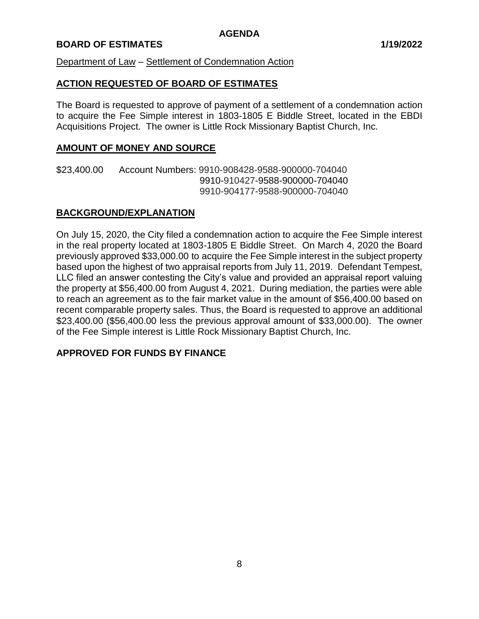Department of Law – Settlement of Condemnation Action

#### **ACTION REQUESTED OF BOARD OF ESTIMATES**

The Board is requested to approve of payment of a settlement of a condemnation action to acquire the Fee Simple interest in 1803-1805 E Biddle Street, located in the EBDI Acquisitions Project. The owner is Little Rock Missionary Baptist Church, Inc.

#### **AMOUNT OF MONEY AND SOURCE**

\$23,400.00 Account Numbers: 9910-908428-9588-900000-704040 9910-910427-9588-900000-704040 9910-904177-9588-900000-704040

# **BACKGROUND/EXPLANATION**

On July 15, 2020, the City filed a condemnation action to acquire the Fee Simple interest in the real property located at 1803-1805 E Biddle Street. On March 4, 2020 the Board previously approved \$33,000.00 to acquire the Fee Simple interest in the subject property based upon the highest of two appraisal reports from July 11, 2019. Defendant Tempest, LLC filed an answer contesting the City's value and provided an appraisal report valuing the property at \$56,400.00 from August 4, 2021. During mediation, the parties were able to reach an agreement as to the fair market value in the amount of \$56,400.00 based on recent comparable property sales. Thus, the Board is requested to approve an additional \$23,400.00 (\$56,400.00 less the previous approval amount of \$33,000.00). The owner of the Fee Simple interest is Little Rock Missionary Baptist Church, Inc.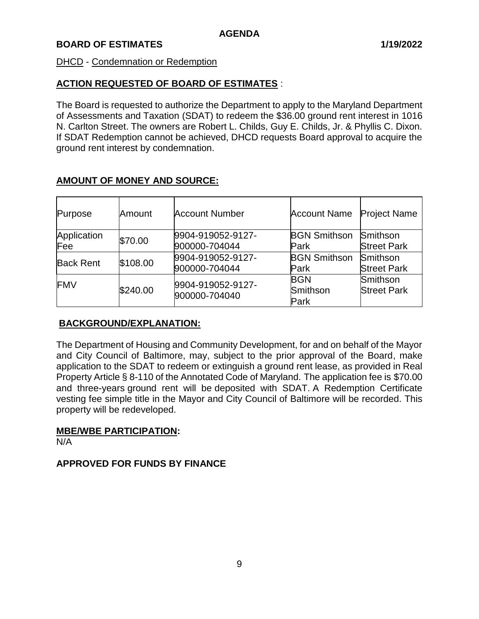#### DHCD - Condemnation or Redemption

# **ACTION REQUESTED OF BOARD OF ESTIMATES** :

The Board is requested to authorize the Department to apply to the Maryland Department of Assessments and Taxation (SDAT) to redeem the \$36.00 ground rent interest in 1016 N. Carlton Street. The owners are Robert L. Childs, Guy E. Childs, Jr. & Phyllis C. Dixon. If SDAT Redemption cannot be achieved, DHCD requests Board approval to acquire the ground rent interest by condemnation.

| Purpose            | Amount   | <b>Account Number</b>              | <b>Account Name</b>            | <b>Project Name</b>            |
|--------------------|----------|------------------------------------|--------------------------------|--------------------------------|
| Application<br>Fee | \$70.00  | 9904-919052-9127-<br>900000-704044 | <b>BGN Smithson</b><br>Park    | Smithson<br><b>Street Park</b> |
| <b>Back Rent</b>   | \$108.00 | 9904-919052-9127-<br>900000-704044 | <b>BGN Smithson</b><br>Park    | Smithson<br><b>Street Park</b> |
| <b>FMV</b>         | \$240.00 | 9904-919052-9127-<br>900000-704040 | <b>BGN</b><br>Smithson<br>Park | Smithson<br><b>Street Park</b> |

# **AMOUNT OF MONEY AND SOURCE:**

# **BACKGROUND/EXPLANATION:**

The Department of Housing and Community Development, for and on behalf of the Mayor and City Council of Baltimore, may, subject to the prior approval of the Board, make application to the SDAT to redeem or extinguish a ground rent lease, as provided in Real Property Article § 8-110 of the Annotated Code of Maryland. The application fee is \$70.00 and three-years ground rent will be deposited with SDAT. A Redemption Certificate vesting fee simple title in the Mayor and City Council of Baltimore will be recorded. This property will be redeveloped.

#### **MBE/WBE PARTICIPATION:**

N/A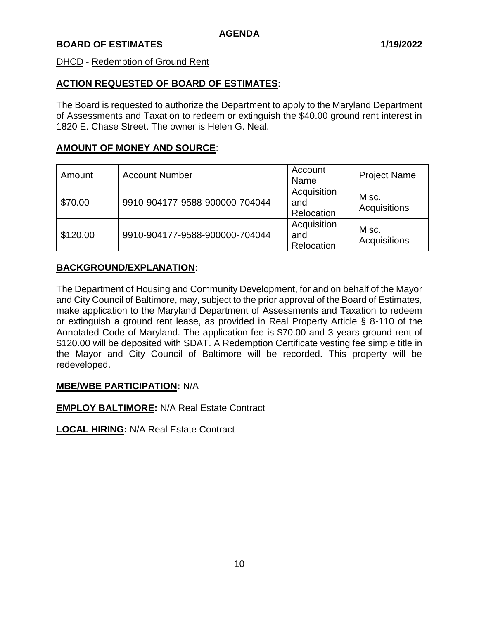#### DHCD - Redemption of Ground Rent

#### **ACTION REQUESTED OF BOARD OF ESTIMATES**:

The Board is requested to authorize the Department to apply to the Maryland Department of Assessments and Taxation to redeem or extinguish the \$40.00 ground rent interest in 1820 E. Chase Street. The owner is Helen G. Neal.

#### **AMOUNT OF MONEY AND SOURCE**:

| Amount   | <b>Account Number</b>          | Account<br>Name                  | <b>Project Name</b>   |
|----------|--------------------------------|----------------------------------|-----------------------|
| \$70.00  | 9910-904177-9588-900000-704044 | Acquisition<br>and<br>Relocation | Misc.<br>Acquisitions |
| \$120.00 | 9910-904177-9588-900000-704044 | Acquisition<br>and<br>Relocation | Misc.<br>Acquisitions |

# **BACKGROUND/EXPLANATION**:

The Department of Housing and Community Development, for and on behalf of the Mayor and City Council of Baltimore, may, subject to the prior approval of the Board of Estimates, make application to the Maryland Department of Assessments and Taxation to redeem or extinguish a ground rent lease, as provided in Real Property Article § 8-110 of the Annotated Code of Maryland. The application fee is \$70.00 and 3-years ground rent of \$120.00 will be deposited with SDAT. A Redemption Certificate vesting fee simple title in the Mayor and City Council of Baltimore will be recorded. This property will be redeveloped.

#### **MBE/WBE PARTICIPATION:** N/A

**EMPLOY BALTIMORE:** N/A Real Estate Contract

**LOCAL HIRING:** N/A Real Estate Contract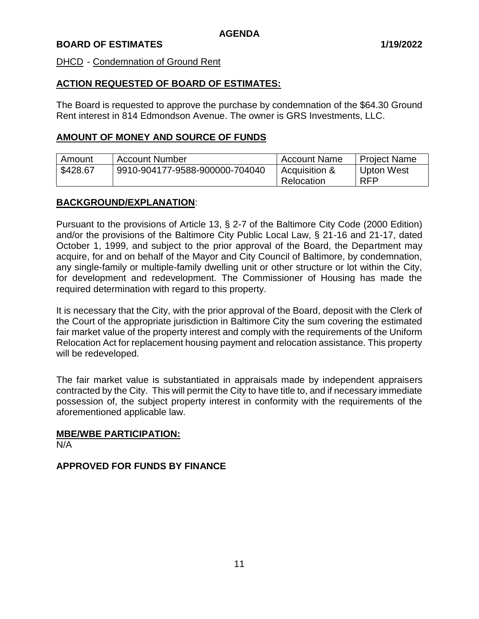#### DHCD - Condemnation of Ground Rent

#### **ACTION REQUESTED OF BOARD OF ESTIMATES:**

The Board is requested to approve the purchase by condemnation of the \$64.30 Ground Rent interest in 814 Edmondson Avenue. The owner is GRS Investments, LLC.

#### **AMOUNT OF MONEY AND SOURCE OF FUNDS**

| Amount   | <b>Account Number</b>          | <b>Account Name</b> | <b>Project Name</b> |
|----------|--------------------------------|---------------------|---------------------|
| \$428.67 | 9910-904177-9588-900000-704040 | Acquisition &       | Upton West          |
|          |                                | Relocation          | <b>RFP</b>          |

#### **BACKGROUND/EXPLANATION**:

Pursuant to the provisions of Article 13, § 2-7 of the Baltimore City Code (2000 Edition) and/or the provisions of the Baltimore City Public Local Law, § 21-16 and 21-17, dated October 1, 1999, and subject to the prior approval of the Board, the Department may acquire, for and on behalf of the Mayor and City Council of Baltimore, by condemnation, any single-family or multiple-family dwelling unit or other structure or lot within the City, for development and redevelopment. The Commissioner of Housing has made the required determination with regard to this property.

It is necessary that the City, with the prior approval of the Board, deposit with the Clerk of the Court of the appropriate jurisdiction in Baltimore City the sum covering the estimated fair market value of the property interest and comply with the requirements of the Uniform Relocation Act for replacement housing payment and relocation assistance. This property will be redeveloped.

The fair market value is substantiated in appraisals made by independent appraisers contracted by the City. This will permit the City to have title to, and if necessary immediate possession of, the subject property interest in conformity with the requirements of the aforementioned applicable law.

#### **MBE/WBE PARTICIPATION:**

N/A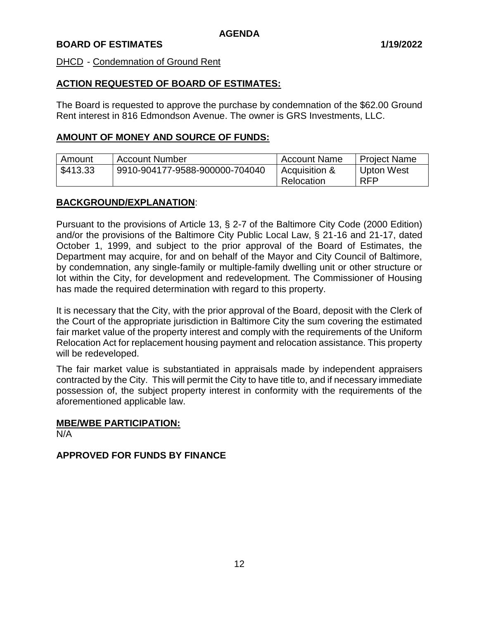#### DHCD - Condemnation of Ground Rent

#### **ACTION REQUESTED OF BOARD OF ESTIMATES:**

The Board is requested to approve the purchase by condemnation of the \$62.00 Ground Rent interest in 816 Edmondson Avenue. The owner is GRS Investments, LLC.

#### **AMOUNT OF MONEY AND SOURCE OF FUNDS:**

| Amount   | <b>Account Number</b>          | <b>Account Name</b> | <b>Project Name</b> |
|----------|--------------------------------|---------------------|---------------------|
| \$413.33 | 9910-904177-9588-900000-704040 | Acquisition &       | Upton West          |
|          |                                | Relocation          | <b>RFP</b>          |

#### **BACKGROUND/EXPLANATION**:

Pursuant to the provisions of Article 13, § 2-7 of the Baltimore City Code (2000 Edition) and/or the provisions of the Baltimore City Public Local Law, § 21-16 and 21-17, dated October 1, 1999, and subject to the prior approval of the Board of Estimates, the Department may acquire, for and on behalf of the Mayor and City Council of Baltimore, by condemnation, any single-family or multiple-family dwelling unit or other structure or lot within the City, for development and redevelopment. The Commissioner of Housing has made the required determination with regard to this property.

It is necessary that the City, with the prior approval of the Board, deposit with the Clerk of the Court of the appropriate jurisdiction in Baltimore City the sum covering the estimated fair market value of the property interest and comply with the requirements of the Uniform Relocation Act for replacement housing payment and relocation assistance. This property will be redeveloped.

The fair market value is substantiated in appraisals made by independent appraisers contracted by the City. This will permit the City to have title to, and if necessary immediate possession of, the subject property interest in conformity with the requirements of the aforementioned applicable law.

#### **MBE/WBE PARTICIPATION:**

N/A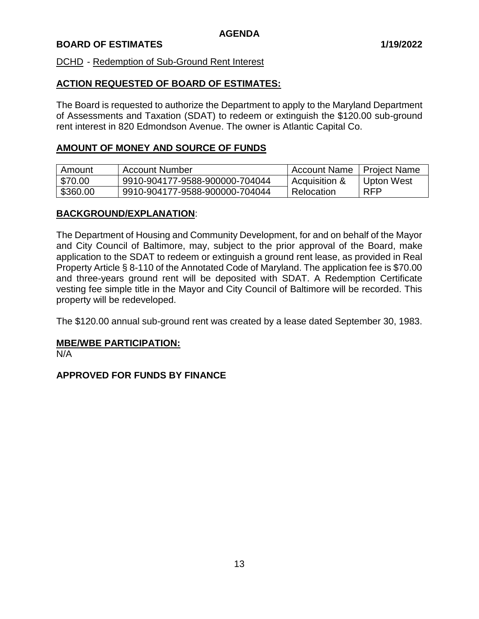#### DCHD - Redemption of Sub-Ground Rent Interest

# **ACTION REQUESTED OF BOARD OF ESTIMATES:**

The Board is requested to authorize the Department to apply to the Maryland Department of Assessments and Taxation (SDAT) to redeem or extinguish the \$120.00 sub-ground rent interest in 820 Edmondson Avenue. The owner is Atlantic Capital Co.

# **AMOUNT OF MONEY AND SOURCE OF FUNDS**

| Amount   | <b>Account Number</b>          | <b>Account Name</b> | Project Name |
|----------|--------------------------------|---------------------|--------------|
| \$70.00  | 9910-904177-9588-900000-704044 | Acquisition &       | Upton West   |
| \$360.00 | 9910-904177-9588-900000-704044 | Relocation          | <b>RFP</b>   |

#### **BACKGROUND/EXPLANATION**:

The Department of Housing and Community Development, for and on behalf of the Mayor and City Council of Baltimore, may, subject to the prior approval of the Board, make application to the SDAT to redeem or extinguish a ground rent lease, as provided in Real Property Article § 8-110 of the Annotated Code of Maryland. The application fee is \$70.00 and three-years ground rent will be deposited with SDAT. A Redemption Certificate vesting fee simple title in the Mayor and City Council of Baltimore will be recorded. This property will be redeveloped.

The \$120.00 annual sub-ground rent was created by a lease dated September 30, 1983.

#### **MBE/WBE PARTICIPATION:**

N/A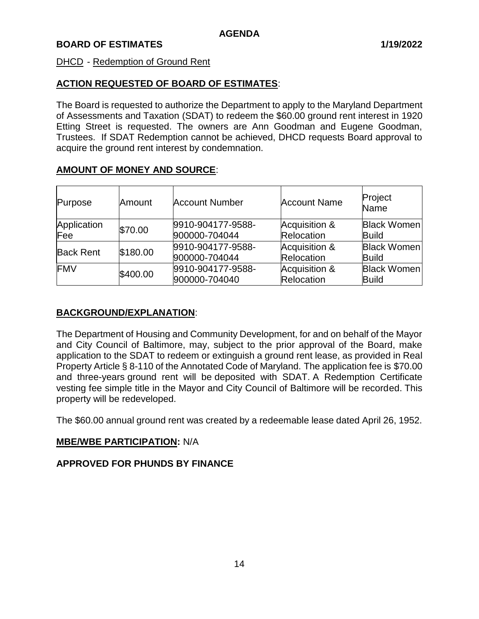#### DHCD - Redemption of Ground Rent

# **ACTION REQUESTED OF BOARD OF ESTIMATES**:

The Board is requested to authorize the Department to apply to the Maryland Department of Assessments and Taxation (SDAT) to redeem the \$60.00 ground rent interest in 1920 Etting Street is requested. The owners are Ann Goodman and Eugene Goodman, Trustees. If SDAT Redemption cannot be achieved, DHCD requests Board approval to acquire the ground rent interest by condemnation.

# **AMOUNT OF MONEY AND SOURCE**:

| Purpose            | Amount   | <b>Account Number</b>              | <b>Account Name</b>         | Project<br><b>Name</b>             |
|--------------------|----------|------------------------------------|-----------------------------|------------------------------------|
| Application<br>Fee | \$70.00  | 9910-904177-9588-<br>900000-704044 | Acquisition &<br>Relocation | <b>Black Women</b><br><b>Build</b> |
| <b>Back Rent</b>   | \$180.00 | 9910-904177-9588-<br>900000-704044 | Acquisition &<br>Relocation | <b>Black Women</b><br><b>Build</b> |
| <b>FMV</b>         | \$400.00 | 9910-904177-9588-<br>900000-704040 | Acquisition &<br>Relocation | <b>Black Women</b><br><b>Build</b> |

# **BACKGROUND/EXPLANATION**:

The Department of Housing and Community Development, for and on behalf of the Mayor and City Council of Baltimore, may, subject to the prior approval of the Board, make application to the SDAT to redeem or extinguish a ground rent lease, as provided in Real Property Article § 8-110 of the Annotated Code of Maryland. The application fee is \$70.00 and three-years ground rent will be deposited with SDAT. A Redemption Certificate vesting fee simple title in the Mayor and City Council of Baltimore will be recorded. This property will be redeveloped.

The \$60.00 annual ground rent was created by a redeemable lease dated April 26, 1952.

# **MBE/WBE PARTICIPATION:** N/A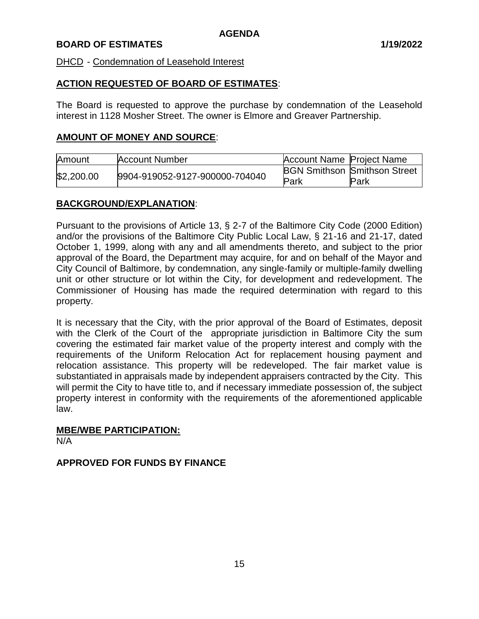#### DHCD - Condemnation of Leasehold Interest

#### **ACTION REQUESTED OF BOARD OF ESTIMATES**:

The Board is requested to approve the purchase by condemnation of the Leasehold interest in 1128 Mosher Street. The owner is Elmore and Greaver Partnership.

#### **AMOUNT OF MONEY AND SOURCE**:

| Amount     | <b>Account Number</b>          | Account Name Project Name |                                     |
|------------|--------------------------------|---------------------------|-------------------------------------|
| \$2,200.00 | 9904-919052-9127-900000-704040 |                           | <b>BGN Smithson Smithson Street</b> |
|            | Park                           | Park                      |                                     |

#### **BACKGROUND/EXPLANATION**:

Pursuant to the provisions of Article 13, § 2-7 of the Baltimore City Code (2000 Edition) and/or the provisions of the Baltimore City Public Local Law, § 21-16 and 21-17, dated October 1, 1999, along with any and all amendments thereto, and subject to the prior approval of the Board, the Department may acquire, for and on behalf of the Mayor and City Council of Baltimore, by condemnation, any single-family or multiple-family dwelling unit or other structure or lot within the City, for development and redevelopment. The Commissioner of Housing has made the required determination with regard to this property.

It is necessary that the City, with the prior approval of the Board of Estimates, deposit with the Clerk of the Court of the appropriate jurisdiction in Baltimore City the sum covering the estimated fair market value of the property interest and comply with the requirements of the Uniform Relocation Act for replacement housing payment and relocation assistance. This property will be redeveloped. The fair market value is substantiated in appraisals made by independent appraisers contracted by the City. This will permit the City to have title to, and if necessary immediate possession of, the subject property interest in conformity with the requirements of the aforementioned applicable law.

# **MBE/WBE PARTICIPATION:**

N/A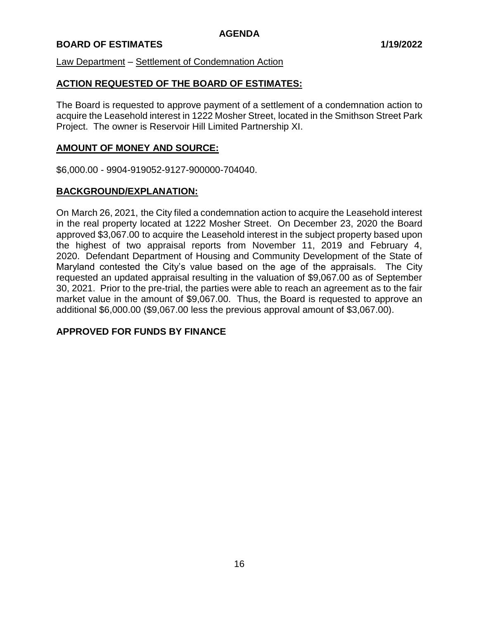Law Department – Settlement of Condemnation Action

# **ACTION REQUESTED OF THE BOARD OF ESTIMATES:**

The Board is requested to approve payment of a settlement of a condemnation action to acquire the Leasehold interest in 1222 Mosher Street, located in the Smithson Street Park Project. The owner is Reservoir Hill Limited Partnership XI.

# **AMOUNT OF MONEY AND SOURCE:**

\$6,000.00 - 9904-919052-9127-900000-704040.

# **BACKGROUND/EXPLANATION:**

On March 26, 2021, the City filed a condemnation action to acquire the Leasehold interest in the real property located at 1222 Mosher Street. On December 23, 2020 the Board approved \$3,067.00 to acquire the Leasehold interest in the subject property based upon the highest of two appraisal reports from November 11, 2019 and February 4, 2020. Defendant Department of Housing and Community Development of the State of Maryland contested the City's value based on the age of the appraisals. The City requested an updated appraisal resulting in the valuation of \$9,067.00 as of September 30, 2021. Prior to the pre-trial, the parties were able to reach an agreement as to the fair market value in the amount of \$9,067.00. Thus, the Board is requested to approve an additional \$6,000.00 (\$9,067.00 less the previous approval amount of \$3,067.00).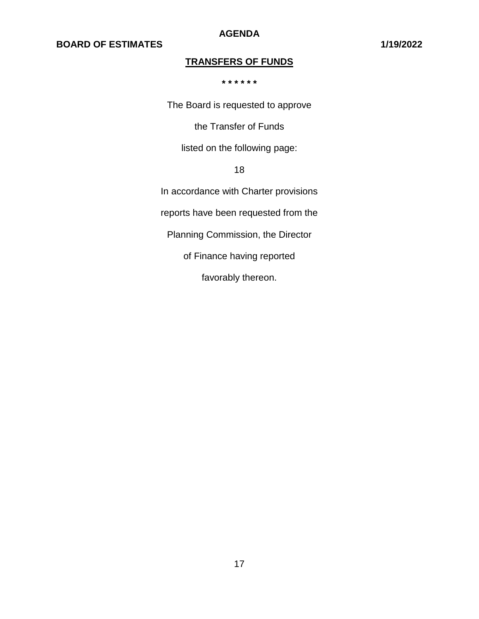**AGENDA**

# **TRANSFERS OF FUNDS**

**\* \* \* \* \* \***

The Board is requested to approve

the Transfer of Funds

listed on the following page:

18

In accordance with Charter provisions

reports have been requested from the

Planning Commission, the Director

of Finance having reported

favorably thereon.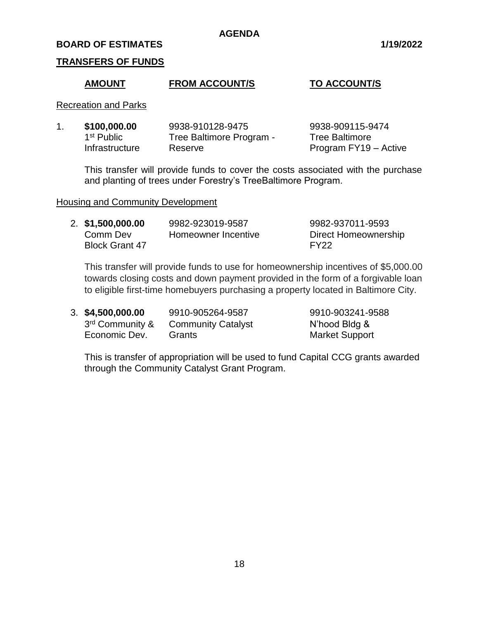#### **BOARD OF ESTIMATES 1/19/2022**

#### **TRANSFERS OF FUNDS**

#### **AMOUNT FROM ACCOUNT/S TO ACCOUNT/S**

Recreation and Parks

| \$100,000.00           | 9938-910128-9475         | 9938-909115-9474      |
|------------------------|--------------------------|-----------------------|
| 1 <sup>st</sup> Public | Tree Baltimore Program - | <b>Tree Baltimore</b> |
| Infrastructure         | Reserve                  | Program FY19 - Active |

This transfer will provide funds to cover the costs associated with the purchase and planting of trees under Forestry's TreeBaltimore Program.

#### Housing and Community Development

| 2. \$1,500,000.00     | 9982-923019-9587    | 9982-937011-9593     |
|-----------------------|---------------------|----------------------|
| Comm Dev              | Homeowner Incentive | Direct Homeownership |
| <b>Block Grant 47</b> |                     | FY22                 |

This transfer will provide funds to use for homeownership incentives of \$5,000.00 towards closing costs and down payment provided in the form of a forgivable loan to eligible first-time homebuyers purchasing a property located in Baltimore City.

3rd Community &

3. **\$4,500,000.00** 9910-905264-9587 9910-903241-9588 Community Catalyst N'hood Bldg & Economic Dev. Grants **Grants** Market Support

This is transfer of appropriation will be used to fund Capital CCG grants awarded through the Community Catalyst Grant Program.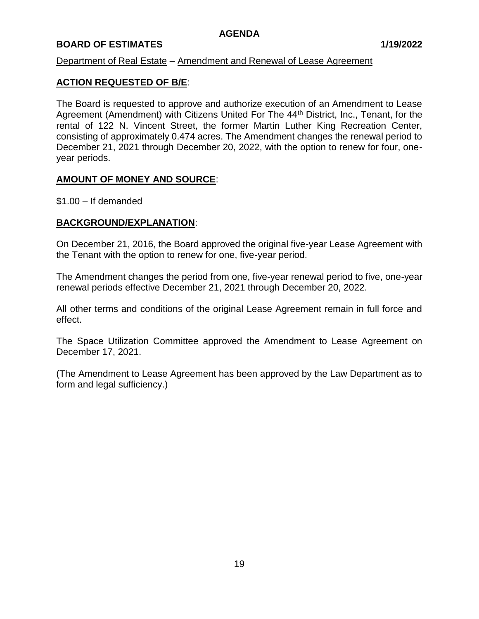# **BOARD OF ESTIMATES 1/19/2022**

### Department of Real Estate – Amendment and Renewal of Lease Agreement

# **ACTION REQUESTED OF B/E**:

The Board is requested to approve and authorize execution of an Amendment to Lease Agreement (Amendment) with Citizens United For The 44<sup>th</sup> District, Inc., Tenant, for the rental of 122 N. Vincent Street, the former Martin Luther King Recreation Center, consisting of approximately 0.474 acres. The Amendment changes the renewal period to December 21, 2021 through December 20, 2022, with the option to renew for four, oneyear periods.

# **AMOUNT OF MONEY AND SOURCE**:

\$1.00 – If demanded

# **BACKGROUND/EXPLANATION**:

On December 21, 2016, the Board approved the original five-year Lease Agreement with the Tenant with the option to renew for one, five-year period.

The Amendment changes the period from one, five-year renewal period to five, one-year renewal periods effective December 21, 2021 through December 20, 2022.

All other terms and conditions of the original Lease Agreement remain in full force and effect.

The Space Utilization Committee approved the Amendment to Lease Agreement on December 17, 2021.

(The Amendment to Lease Agreement has been approved by the Law Department as to form and legal sufficiency.)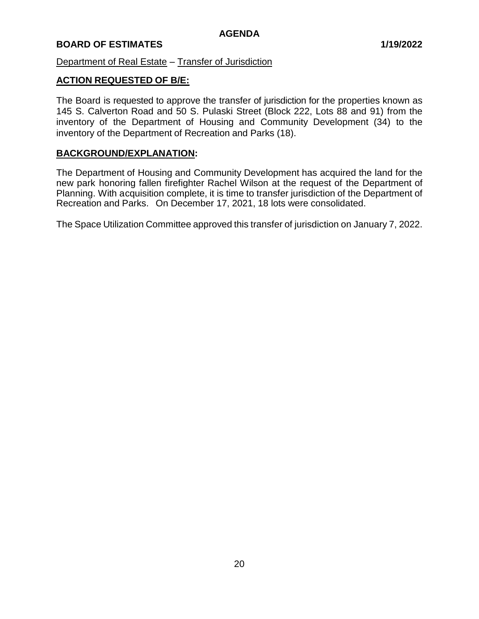# Department of Real Estate – Transfer of Jurisdiction

# **ACTION REQUESTED OF B/E:**

The Board is requested to approve the transfer of jurisdiction for the properties known as 145 S. Calverton Road and 50 S. Pulaski Street (Block 222, Lots 88 and 91) from the inventory of the Department of Housing and Community Development (34) to the inventory of the Department of Recreation and Parks (18).

#### **BACKGROUND/EXPLANATION:**

The Department of Housing and Community Development has acquired the land for the new park honoring fallen firefighter Rachel Wilson at the request of the Department of Planning. With acquisition complete, it is time to transfer jurisdiction of the Department of Recreation and Parks. On December 17, 2021, 18 lots were consolidated.

The Space Utilization Committee approved this transfer of jurisdiction on January 7, 2022.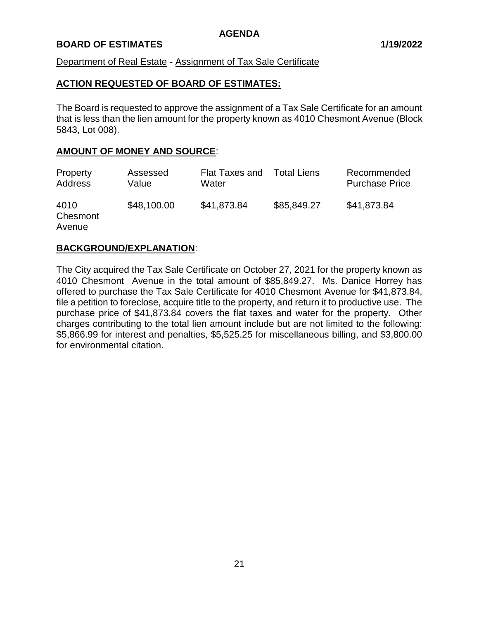#### **BOARD OF ESTIMATES 1/19/2022**

Department of Real Estate - Assignment of Tax Sale Certificate

#### **ACTION REQUESTED OF BOARD OF ESTIMATES:**

The Board is requested to approve the assignment of a Tax Sale Certificate for an amount that is less than the lien amount for the property known as 4010 Chesmont Avenue (Block 5843, Lot 008).

# **AMOUNT OF MONEY AND SOURCE**:

| Property                   | Assessed    | <b>Flat Taxes and</b> | <b>Total Liens</b> | Recommended           |
|----------------------------|-------------|-----------------------|--------------------|-----------------------|
| Address                    | Value       | Water                 |                    | <b>Purchase Price</b> |
| 4010<br>Chesmont<br>Avenue | \$48,100.00 | \$41,873.84           | \$85,849.27        | \$41,873.84           |

#### **BACKGROUND/EXPLANATION**:

The City acquired the Tax Sale Certificate on October 27, 2021 for the property known as 4010 Chesmont Avenue in the total amount of \$85,849.27. Ms. Danice Horrey has offered to purchase the Tax Sale Certificate for 4010 Chesmont Avenue for \$41,873.84, file a petition to foreclose, acquire title to the property, and return it to productive use. The purchase price of \$41,873.84 covers the flat taxes and water for the property. Other charges contributing to the total lien amount include but are not limited to the following: \$5,866.99 for interest and penalties, \$5,525.25 for miscellaneous billing, and \$3,800.00 for environmental citation.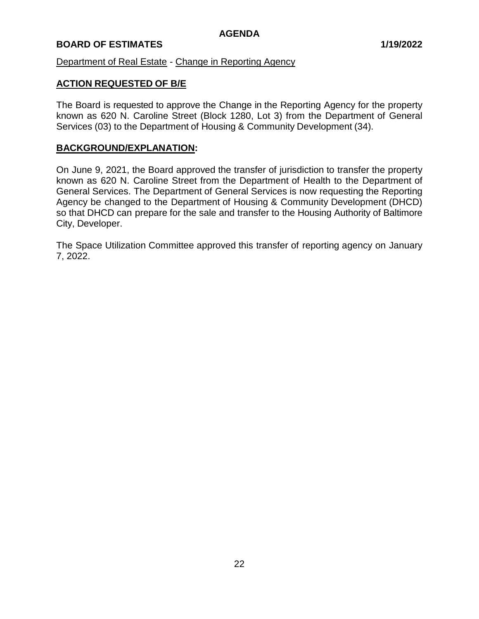# **BOARD OF ESTIMATES 1/19/2022**

Department of Real Estate - Change in Reporting Agency

# **ACTION REQUESTED OF B/E**

The Board is requested to approve the Change in the Reporting Agency for the property known as 620 N. Caroline Street (Block 1280, Lot 3) from the Department of General Services (03) to the Department of Housing & Community Development (34).

#### **BACKGROUND/EXPLANATION:**

On June 9, 2021, the Board approved the transfer of jurisdiction to transfer the property known as 620 N. Caroline Street from the Department of Health to the Department of General Services. The Department of General Services is now requesting the Reporting Agency be changed to the Department of Housing & Community Development (DHCD) so that DHCD can prepare for the sale and transfer to the Housing Authority of Baltimore City, Developer.

The Space Utilization Committee approved this transfer of reporting agency on January 7, 2022.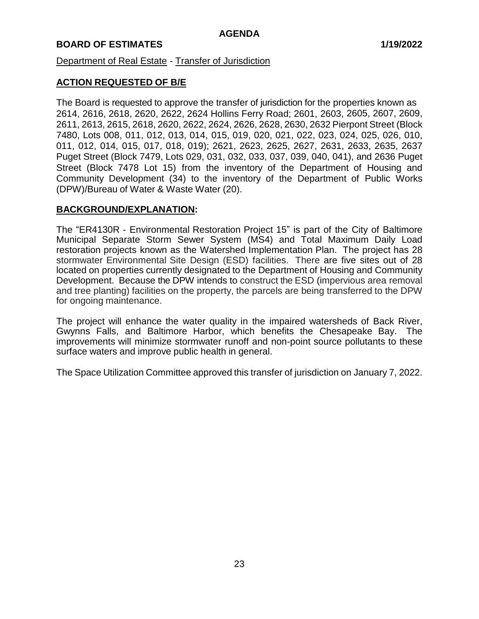# Department of Real Estate - Transfer of Jurisdiction

#### **ACTION REQUESTED OF B/E**

The Board is requested to approve the transfer of jurisdiction for the properties known as 2614, 2616, 2618, 2620, 2622, 2624 Hollins Ferry Road; 2601, 2603, 2605, 2607, 2609, 2611, 2613, 2615, 2618, 2620, 2622, 2624, 2626, 2628, 2630, 2632 Pierpont Street (Block 7480, Lots 008, 011, 012, 013, 014, 015, 019, 020, 021, 022, 023, 024, 025, 026, 010, 011, 012, 014, 015, 017, 018, 019); 2621, 2623, 2625, 2627, 2631, 2633, 2635, 2637 Puget Street (Block 7479, Lots 029, 031, 032, 033, 037, 039, 040, 041), and 2636 Puget Street (Block 7478 Lot 15) from the inventory of the Department of Housing and Community Development (34) to the inventory of the Department of Public Works (DPW)/Bureau of Water & Waste Water (20).

#### **BACKGROUND/EXPLANATION:**

The "ER4130R - Environmental Restoration Project 15" is part of the City of Baltimore Municipal Separate Storm Sewer System (MS4) and Total Maximum Daily Load restoration projects known as the Watershed Implementation Plan. The project has 28 stormwater Environmental Site Design (ESD) facilities. There are five sites out of 28 located on properties currently designated to the Department of Housing and Community Development. Because the DPW intends to construct the ESD (impervious area removal and tree planting) facilities on the property, the parcels are being transferred to the DPW for ongoing maintenance.

The project will enhance the water quality in the impaired watersheds of Back River, Gwynns Falls, and Baltimore Harbor, which benefits the Chesapeake Bay. The improvements will minimize stormwater runoff and non-point source pollutants to these surface waters and improve public health in general.

The Space Utilization Committee approved this transfer of jurisdiction on January 7, 2022.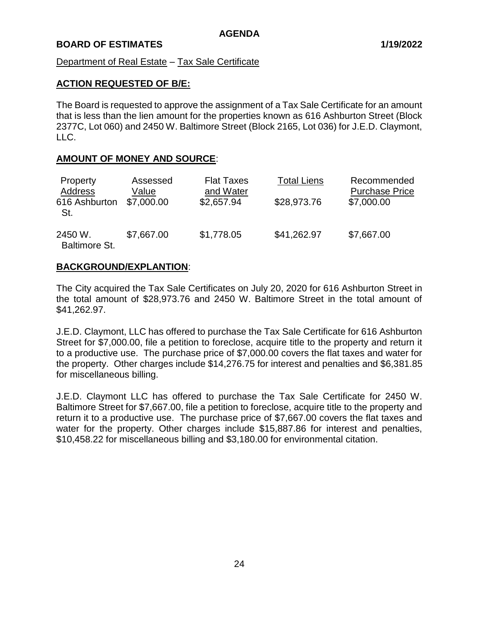### Department of Real Estate – Tax Sale Certificate

# **ACTION REQUESTED OF B/E:**

The Board is requested to approve the assignment of a Tax Sale Certificate for an amount that is less than the lien amount for the properties known as 616 Ashburton Street (Block 2377C, Lot 060) and 2450 W. Baltimore Street (Block 2165, Lot 036) for J.E.D. Claymont, LLC.

# **AMOUNT OF MONEY AND SOURCE**:

| Property<br>Address<br>616 Ashburton<br>St. | Assessed<br>Value<br>\$7,000.00 | <b>Flat Taxes</b><br>and Water<br>\$2,657.94 | <b>Total Liens</b><br>\$28,973.76 | Recommended<br><b>Purchase Price</b><br>\$7,000.00 |
|---------------------------------------------|---------------------------------|----------------------------------------------|-----------------------------------|----------------------------------------------------|
| 2450 W.<br><b>Baltimore St.</b>             | \$7,667.00                      | \$1,778.05                                   | \$41,262.97                       | \$7,667.00                                         |

#### **BACKGROUND/EXPLANTION**:

The City acquired the Tax Sale Certificates on July 20, 2020 for 616 Ashburton Street in the total amount of \$28,973.76 and 2450 W. Baltimore Street in the total amount of \$41,262.97.

J.E.D. Claymont, LLC has offered to purchase the Tax Sale Certificate for 616 Ashburton Street for \$7,000.00, file a petition to foreclose, acquire title to the property and return it to a productive use. The purchase price of \$7,000.00 covers the flat taxes and water for the property. Other charges include \$14,276.75 for interest and penalties and \$6,381.85 for miscellaneous billing.

J.E.D. Claymont LLC has offered to purchase the Tax Sale Certificate for 2450 W. Baltimore Street for \$7,667.00, file a petition to foreclose, acquire title to the property and return it to a productive use. The purchase price of \$7,667.00 covers the flat taxes and water for the property. Other charges include \$15,887.86 for interest and penalties, \$10,458.22 for miscellaneous billing and \$3,180.00 for environmental citation.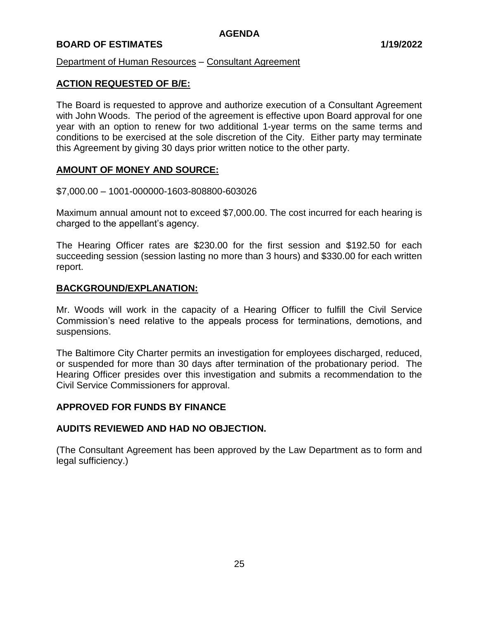# **BOARD OF ESTIMATES 1/19/2022**

Department of Human Resources – Consultant Agreement

# **ACTION REQUESTED OF B/E:**

The Board is requested to approve and authorize execution of a Consultant Agreement with John Woods. The period of the agreement is effective upon Board approval for one year with an option to renew for two additional 1-year terms on the same terms and conditions to be exercised at the sole discretion of the City. Either party may terminate this Agreement by giving 30 days prior written notice to the other party.

#### **AMOUNT OF MONEY AND SOURCE:**

\$7,000.00 – 1001-000000-1603-808800-603026

Maximum annual amount not to exceed \$7,000.00. The cost incurred for each hearing is charged to the appellant's agency.

The Hearing Officer rates are \$230.00 for the first session and \$192.50 for each succeeding session (session lasting no more than 3 hours) and \$330.00 for each written report.

#### **BACKGROUND/EXPLANATION:**

Mr. Woods will work in the capacity of a Hearing Officer to fulfill the Civil Service Commission's need relative to the appeals process for terminations, demotions, and suspensions.

The Baltimore City Charter permits an investigation for employees discharged, reduced, or suspended for more than 30 days after termination of the probationary period. The Hearing Officer presides over this investigation and submits a recommendation to the Civil Service Commissioners for approval.

#### **APPROVED FOR FUNDS BY FINANCE**

#### **AUDITS REVIEWED AND HAD NO OBJECTION.**

(The Consultant Agreement has been approved by the Law Department as to form and legal sufficiency.)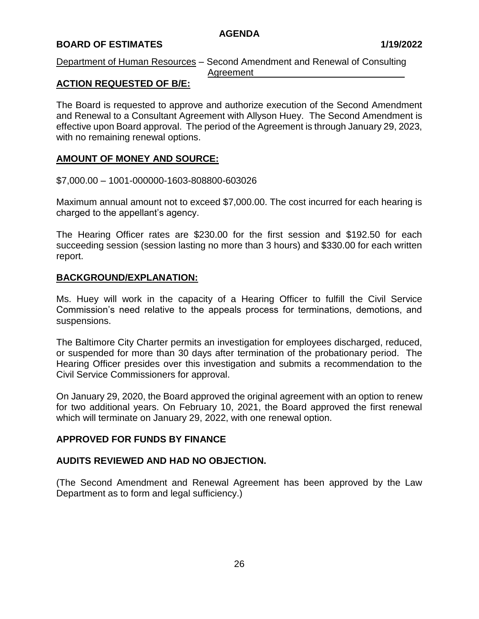# **BOARD OF ESTIMATES 1/19/2022**

Department of Human Resources – Second Amendment and Renewal of Consulting Agreement

# **ACTION REQUESTED OF B/E:**

The Board is requested to approve and authorize execution of the Second Amendment and Renewal to a Consultant Agreement with Allyson Huey. The Second Amendment is effective upon Board approval. The period of the Agreement is through January 29, 2023, with no remaining renewal options.

# **AMOUNT OF MONEY AND SOURCE:**

\$7,000.00 – 1001-000000-1603-808800-603026

Maximum annual amount not to exceed \$7,000.00. The cost incurred for each hearing is charged to the appellant's agency.

The Hearing Officer rates are \$230.00 for the first session and \$192.50 for each succeeding session (session lasting no more than 3 hours) and \$330.00 for each written report.

#### **BACKGROUND/EXPLANATION:**

Ms. Huey will work in the capacity of a Hearing Officer to fulfill the Civil Service Commission's need relative to the appeals process for terminations, demotions, and suspensions.

The Baltimore City Charter permits an investigation for employees discharged, reduced, or suspended for more than 30 days after termination of the probationary period. The Hearing Officer presides over this investigation and submits a recommendation to the Civil Service Commissioners for approval.

On January 29, 2020, the Board approved the original agreement with an option to renew for two additional years. On February 10, 2021, the Board approved the first renewal which will terminate on January 29, 2022, with one renewal option.

#### **APPROVED FOR FUNDS BY FINANCE**

# **AUDITS REVIEWED AND HAD NO OBJECTION.**

(The Second Amendment and Renewal Agreement has been approved by the Law Department as to form and legal sufficiency.)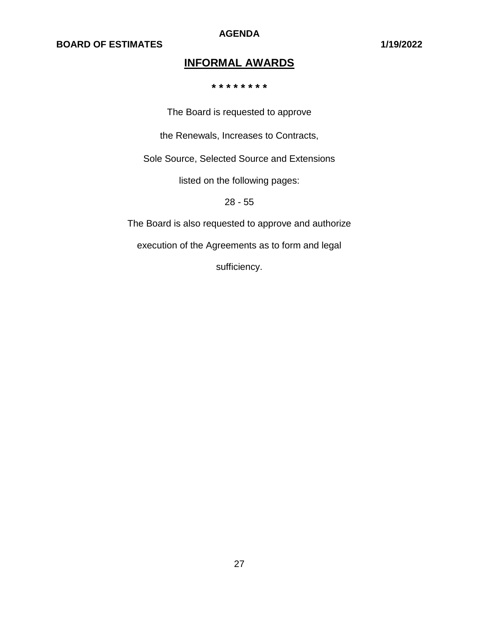**AGENDA**

# **INFORMAL AWARDS**

**\* \* \* \* \* \* \* \***

The Board is requested to approve

the Renewals, Increases to Contracts,

Sole Source, Selected Source and Extensions

listed on the following pages:

28 - 55

The Board is also requested to approve and authorize

execution of the Agreements as to form and legal

sufficiency.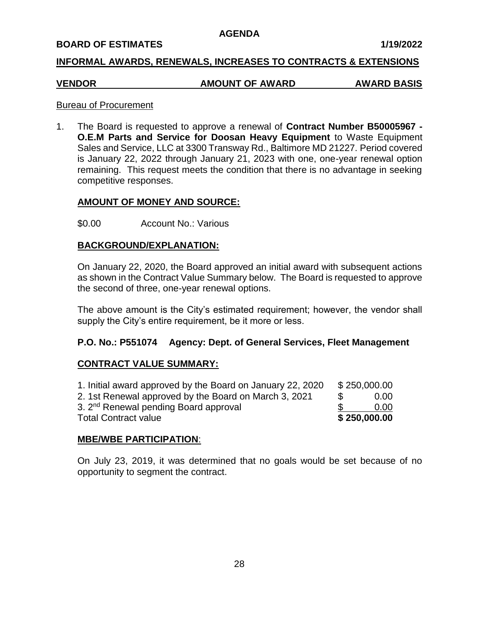#### **BOARD OF ESTIMATES 1/19/2022**

#### **INFORMAL AWARDS, RENEWALS, INCREASES TO CONTRACTS & EXTENSIONS**

# **VENDOR AMOUNT OF AWARD AWARD BASIS**

#### Bureau of Procurement

1. The Board is requested to approve a renewal of **Contract Number B50005967 - O.E.M Parts and Service for Doosan Heavy Equipment** to Waste Equipment Sales and Service, LLC at 3300 Transway Rd., Baltimore MD 21227. Period covered is January 22, 2022 through January 21, 2023 with one, one-year renewal option remaining. This request meets the condition that there is no advantage in seeking competitive responses.

# **AMOUNT OF MONEY AND SOURCE:**

\$0.00 Account No.: Various

#### **BACKGROUND/EXPLANATION:**

On January 22, 2020, the Board approved an initial award with subsequent actions as shown in the Contract Value Summary below. The Board is requested to approve the second of three, one-year renewal options.

The above amount is the City's estimated requirement; however, the vendor shall supply the City's entire requirement, be it more or less.

#### **P.O. No.: P551074 Agency: Dept. of General Services, Fleet Management**

#### **CONTRACT VALUE SUMMARY:**

| 1. Initial award approved by the Board on January 22, 2020 |     | \$250,000.00 |
|------------------------------------------------------------|-----|--------------|
| 2. 1st Renewal approved by the Board on March 3, 2021      | \$. | 0.00         |
| 3. 2 <sup>nd</sup> Renewal pending Board approval          |     | 0.00         |
| <b>Total Contract value</b>                                |     | \$250,000.00 |

#### **MBE/WBE PARTICIPATION**:

On July 23, 2019, it was determined that no goals would be set because of no opportunity to segment the contract.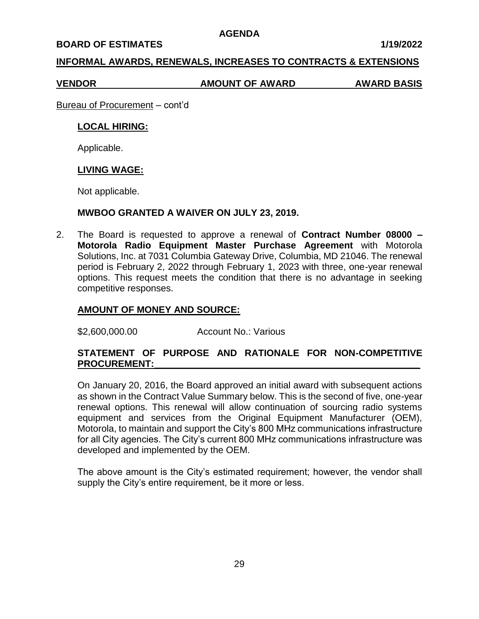#### **BOARD OF ESTIMATES 1/19/2022**

#### **INFORMAL AWARDS, RENEWALS, INCREASES TO CONTRACTS & EXTENSIONS**

**VENDOR AMOUNT OF AWARD AWARD BASIS**

Bureau of Procurement – cont'd

#### **LOCAL HIRING:**

Applicable.

# **LIVING WAGE:**

Not applicable.

#### **MWBOO GRANTED A WAIVER ON JULY 23, 2019.**

2. The Board is requested to approve a renewal of **Contract Number 08000 – Motorola Radio Equipment Master Purchase Agreement** with Motorola Solutions, Inc. at 7031 Columbia Gateway Drive, Columbia, MD 21046. The renewal period is February 2, 2022 through February 1, 2023 with three, one-year renewal options. This request meets the condition that there is no advantage in seeking competitive responses.

# **AMOUNT OF MONEY AND SOURCE:**

\$2,600,000.00 Account No.: Various

# **STATEMENT OF PURPOSE AND RATIONALE FOR NON-COMPETITIVE PROCUREMENT:\_\_\_\_\_\_\_\_\_\_\_\_\_\_\_\_\_\_\_\_\_\_\_\_\_\_\_\_\_\_\_\_\_\_\_\_\_\_\_\_\_\_\_\_\_\_\_\_\_\_\_**

On January 20, 2016, the Board approved an initial award with subsequent actions as shown in the Contract Value Summary below. This is the second of five, one-year renewal options. This renewal will allow continuation of sourcing radio systems equipment and services from the Original Equipment Manufacturer (OEM), Motorola, to maintain and support the City's 800 MHz communications infrastructure for all City agencies. The City's current 800 MHz communications infrastructure was developed and implemented by the OEM.

The above amount is the City's estimated requirement; however, the vendor shall supply the City's entire requirement, be it more or less.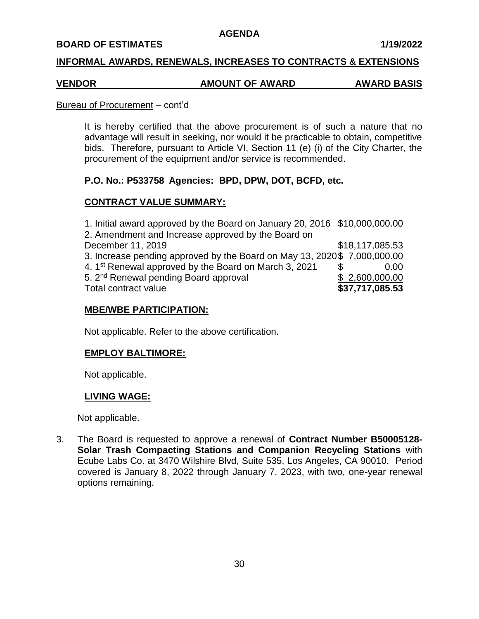#### **BOARD OF ESTIMATES 1/19/2022**

#### **INFORMAL AWARDS, RENEWALS, INCREASES TO CONTRACTS & EXTENSIONS**

#### **VENDOR AMOUNT OF AWARD AWARD BASIS**

#### Bureau of Procurement – cont'd

It is hereby certified that the above procurement is of such a nature that no advantage will result in seeking, nor would it be practicable to obtain, competitive bids. Therefore, pursuant to Article VI, Section 11 (e) (i) of the City Charter, the procurement of the equipment and/or service is recommended.

# **P.O. No.: P533758 Agencies: BPD, DPW, DOT, BCFD, etc.**

# **CONTRACT VALUE SUMMARY:**

| 1. Initial award approved by the Board on January 20, 2016 \$10,000,000.00 |                 |
|----------------------------------------------------------------------------|-----------------|
| 2. Amendment and Increase approved by the Board on                         |                 |
| December 11, 2019                                                          | \$18,117,085.53 |
| 3. Increase pending approved by the Board on May 13, 2020\$ 7,000,000.00   |                 |
| 4. 1 <sup>st</sup> Renewal approved by the Board on March 3, 2021          | 0.00            |
| 5. 2 <sup>nd</sup> Renewal pending Board approval                          | \$2,600,000.00  |
| Total contract value                                                       | \$37,717,085.53 |

#### **MBE/WBE PARTICIPATION:**

Not applicable. Refer to the above certification.

#### **EMPLOY BALTIMORE:**

Not applicable.

#### **LIVING WAGE:**

Not applicable.

3. The Board is requested to approve a renewal of **Contract Number B50005128- Solar Trash Compacting Stations and Companion Recycling Stations** with Ecube Labs Co. at 3470 Wilshire Blvd, Suite 535, Los Angeles, CA 90010.Period covered is January 8, 2022 through January 7, 2023, with two, one-year renewal options remaining.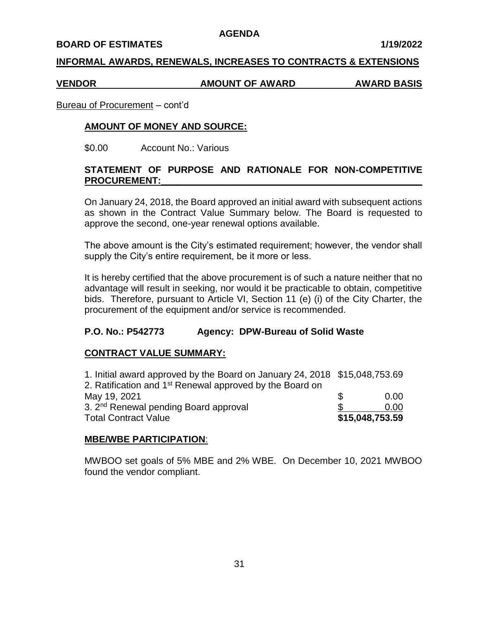#### **BOARD OF ESTIMATES 1/19/2022**

#### **INFORMAL AWARDS, RENEWALS, INCREASES TO CONTRACTS & EXTENSIONS**

#### **VENDOR AMOUNT OF AWARD AWARD BASIS**

#### Bureau of Procurement – cont'd

#### **AMOUNT OF MONEY AND SOURCE:**

\$0.00 Account No.: Various

#### **STATEMENT OF PURPOSE AND RATIONALE FOR NON-COMPETITIVE PROCUREMENT:\_\_\_\_\_\_\_\_\_\_\_\_\_\_\_\_\_\_\_\_\_\_\_\_\_\_\_\_\_\_\_\_\_\_\_\_\_\_\_\_\_\_\_\_\_\_\_\_\_\_**

On January 24, 2018, the Board approved an initial award with subsequent actions as shown in the Contract Value Summary below. The Board is requested to approve the second, one-year renewal options available.

The above amount is the City's estimated requirement; however, the vendor shall supply the City's entire requirement, be it more or less.

It is hereby certified that the above procurement is of such a nature neither that no advantage will result in seeking, nor would it be practicable to obtain, competitive bids. Therefore, pursuant to Article VI, Section 11 (e) (i) of the City Charter, the procurement of the equipment and/or service is recommended.

#### **P.O. No.: P542773 Agency: DPW-Bureau of Solid Waste**

#### **CONTRACT VALUE SUMMARY:**

| 1. Initial award approved by the Board on January 24, 2018 \$15,048,753.69 |                 |
|----------------------------------------------------------------------------|-----------------|
| 2. Ratification and 1 <sup>st</sup> Renewal approved by the Board on       |                 |
| May 19, 2021                                                               | 0.00            |
| 3. 2 <sup>nd</sup> Renewal pending Board approval                          | 0.00            |
| <b>Total Contract Value</b>                                                | \$15,048,753.59 |

#### **MBE/WBE PARTICIPATION**:

MWBOO set goals of 5% MBE and 2% WBE. On December 10, 2021 MWBOO found the vendor compliant.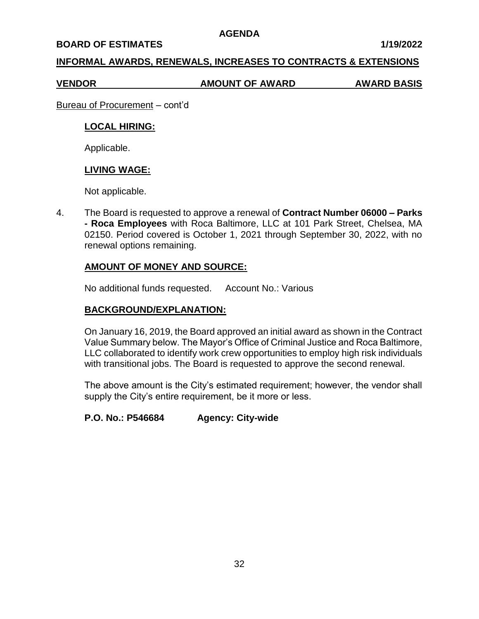#### **BOARD OF ESTIMATES 1/19/2022**

#### **INFORMAL AWARDS, RENEWALS, INCREASES TO CONTRACTS & EXTENSIONS**

**VENDOR AMOUNT OF AWARD AWARD BASIS**

Bureau of Procurement – cont'd

#### **LOCAL HIRING:**

Applicable.

#### **LIVING WAGE:**

Not applicable.

4. The Board is requested to approve a renewal of **Contract Number 06000 – Parks - Roca Employees** with Roca Baltimore, LLC at 101 Park Street, Chelsea, MA 02150. Period covered is October 1, 2021 through September 30, 2022, with no renewal options remaining.

# **AMOUNT OF MONEY AND SOURCE:**

No additional funds requested. Account No.: Various

# **BACKGROUND/EXPLANATION:**

On January 16, 2019, the Board approved an initial award as shown in the Contract Value Summary below. The Mayor's Office of Criminal Justice and Roca Baltimore, LLC collaborated to identify work crew opportunities to employ high risk individuals with transitional jobs. The Board is requested to approve the second renewal.

The above amount is the City's estimated requirement; however, the vendor shall supply the City's entire requirement, be it more or less.

**P.O. No.: P546684 Agency: City-wide**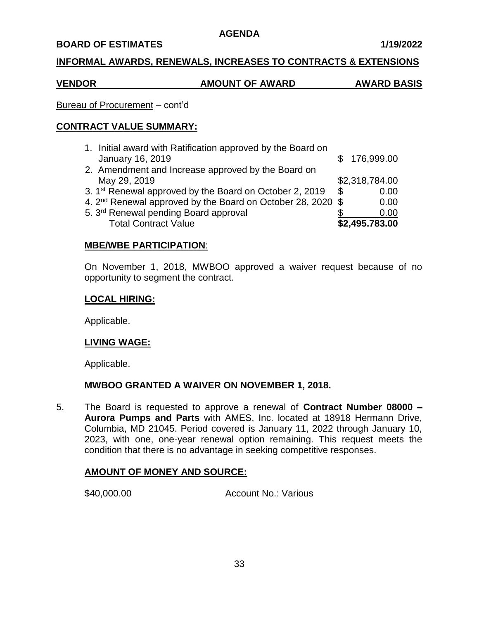#### **BOARD OF ESTIMATES 1/19/2022**

#### **INFORMAL AWARDS, RENEWALS, INCREASES TO CONTRACTS & EXTENSIONS**

# **VENDOR AMOUNT OF AWARD AWARD BASIS**

# Bureau of Procurement – cont'd

# **CONTRACT VALUE SUMMARY:**

| 1. Initial award with Ratification approved by the Board on<br>January 16, 2019 | \$176,999.00   |
|---------------------------------------------------------------------------------|----------------|
| 2. Amendment and Increase approved by the Board on                              |                |
| May 29, 2019                                                                    | \$2,318,784.00 |
| 3. 1 <sup>st</sup> Renewal approved by the Board on October 2, 2019             | \$<br>0.00     |
| 4. 2 <sup>nd</sup> Renewal approved by the Board on October 28, 2020 \$         | 0.00           |
| 5. 3rd Renewal pending Board approval                                           | 0.00           |
| <b>Total Contract Value</b>                                                     | \$2,495.783.00 |

# **MBE/WBE PARTICIPATION**:

On November 1, 2018, MWBOO approved a waiver request because of no opportunity to segment the contract.

# **LOCAL HIRING:**

Applicable.

# **LIVING WAGE:**

Applicable.

# **MWBOO GRANTED A WAIVER ON NOVEMBER 1, 2018.**

5. The Board is requested to approve a renewal of **Contract Number 08000 – Aurora Pumps and Parts** with AMES, Inc. located at 18918 Hermann Drive, Columbia, MD 21045. Period covered is January 11, 2022 through January 10, 2023, with one, one-year renewal option remaining. This request meets the condition that there is no advantage in seeking competitive responses.

# **AMOUNT OF MONEY AND SOURCE:**

\$40,000.00 Account No.: Various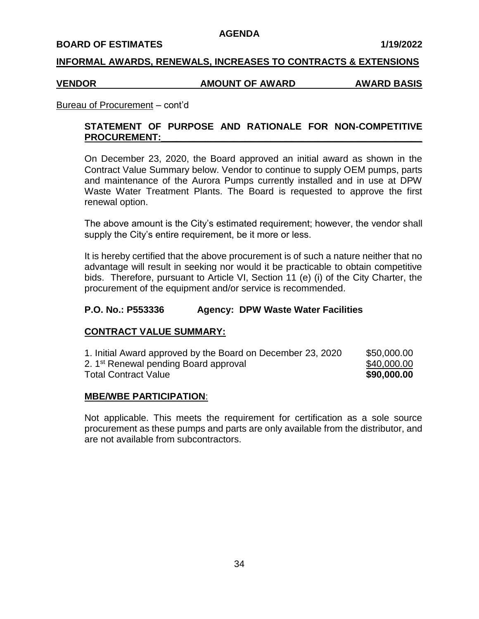#### **BOARD OF ESTIMATES 1/19/2022**

#### **INFORMAL AWARDS, RENEWALS, INCREASES TO CONTRACTS & EXTENSIONS**

#### **VENDOR AMOUNT OF AWARD AWARD BASIS**

#### Bureau of Procurement – cont'd

# **STATEMENT OF PURPOSE AND RATIONALE FOR NON-COMPETITIVE** PROCUREMENT:

On December 23, 2020, the Board approved an initial award as shown in the Contract Value Summary below. Vendor to continue to supply OEM pumps, parts and maintenance of the Aurora Pumps currently installed and in use at DPW Waste Water Treatment Plants. The Board is requested to approve the first renewal option.

The above amount is the City's estimated requirement; however, the vendor shall supply the City's entire requirement, be it more or less.

It is hereby certified that the above procurement is of such a nature neither that no advantage will result in seeking nor would it be practicable to obtain competitive bids. Therefore, pursuant to Article VI, Section 11 (e) (i) of the City Charter, the procurement of the equipment and/or service is recommended.

#### **P.O. No.: P553336 Agency: DPW Waste Water Facilities**

## **CONTRACT VALUE SUMMARY:**

| 1. Initial Award approved by the Board on December 23, 2020 | \$50,000.00 |
|-------------------------------------------------------------|-------------|
| 2. 1 <sup>st</sup> Renewal pending Board approval           | \$40,000.00 |
| <b>Total Contract Value</b>                                 | \$90,000.00 |

#### **MBE/WBE PARTICIPATION**:

Not applicable. This meets the requirement for certification as a sole source procurement as these pumps and parts are only available from the distributor, and are not available from subcontractors.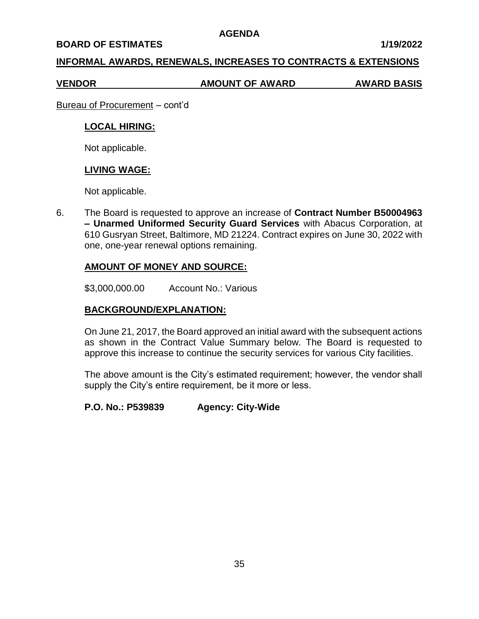#### **BOARD OF ESTIMATES 1/19/2022**

## **INFORMAL AWARDS, RENEWALS, INCREASES TO CONTRACTS & EXTENSIONS**

#### **VENDOR AMOUNT OF AWARD AWARD BASIS**

Bureau of Procurement – cont'd

## **LOCAL HIRING:**

Not applicable.

## **LIVING WAGE:**

Not applicable.

6. The Board is requested to approve an increase of **Contract Number B50004963 – Unarmed Uniformed Security Guard Services** with Abacus Corporation, at 610 Gusryan Street, Baltimore, MD 21224. Contract expires on June 30, 2022 with one, one-year renewal options remaining.

## **AMOUNT OF MONEY AND SOURCE:**

\$3,000,000.00 Account No.: Various

# **BACKGROUND/EXPLANATION:**

On June 21, 2017, the Board approved an initial award with the subsequent actions as shown in the Contract Value Summary below. The Board is requested to approve this increase to continue the security services for various City facilities.

The above amount is the City's estimated requirement; however, the vendor shall supply the City's entire requirement, be it more or less.

## **P.O. No.: P539839 Agency: City-Wide**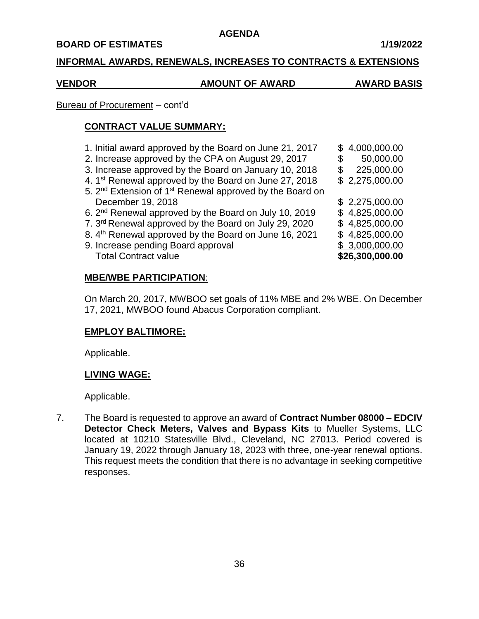#### **BOARD OF ESTIMATES 1/19/2022**

## **INFORMAL AWARDS, RENEWALS, INCREASES TO CONTRACTS & EXTENSIONS**

# **VENDOR AMOUNT OF AWARD AWARD BASIS**

# Bureau of Procurement – cont'd

# **CONTRACT VALUE SUMMARY:**

1. Initial award approved by the Board on June 21, 2017  $\quad$  \$ 4,000,000.00 2. Increase approved by the CPA on August 29, 2017  $$50,000.00$ 3. Increase approved by the Board on January 10, 2018 \$ 225,000.00 4.  $1^{st}$  Renewal approved by the Board on June 27, 2018  $$ 2,275,000.00$ 5. 2<sup>nd</sup> Extension of 1<sup>st</sup> Renewal approved by the Board on December 19, 2018 **\$** 2,275,000.00 6.  $2^{nd}$  Renewal approved by the Board on July 10, 2019  $$ 4,825,000.00$ 7.  $3^{rd}$  Renewal approved by the Board on July 29, 2020  $\quad$  \$ 4,825,000.00 8.  $4^{th}$  Renewal approved by the Board on June 16, 2021  $$$  4,825,000.00 9. Increase pending Board approval  $$3,000,000.00$ Total Contract value **\$26,300,000.00**

# **MBE/WBE PARTICIPATION**:

On March 20, 2017, MWBOO set goals of 11% MBE and 2% WBE. On December 17, 2021, MWBOO found Abacus Corporation compliant.

# **EMPLOY BALTIMORE:**

Applicable.

# **LIVING WAGE:**

Applicable.

7. The Board is requested to approve an award of **Contract Number 08000 – EDCIV Detector Check Meters, Valves and Bypass Kits** to Mueller Systems, LLC located at 10210 Statesville Blvd., Cleveland, NC 27013. Period covered is January 19, 2022 through January 18, 2023 with three, one-year renewal options. This request meets the condition that there is no advantage in seeking competitive responses.

- -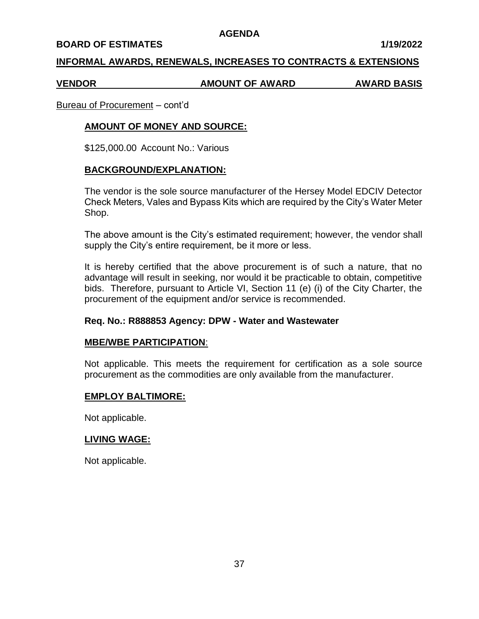#### **BOARD OF ESTIMATES 1/19/2022**

#### **INFORMAL AWARDS, RENEWALS, INCREASES TO CONTRACTS & EXTENSIONS**

#### **VENDOR AMOUNT OF AWARD AWARD BASIS**

Bureau of Procurement – cont'd

## **AMOUNT OF MONEY AND SOURCE:**

\$125,000.00 Account No.: Various

#### **BACKGROUND/EXPLANATION:**

The vendor is the sole source manufacturer of the Hersey Model EDCIV Detector Check Meters, Vales and Bypass Kits which are required by the City's Water Meter Shop.

The above amount is the City's estimated requirement; however, the vendor shall supply the City's entire requirement, be it more or less.

It is hereby certified that the above procurement is of such a nature, that no advantage will result in seeking, nor would it be practicable to obtain, competitive bids. Therefore, pursuant to Article VI, Section 11 (e) (i) of the City Charter, the procurement of the equipment and/or service is recommended.

#### **Req. No.: R888853 Agency: DPW - Water and Wastewater**

#### **MBE/WBE PARTICIPATION**:

Not applicable. This meets the requirement for certification as a sole source procurement as the commodities are only available from the manufacturer.

## **EMPLOY BALTIMORE:**

Not applicable.

#### **LIVING WAGE:**

Not applicable.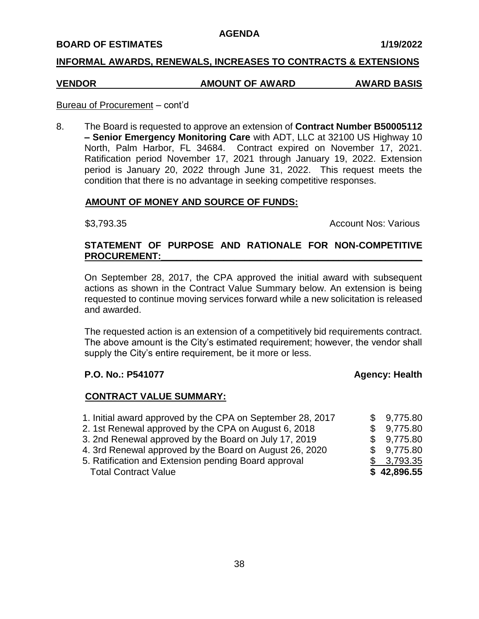#### **BOARD OF ESTIMATES 1/19/2022**

## **INFORMAL AWARDS, RENEWALS, INCREASES TO CONTRACTS & EXTENSIONS**

# **VENDOR AMOUNT OF AWARD AWARD BASIS**

#### Bureau of Procurement – cont'd

8. The Board is requested to approve an extension of **Contract Number B50005112 – Senior Emergency Monitoring Care** with ADT, LLC at 32100 US Highway 10 North, Palm Harbor, FL 34684. Contract expired on November 17, 2021. Ratification period November 17, 2021 through January 19, 2022. Extension period is January 20, 2022 through June 31, 2022. This request meets the condition that there is no advantage in seeking competitive responses.

## **AMOUNT OF MONEY AND SOURCE OF FUNDS:**

\$3,793.35 **Account Nos: Various 63,793.35** Account Nos: Various

# **STATEMENT OF PURPOSE AND RATIONALE FOR NON-COMPETITIVE** PROCUREMENT:

On September 28, 2017, the CPA approved the initial award with subsequent actions as shown in the Contract Value Summary below. An extension is being requested to continue moving services forward while a new solicitation is released and awarded.

The requested action is an extension of a competitively bid requirements contract. The above amount is the City's estimated requirement; however, the vendor shall supply the City's entire requirement, be it more or less.

## **P.O. No.: P541077 Agency: Health**

#### **CONTRACT VALUE SUMMARY:**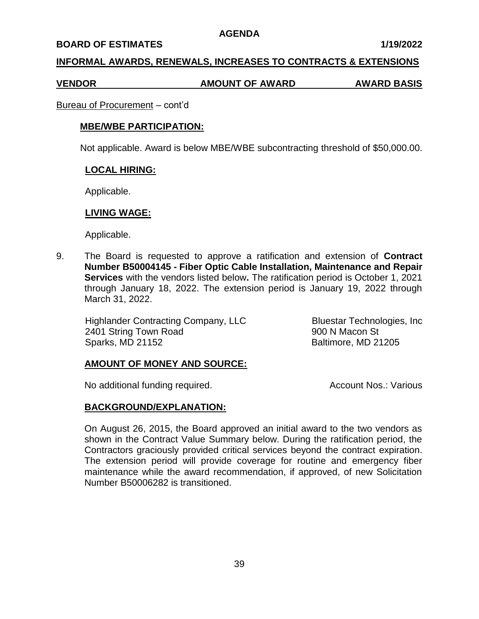#### **BOARD OF ESTIMATES 1/19/2022**

#### **INFORMAL AWARDS, RENEWALS, INCREASES TO CONTRACTS & EXTENSIONS**

#### **VENDOR AMOUNT OF AWARD AWARD BASIS**

#### Bureau of Procurement – cont'd

#### **MBE/WBE PARTICIPATION:**

Not applicable. Award is below MBE/WBE subcontracting threshold of \$50,000.00.

#### **LOCAL HIRING:**

Applicable.

#### **LIVING WAGE:**

Applicable.

9. The Board is requested to approve a ratification and extension of **Contract Number B50004145 - Fiber Optic Cable Installation, Maintenance and Repair Services** with the vendors listed below**.** The ratification period is October 1, 2021 through January 18, 2022. The extension period is January 19, 2022 through March 31, 2022.

 Highlander Contracting Company, LLC Bluestar Technologies, Inc 2401 String Town Road 900 N Macon St Sparks, MD 21152 Baltimore, MD 21205

## **AMOUNT OF MONEY AND SOURCE:**

No additional funding required. Account Nos.: Various

## **BACKGROUND/EXPLANATION:**

On August 26, 2015, the Board approved an initial award to the two vendors as shown in the Contract Value Summary below. During the ratification period, the Contractors graciously provided critical services beyond the contract expiration. The extension period will provide coverage for routine and emergency fiber maintenance while the award recommendation, if approved, of new Solicitation Number B50006282 is transitioned.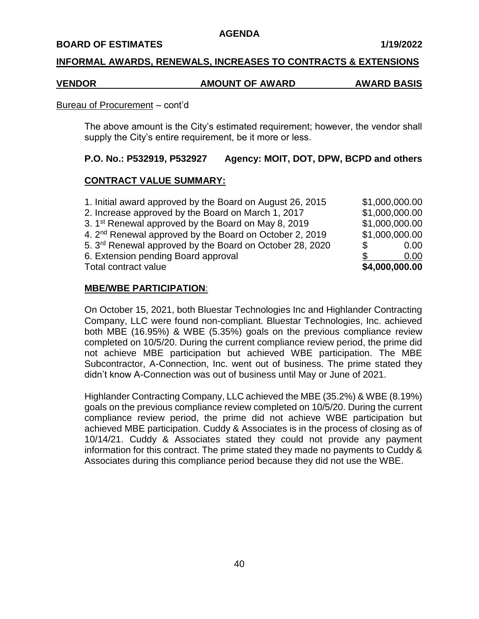#### **BOARD OF ESTIMATES 1/19/2022**

#### **INFORMAL AWARDS, RENEWALS, INCREASES TO CONTRACTS & EXTENSIONS**

#### **VENDOR AMOUNT OF AWARD AWARD BASIS**

#### Bureau of Procurement – cont'd

The above amount is the City's estimated requirement; however, the vendor shall supply the City's entire requirement, be it more or less.

## **P.O. No.: P532919, P532927 Agency: MOIT, DOT, DPW, BCPD and others**

## **CONTRACT VALUE SUMMARY:**

| 6. Extension pending Board approval<br>Total contract value          |   | 0.00<br>\$4,000,000.00 |
|----------------------------------------------------------------------|---|------------------------|
| 5. 3 <sup>rd</sup> Renewal approved by the Board on October 28, 2020 | S | 0.00                   |
| 4. 2 <sup>nd</sup> Renewal approved by the Board on October 2, 2019  |   | \$1,000,000.00         |
| 3. 1 <sup>st</sup> Renewal approved by the Board on May 8, 2019      |   | \$1,000,000.00         |
| 2. Increase approved by the Board on March 1, 2017                   |   | \$1,000,000.00         |
| 1. Initial award approved by the Board on August 26, 2015            |   | \$1,000,000.00         |

## **MBE/WBE PARTICIPATION**:

On October 15, 2021, both Bluestar Technologies Inc and Highlander Contracting Company, LLC were found non-compliant. Bluestar Technologies, Inc. achieved both MBE (16.95%) & WBE (5.35%) goals on the previous compliance review completed on 10/5/20. During the current compliance review period, the prime did not achieve MBE participation but achieved WBE participation. The MBE Subcontractor, A-Connection, Inc. went out of business. The prime stated they didn't know A-Connection was out of business until May or June of 2021.

Highlander Contracting Company, LLC achieved the MBE (35.2%) & WBE (8.19%) goals on the previous compliance review completed on 10/5/20. During the current compliance review period, the prime did not achieve WBE participation but achieved MBE participation. Cuddy & Associates is in the process of closing as of 10/14/21. Cuddy & Associates stated they could not provide any payment information for this contract. The prime stated they made no payments to Cuddy & Associates during this compliance period because they did not use the WBE.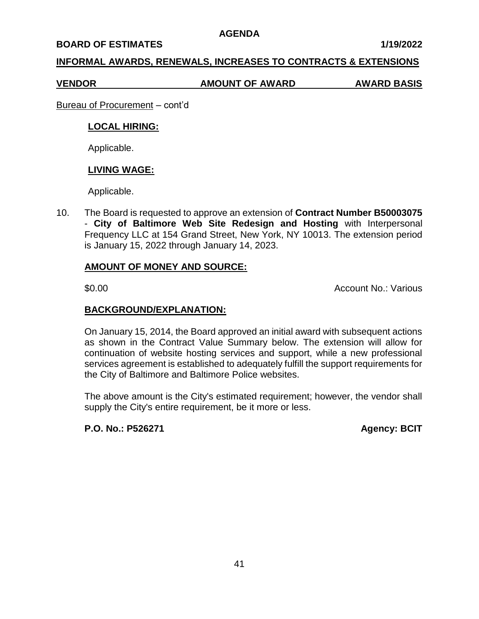#### **BOARD OF ESTIMATES 1/19/2022**

## **INFORMAL AWARDS, RENEWALS, INCREASES TO CONTRACTS & EXTENSIONS**

**VENDOR AMOUNT OF AWARD AWARD BASIS**

Bureau of Procurement – cont'd

## **LOCAL HIRING:**

Applicable.

## **LIVING WAGE:**

Applicable.

10. The Board is requested to approve an extension of **Contract Number B50003075**  - **City of Baltimore Web Site Redesign and Hosting** with Interpersonal Frequency LLC at 154 Grand Street, New York, NY 10013. The extension period is January 15, 2022 through January 14, 2023.

## **AMOUNT OF MONEY AND SOURCE:**

\$0.00 Account No.: Various

## **BACKGROUND/EXPLANATION:**

On January 15, 2014, the Board approved an initial award with subsequent actions as shown in the Contract Value Summary below. The extension will allow for continuation of website hosting services and support, while a new professional services agreement is established to adequately fulfill the support requirements for the City of Baltimore and Baltimore Police websites.

The above amount is the City's estimated requirement; however, the vendor shall supply the City's entire requirement, be it more or less.

**P.O. No.: P526271 Agency: BCIT**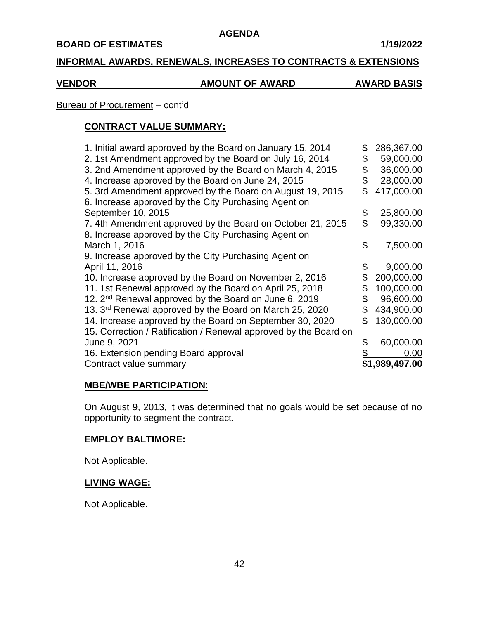## **BOARD OF ESTIMATES 1/19/2022**

# **INFORMAL AWARDS, RENEWALS, INCREASES TO CONTRACTS & EXTENSIONS**

# **VENDOR AMOUNT OF AWARD AWARD BASIS**

# Bureau of Procurement – cont'd

# **CONTRACT VALUE SUMMARY:**

| 1. Initial award approved by the Board on January 15, 2014          | \$ | 286,367.00     |
|---------------------------------------------------------------------|----|----------------|
| 2. 1st Amendment approved by the Board on July 16, 2014             | \$ | 59,000.00      |
| 3. 2nd Amendment approved by the Board on March 4, 2015             | \$ | 36,000.00      |
| 4. Increase approved by the Board on June 24, 2015                  |    | 28,000.00      |
| 5. 3rd Amendment approved by the Board on August 19, 2015           | \$ | 417,000.00     |
| 6. Increase approved by the City Purchasing Agent on                |    |                |
| September 10, 2015                                                  | \$ | 25,800.00      |
| 7. 4th Amendment approved by the Board on October 21, 2015          | \$ | 99,330.00      |
| 8. Increase approved by the City Purchasing Agent on                |    |                |
| March 1, 2016                                                       | \$ | 7,500.00       |
| 9. Increase approved by the City Purchasing Agent on                |    |                |
| April 11, 2016                                                      |    | 9,000.00       |
| 10. Increase approved by the Board on November 2, 2016              | \$ | 200,000.00     |
| 11. 1st Renewal approved by the Board on April 25, 2018             |    | 100,000.00     |
| 12. 2 <sup>nd</sup> Renewal approved by the Board on June 6, 2019   |    | 96,600.00      |
| 13. 3 <sup>rd</sup> Renewal approved by the Board on March 25, 2020 | S  | 434,900.00     |
| 14. Increase approved by the Board on September 30, 2020            | \$ | 130,000.00     |
| 15. Correction / Ratification / Renewal approved by the Board on    |    |                |
| June 9, 2021                                                        | S  | 60,000.00      |
| 16. Extension pending Board approval                                |    | 0.00           |
| Contract value summary                                              |    | \$1,989,497.00 |

## **MBE/WBE PARTICIPATION**:

On August 9, 2013, it was determined that no goals would be set because of no opportunity to segment the contract.

# **EMPLOY BALTIMORE:**

Not Applicable.

## **LIVING WAGE:**

Not Applicable.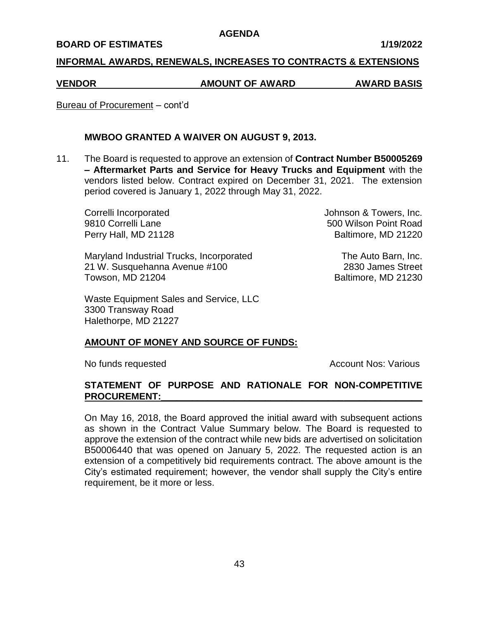#### **BOARD OF ESTIMATES 1/19/2022**

#### **INFORMAL AWARDS, RENEWALS, INCREASES TO CONTRACTS & EXTENSIONS**

# **VENDOR AMOUNT OF AWARD AWARD BASIS**

Bureau of Procurement – cont'd

# **MWBOO GRANTED A WAIVER ON AUGUST 9, 2013.**

11. The Board is requested to approve an extension of **Contract Number B50005269 – Aftermarket Parts and Service for Heavy Trucks and Equipment** with the vendors listed below. Contract expired on December 31, 2021. The extension period covered is January 1, 2022 through May 31, 2022.

Maryland Industrial Trucks, Incorporated The Auto Barn, Inc. 21 W. Susquehanna Avenue #100 2830 James Street Towson, MD 21204 Baltimore, MD 21230

Waste Equipment Sales and Service, LLC 3300 Transway Road Halethorpe, MD 21227

Correlli Incorporated Johnson & Towers, Inc. 9810 Correlli Lane **600 Correlli** Lane Perry Hall, MD 21128 Baltimore, MD 21220

## **AMOUNT OF MONEY AND SOURCE OF FUNDS:**

No funds requested Account Nos: Various Account Nos: Various

# **STATEMENT OF PURPOSE AND RATIONALE FOR NON-COMPETITIVE PROCUREMENT:\_\_\_\_\_\_\_\_\_\_\_\_\_\_\_\_\_\_\_\_\_\_\_\_\_\_\_\_\_\_\_\_\_\_\_\_\_\_\_\_\_\_\_\_\_\_\_\_\_\_**

On May 16, 2018, the Board approved the initial award with subsequent actions as shown in the Contract Value Summary below. The Board is requested to approve the extension of the contract while new bids are advertised on solicitation B50006440 that was opened on January 5, 2022. The requested action is an extension of a competitively bid requirements contract. The above amount is the City's estimated requirement; however, the vendor shall supply the City's entire requirement, be it more or less.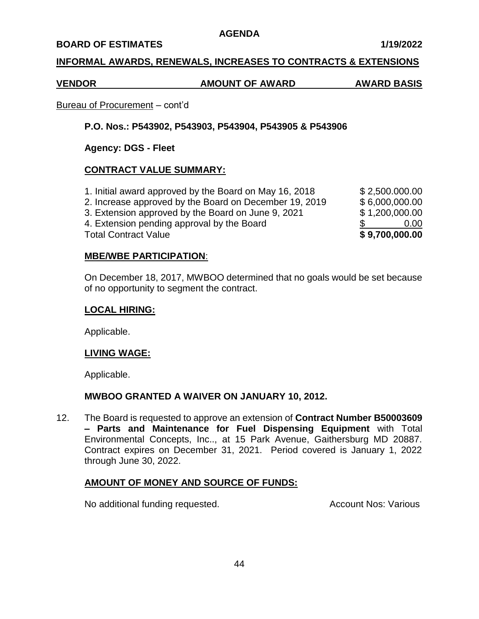#### **BOARD OF ESTIMATES 1/19/2022**

## **INFORMAL AWARDS, RENEWALS, INCREASES TO CONTRACTS & EXTENSIONS**

# **VENDOR AMOUNT OF AWARD AWARD BASIS**

# Bureau of Procurement – cont'd

# **P.O. Nos.: P543902, P543903, P543904, P543905 & P543906**

# **Agency: DGS - Fleet**

# **CONTRACT VALUE SUMMARY:**

1. Initial award approved by the Board on May 16, 2018 \$ 2,500.000.00 2. Increase approved by the Board on December 19, 2019 \$ 6,000,000.00 3. Extension approved by the Board on June 9, 2021 \$ 1,200,000.00 4. Extension pending approval by the Board \$ 0.00 Total Contract Value **\$ 9,700,000.00**

## **MBE/WBE PARTICIPATION**:

On December 18, 2017, MWBOO determined that no goals would be set because of no opportunity to segment the contract.

#### **LOCAL HIRING:**

Applicable.

## **LIVING WAGE:**

Applicable.

# **MWBOO GRANTED A WAIVER ON JANUARY 10, 2012.**

12. The Board is requested to approve an extension of **Contract Number B50003609 – Parts and Maintenance for Fuel Dispensing Equipment** with Total Environmental Concepts, Inc.., at 15 Park Avenue, Gaithersburg MD 20887. Contract expires on December 31, 2021. Period covered is January 1, 2022 through June 30, 2022.

# **AMOUNT OF MONEY AND SOURCE OF FUNDS:**

No additional funding requested. Account Nos: Various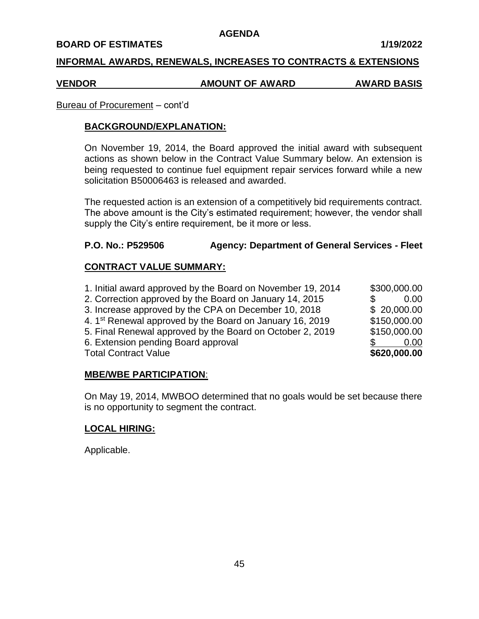#### **BOARD OF ESTIMATES 1/19/2022**

#### **INFORMAL AWARDS, RENEWALS, INCREASES TO CONTRACTS & EXTENSIONS**

#### **VENDOR AMOUNT OF AWARD AWARD BASIS**

#### Bureau of Procurement – cont'd

#### **BACKGROUND/EXPLANATION:**

On November 19, 2014, the Board approved the initial award with subsequent actions as shown below in the Contract Value Summary below. An extension is being requested to continue fuel equipment repair services forward while a new solicitation B50006463 is released and awarded.

The requested action is an extension of a competitively bid requirements contract. The above amount is the City's estimated requirement; however, the vendor shall supply the City's entire requirement, be it more or less.

## **P.O. No.: P529506 Agency: Department of General Services - Fleet**

## **CONTRACT VALUE SUMMARY:**

| 1. Initial award approved by the Board on November 19, 2014          | \$300,000.00 |
|----------------------------------------------------------------------|--------------|
| 2. Correction approved by the Board on January 14, 2015              | 0.00         |
| 3. Increase approved by the CPA on December 10, 2018                 | \$20,000.00  |
| 4. 1 <sup>st</sup> Renewal approved by the Board on January 16, 2019 | \$150,000.00 |
| 5. Final Renewal approved by the Board on October 2, 2019            | \$150,000.00 |
| 6. Extension pending Board approval                                  | 0.00         |
| <b>Total Contract Value</b>                                          | \$620,000.00 |

#### **MBE/WBE PARTICIPATION**:

On May 19, 2014, MWBOO determined that no goals would be set because there is no opportunity to segment the contract.

## **LOCAL HIRING:**

Applicable.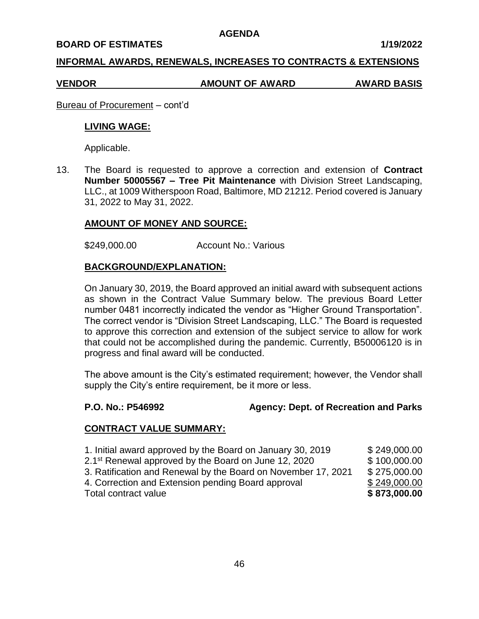#### **BOARD OF ESTIMATES 1/19/2022**

## **INFORMAL AWARDS, RENEWALS, INCREASES TO CONTRACTS & EXTENSIONS**

#### **VENDOR AMOUNT OF AWARD AWARD BASIS**

Bureau of Procurement – cont'd

#### **LIVING WAGE:**

Applicable.

13. The Board is requested to approve a correction and extension of **Contract Number 50005567 – Tree Pit Maintenance** with Division Street Landscaping, LLC., at 1009 Witherspoon Road, Baltimore, MD 21212. Period covered is January 31, 2022 to May 31, 2022.

## **AMOUNT OF MONEY AND SOURCE:**

\$249,000.00 Account No.: Various

#### **BACKGROUND/EXPLANATION:**

On January 30, 2019, the Board approved an initial award with subsequent actions as shown in the Contract Value Summary below. The previous Board Letter number 0481 incorrectly indicated the vendor as "Higher Ground Transportation". The correct vendor is "Division Street Landscaping, LLC." The Board is requested to approve this correction and extension of the subject service to allow for work that could not be accomplished during the pandemic. Currently, B50006120 is in progress and final award will be conducted.

The above amount is the City's estimated requirement; however, the Vendor shall supply the City's entire requirement, be it more or less.

#### **P.O. No.: P546992 Agency: Dept. of Recreation and Parks**

## **CONTRACT VALUE SUMMARY:**

| 1. Initial award approved by the Board on January 30, 2019       | \$249,000.00 |
|------------------------------------------------------------------|--------------|
| 2.1 <sup>st</sup> Renewal approved by the Board on June 12, 2020 | \$100,000.00 |
| 3. Ratification and Renewal by the Board on November 17, 2021    | \$275,000.00 |
| 4. Correction and Extension pending Board approval               | \$249,000.00 |
| Total contract value                                             | \$873,000.00 |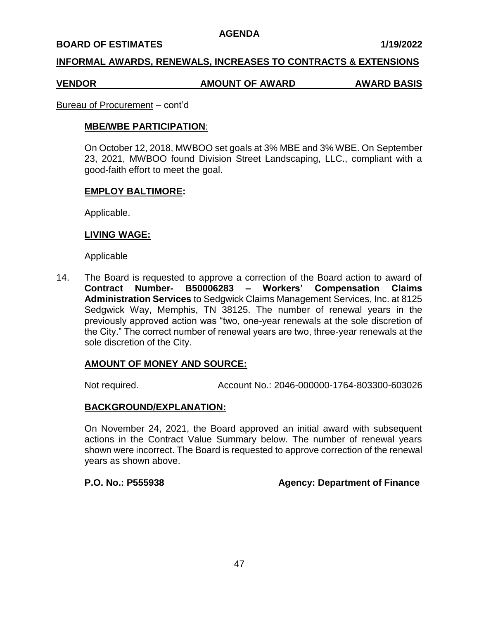#### **BOARD OF ESTIMATES 1/19/2022**

#### **INFORMAL AWARDS, RENEWALS, INCREASES TO CONTRACTS & EXTENSIONS**

#### **VENDOR AMOUNT OF AWARD AWARD BASIS**

#### Bureau of Procurement – cont'd

#### **MBE/WBE PARTICIPATION**:

On October 12, 2018, MWBOO set goals at 3% MBE and 3% WBE. On September 23, 2021, MWBOO found Division Street Landscaping, LLC., compliant with a good-faith effort to meet the goal.

#### **EMPLOY BALTIMORE:**

Applicable.

#### **LIVING WAGE:**

Applicable

14. The Board is requested to approve a correction of the Board action to award of **Contract Number- B50006283 – Workers' Compensation Claims Administration Services** to Sedgwick Claims Management Services, Inc. at 8125 Sedgwick Way, Memphis, TN 38125. The number of renewal years in the previously approved action was "two, one-year renewals at the sole discretion of the City." The correct number of renewal years are two, three-year renewals at the sole discretion of the City.

## **AMOUNT OF MONEY AND SOURCE:**

Not required. Account No.: 2046-000000-1764-803300-603026

## **BACKGROUND/EXPLANATION:**

On November 24, 2021, the Board approved an initial award with subsequent actions in the Contract Value Summary below. The number of renewal years shown were incorrect. The Board is requested to approve correction of the renewal years as shown above.

## **P.O. No.: P555938 Agency: Department of Finance**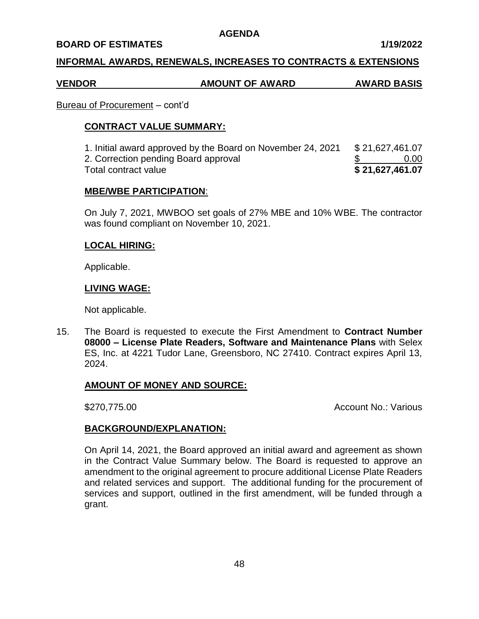#### **BOARD OF ESTIMATES 1/19/2022**

## **INFORMAL AWARDS, RENEWALS, INCREASES TO CONTRACTS & EXTENSIONS**

## **VENDOR AMOUNT OF AWARD AWARD BASIS**

#### Bureau of Procurement – cont'd

#### **CONTRACT VALUE SUMMARY:**

1. Initial award approved by the Board on November 24, 2021 \$ 21,627,461.07 2. Correction pending Board approval \$ 0.00 **Total contract value** 

#### **MBE/WBE PARTICIPATION**:

On July 7, 2021, MWBOO set goals of 27% MBE and 10% WBE. The contractor was found compliant on November 10, 2021.

#### **LOCAL HIRING:**

Applicable.

#### **LIVING WAGE:**

Not applicable.

15. The Board is requested to execute the First Amendment to **Contract Number 08000 – License Plate Readers, Software and Maintenance Plans** with Selex ES, Inc. at 4221 Tudor Lane, Greensboro, NC 27410. Contract expires April 13, 2024.

## **AMOUNT OF MONEY AND SOURCE:**

\$270,775.00 Account No.: Various

## **BACKGROUND/EXPLANATION:**

On April 14, 2021, the Board approved an initial award and agreement as shown in the Contract Value Summary below. The Board is requested to approve an amendment to the original agreement to procure additional License Plate Readers and related services and support. The additional funding for the procurement of services and support, outlined in the first amendment, will be funded through a grant.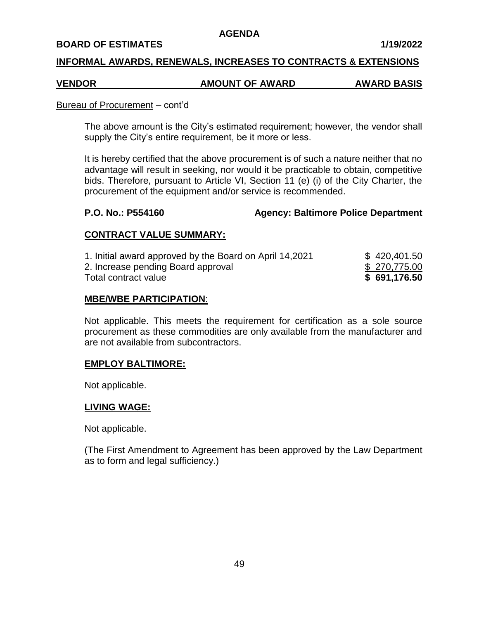#### **BOARD OF ESTIMATES 1/19/2022**

#### **INFORMAL AWARDS, RENEWALS, INCREASES TO CONTRACTS & EXTENSIONS**

## **VENDOR AMOUNT OF AWARD AWARD BASIS**

#### Bureau of Procurement – cont'd

The above amount is the City's estimated requirement; however, the vendor shall supply the City's entire requirement, be it more or less.

It is hereby certified that the above procurement is of such a nature neither that no advantage will result in seeking, nor would it be practicable to obtain, competitive bids. Therefore, pursuant to Article VI, Section 11 (e) (i) of the City Charter, the procurement of the equipment and/or service is recommended.

#### **P.O. No.: P554160 Agency: Baltimore Police Department**

## **CONTRACT VALUE SUMMARY:**

| 1. Initial award approved by the Board on April 14,2021 | \$420,401.50 |
|---------------------------------------------------------|--------------|
| 2. Increase pending Board approval                      | \$270,775.00 |
| Total contract value                                    | \$691,176.50 |

#### **MBE/WBE PARTICIPATION**:

Not applicable. This meets the requirement for certification as a sole source procurement as these commodities are only available from the manufacturer and are not available from subcontractors.

## **EMPLOY BALTIMORE:**

Not applicable.

#### **LIVING WAGE:**

Not applicable.

(The First Amendment to Agreement has been approved by the Law Department as to form and legal sufficiency.)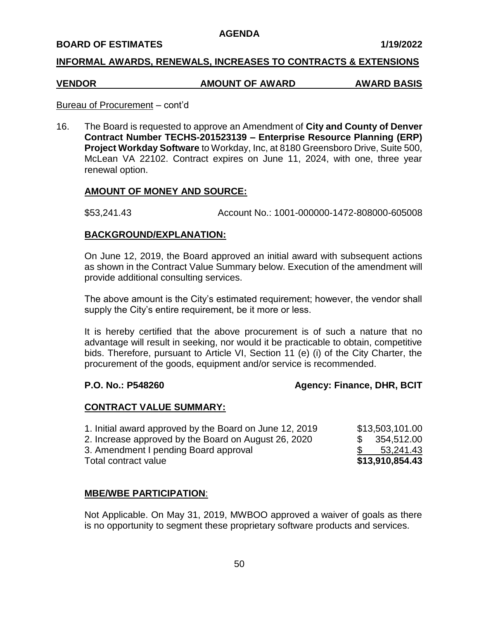#### **BOARD OF ESTIMATES 1/19/2022**

## **INFORMAL AWARDS, RENEWALS, INCREASES TO CONTRACTS & EXTENSIONS**

# **VENDOR AMOUNT OF AWARD AWARD BASIS**

#### Bureau of Procurement – cont'd

16. The Board is requested to approve an Amendment of **City and County of Denver Contract Number TECHS-201523139 – Enterprise Resource Planning (ERP) Project Workday Software** to Workday, Inc, at 8180 Greensboro Drive, Suite 500, McLean VA 22102. Contract expires on June 11, 2024, with one, three year renewal option.

## **AMOUNT OF MONEY AND SOURCE:**

\$53,241.43 Account No.: 1001-000000-1472-808000-605008

## **BACKGROUND/EXPLANATION:**

On June 12, 2019, the Board approved an initial award with subsequent actions as shown in the Contract Value Summary below. Execution of the amendment will provide additional consulting services.

The above amount is the City's estimated requirement; however, the vendor shall supply the City's entire requirement, be it more or less.

It is hereby certified that the above procurement is of such a nature that no advantage will result in seeking, nor would it be practicable to obtain, competitive bids. Therefore, pursuant to Article VI, Section 11 (e) (i) of the City Charter, the procurement of the goods, equipment and/or service is recommended.

## **P.O. No.: P548260 Agency: Finance, DHR, BCIT**

## **CONTRACT VALUE SUMMARY:**

| 1. Initial award approved by the Board on June 12, 2019 | \$13,503,101.00 |
|---------------------------------------------------------|-----------------|
| 2. Increase approved by the Board on August 26, 2020    | \$354,512.00    |
| 3. Amendment I pending Board approval                   | 53,241.43       |
| Total contract value                                    | \$13,910,854.43 |

## **MBE/WBE PARTICIPATION**:

Not Applicable. On May 31, 2019, MWBOO approved a waiver of goals as there is no opportunity to segment these proprietary software products and services.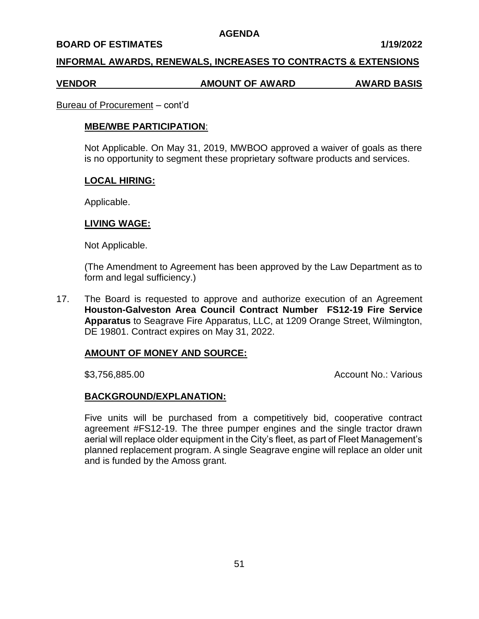#### **BOARD OF ESTIMATES 1/19/2022**

#### **INFORMAL AWARDS, RENEWALS, INCREASES TO CONTRACTS & EXTENSIONS**

#### **VENDOR AMOUNT OF AWARD AWARD BASIS**

#### Bureau of Procurement – cont'd

#### **MBE/WBE PARTICIPATION**:

Not Applicable. On May 31, 2019, MWBOO approved a waiver of goals as there is no opportunity to segment these proprietary software products and services.

#### **LOCAL HIRING:**

Applicable.

## **LIVING WAGE:**

Not Applicable.

(The Amendment to Agreement has been approved by the Law Department as to form and legal sufficiency.)

17. The Board is requested to approve and authorize execution of an Agreement **Houston-Galveston Area Council Contract Number FS12-19 Fire Service Apparatus** to Seagrave Fire Apparatus, LLC, at 1209 Orange Street, Wilmington, DE 19801. Contract expires on May 31, 2022.

## **AMOUNT OF MONEY AND SOURCE:**

\$3,756,885.00 Account No.: Various

## **BACKGROUND/EXPLANATION:**

Five units will be purchased from a competitively bid, cooperative contract agreement #FS12-19. The three pumper engines and the single tractor drawn aerial will replace older equipment in the City's fleet, as part of Fleet Management's planned replacement program. A single Seagrave engine will replace an older unit and is funded by the Amoss grant.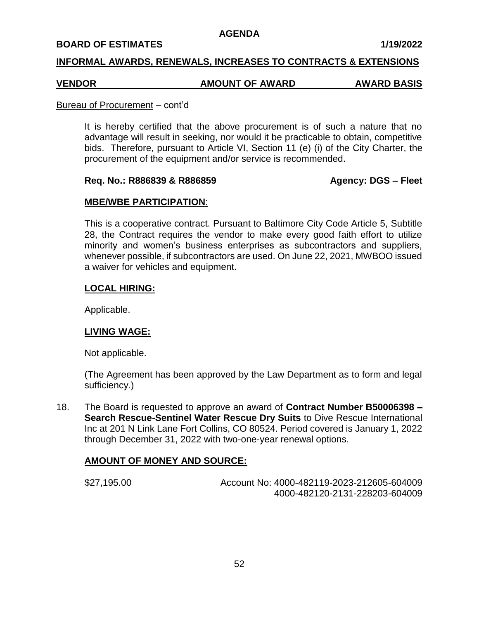#### **BOARD OF ESTIMATES 1/19/2022**

#### **INFORMAL AWARDS, RENEWALS, INCREASES TO CONTRACTS & EXTENSIONS**

#### **VENDOR AMOUNT OF AWARD AWARD BASIS**

#### Bureau of Procurement – cont'd

It is hereby certified that the above procurement is of such a nature that no advantage will result in seeking, nor would it be practicable to obtain, competitive bids. Therefore, pursuant to Article VI, Section 11 (e) (i) of the City Charter, the procurement of the equipment and/or service is recommended.

## **Req. No.: R886839 & R886859 Agency: DGS – Fleet**

## **MBE/WBE PARTICIPATION**:

This is a cooperative contract. Pursuant to Baltimore City Code Article 5, Subtitle 28, the Contract requires the vendor to make every good faith effort to utilize minority and women's business enterprises as subcontractors and suppliers, whenever possible, if subcontractors are used. On June 22, 2021, MWBOO issued a waiver for vehicles and equipment.

## **LOCAL HIRING:**

Applicable.

## **LIVING WAGE:**

Not applicable.

(The Agreement has been approved by the Law Department as to form and legal sufficiency.)

18. The Board is requested to approve an award of **Contract Number B50006398 – Search Rescue-Sentinel Water Rescue Dry Suits** to Dive Rescue International Inc at 201 N Link Lane Fort Collins, CO 80524. Period covered is January 1, 2022 through December 31, 2022 with two-one-year renewal options.

# **AMOUNT OF MONEY AND SOURCE:**

| \$27,195.00 | Account No: 4000-482119-2023-212605-604009 |
|-------------|--------------------------------------------|
|             | 4000-482120-2131-228203-604009             |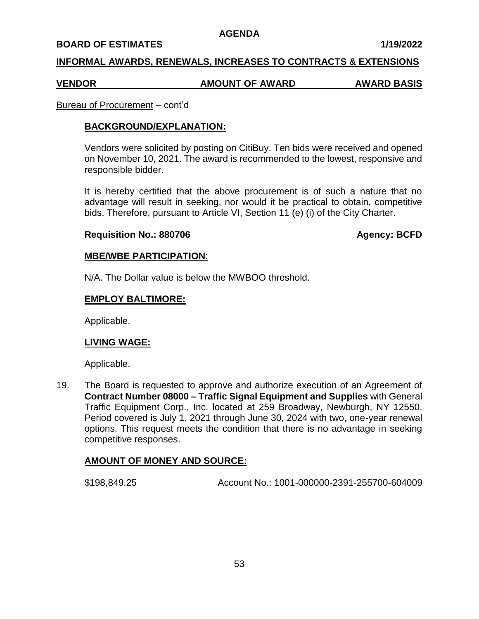#### **BOARD OF ESTIMATES 1/19/2022**

#### **INFORMAL AWARDS, RENEWALS, INCREASES TO CONTRACTS & EXTENSIONS**

#### **VENDOR AMOUNT OF AWARD AWARD BASIS**

#### Bureau of Procurement – cont'd

#### **BACKGROUND/EXPLANATION:**

Vendors were solicited by posting on CitiBuy. Ten bids were received and opened on November 10, 2021. The award is recommended to the lowest, responsive and responsible bidder.

It is hereby certified that the above procurement is of such a nature that no advantage will result in seeking, nor would it be practical to obtain, competitive bids. Therefore, pursuant to Article VI, Section 11 (e) (i) of the City Charter.

#### **Requisition No.: 880706 Agency: BCFD**

## **MBE/WBE PARTICIPATION**:

N/A. The Dollar value is below the MWBOO threshold.

#### **EMPLOY BALTIMORE:**

Applicable.

## **LIVING WAGE:**

Applicable.

19. The Board is requested to approve and authorize execution of an Agreement of **Contract Number 08000 – Traffic Signal Equipment and Supplies** with General Traffic Equipment Corp., Inc. located at 259 Broadway, Newburgh, NY 12550. Period covered is July 1, 2021 through June 30, 2024 with two, one-year renewal options. This request meets the condition that there is no advantage in seeking competitive responses.

## **AMOUNT OF MONEY AND SOURCE:**

\$198,849,25 Account No.: 1001-000000-2391-255700-604009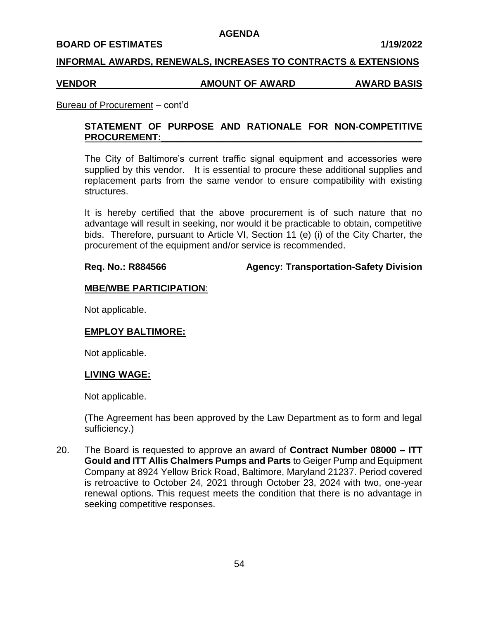#### **BOARD OF ESTIMATES 1/19/2022**

#### **INFORMAL AWARDS, RENEWALS, INCREASES TO CONTRACTS & EXTENSIONS**

#### **VENDOR AMOUNT OF AWARD AWARD BASIS**

#### Bureau of Procurement – cont'd

# **STATEMENT OF PURPOSE AND RATIONALE FOR NON-COMPETITIVE** PROCUREMENT:

The City of Baltimore's current traffic signal equipment and accessories were supplied by this vendor. It is essential to procure these additional supplies and replacement parts from the same vendor to ensure compatibility with existing structures.

It is hereby certified that the above procurement is of such nature that no advantage will result in seeking, nor would it be practicable to obtain, competitive bids. Therefore, pursuant to Article VI, Section 11 (e) (i) of the City Charter, the procurement of the equipment and/or service is recommended.

**Req. No.: R884566 Agency: Transportation-Safety Division**

#### **MBE/WBE PARTICIPATION**:

Not applicable.

## **EMPLOY BALTIMORE:**

Not applicable.

#### **LIVING WAGE:**

Not applicable.

(The Agreement has been approved by the Law Department as to form and legal sufficiency.)

20. The Board is requested to approve an award of **Contract Number 08000 – ITT Gould and ITT Allis Chalmers Pumps and Parts** to Geiger Pump and Equipment Company at 8924 Yellow Brick Road, Baltimore, Maryland 21237. Period covered is retroactive to October 24, 2021 through October 23, 2024 with two, one-year renewal options. This request meets the condition that there is no advantage in seeking competitive responses.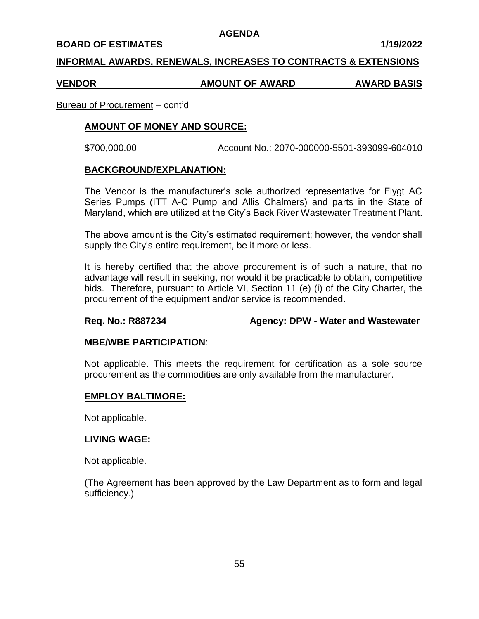#### **BOARD OF ESTIMATES 1/19/2022**

## **INFORMAL AWARDS, RENEWALS, INCREASES TO CONTRACTS & EXTENSIONS**

#### **VENDOR AMOUNT OF AWARD AWARD BASIS**

#### Bureau of Procurement – cont'd

# **AMOUNT OF MONEY AND SOURCE:**

\$700,000.00 Account No.: 2070-000000-5501-393099-604010

#### **BACKGROUND/EXPLANATION:**

The Vendor is the manufacturer's sole authorized representative for Flygt AC Series Pumps (ITT A-C Pump and Allis Chalmers) and parts in the State of Maryland, which are utilized at the City's Back River Wastewater Treatment Plant.

The above amount is the City's estimated requirement; however, the vendor shall supply the City's entire requirement, be it more or less.

It is hereby certified that the above procurement is of such a nature, that no advantage will result in seeking, nor would it be practicable to obtain, competitive bids. Therefore, pursuant to Article VI, Section 11 (e) (i) of the City Charter, the procurement of the equipment and/or service is recommended.

## **Req. No.: R887234 Agency: DPW - Water and Wastewater**

## **MBE/WBE PARTICIPATION**:

Not applicable. This meets the requirement for certification as a sole source procurement as the commodities are only available from the manufacturer.

## **EMPLOY BALTIMORE:**

Not applicable.

#### **LIVING WAGE:**

Not applicable.

(The Agreement has been approved by the Law Department as to form and legal sufficiency.)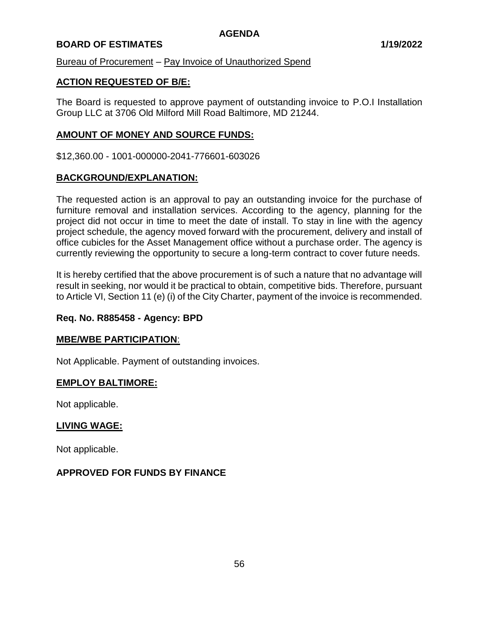# **BOARD OF ESTIMATES 1/19/2022**

Bureau of Procurement – Pay Invoice of Unauthorized Spend

## **ACTION REQUESTED OF B/E:**

The Board is requested to approve payment of outstanding invoice to P.O.I Installation Group LLC at 3706 Old Milford Mill Road Baltimore, MD 21244.

# **AMOUNT OF MONEY AND SOURCE FUNDS:**

\$12,360.00 - 1001-000000-2041-776601-603026

# **BACKGROUND/EXPLANATION:**

The requested action is an approval to pay an outstanding invoice for the purchase of furniture removal and installation services. According to the agency, planning for the project did not occur in time to meet the date of install. To stay in line with the agency project schedule, the agency moved forward with the procurement, delivery and install of office cubicles for the Asset Management office without a purchase order. The agency is currently reviewing the opportunity to secure a long-term contract to cover future needs.

It is hereby certified that the above procurement is of such a nature that no advantage will result in seeking, nor would it be practical to obtain, competitive bids. Therefore, pursuant to Article VI, Section 11 (e) (i) of the City Charter, payment of the invoice is recommended.

## **Req. No. R885458 - Agency: BPD**

## **MBE/WBE PARTICIPATION**:

Not Applicable. Payment of outstanding invoices.

## **EMPLOY BALTIMORE:**

Not applicable.

## **LIVING WAGE:**

Not applicable.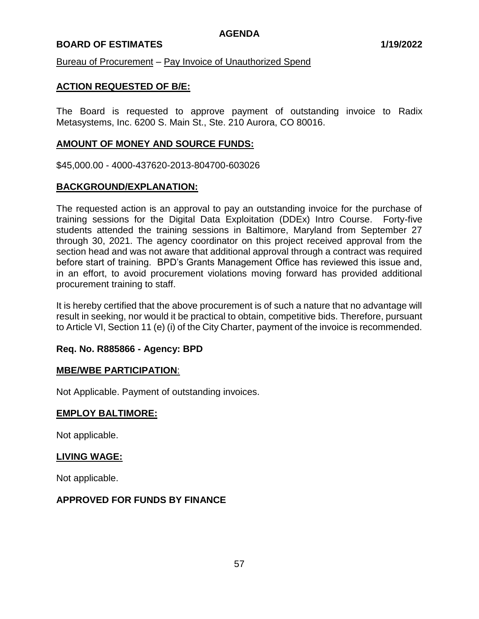## **BOARD OF ESTIMATES 1/19/2022**

Bureau of Procurement – Pay Invoice of Unauthorized Spend

## **ACTION REQUESTED OF B/E:**

The Board is requested to approve payment of outstanding invoice to Radix Metasystems, Inc. 6200 S. Main St., Ste. 210 Aurora, CO 80016.

#### **AMOUNT OF MONEY AND SOURCE FUNDS:**

\$45,000.00 - 4000-437620-2013-804700-603026

## **BACKGROUND/EXPLANATION:**

The requested action is an approval to pay an outstanding invoice for the purchase of training sessions for the Digital Data Exploitation (DDEx) Intro Course. Forty-five students attended the training sessions in Baltimore, Maryland from September 27 through 30, 2021. The agency coordinator on this project received approval from the section head and was not aware that additional approval through a contract was required before start of training. BPD's Grants Management Office has reviewed this issue and, in an effort, to avoid procurement violations moving forward has provided additional procurement training to staff.

It is hereby certified that the above procurement is of such a nature that no advantage will result in seeking, nor would it be practical to obtain, competitive bids. Therefore, pursuant to Article VI, Section 11 (e) (i) of the City Charter, payment of the invoice is recommended.

## **Req. No. R885866 - Agency: BPD**

#### **MBE/WBE PARTICIPATION**:

Not Applicable. Payment of outstanding invoices.

#### **EMPLOY BALTIMORE:**

Not applicable.

## **LIVING WAGE:**

Not applicable.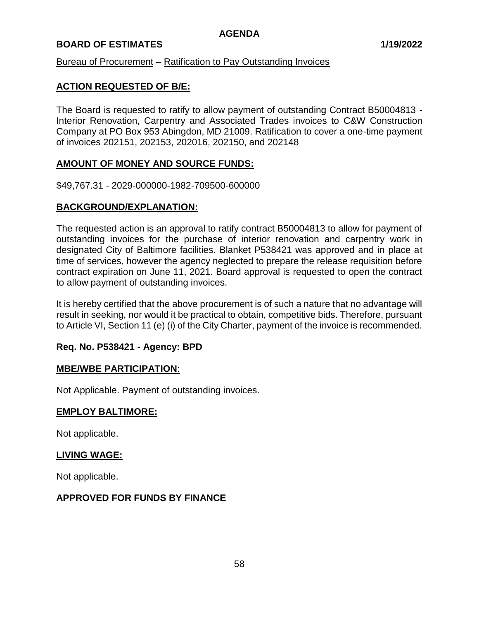# **BOARD OF ESTIMATES 1/19/2022**

## Bureau of Procurement – Ratification to Pay Outstanding Invoices

## **ACTION REQUESTED OF B/E:**

The Board is requested to ratify to allow payment of outstanding Contract B50004813 - Interior Renovation, Carpentry and Associated Trades invoices to C&W Construction Company at PO Box 953 Abingdon, MD 21009. Ratification to cover a one-time payment of invoices 202151, 202153, 202016, 202150, and 202148

## **AMOUNT OF MONEY AND SOURCE FUNDS:**

\$49,767.31 - 2029-000000-1982-709500-600000

## **BACKGROUND/EXPLANATION:**

The requested action is an approval to ratify contract B50004813 to allow for payment of outstanding invoices for the purchase of interior renovation and carpentry work in designated City of Baltimore facilities. Blanket P538421 was approved and in place at time of services, however the agency neglected to prepare the release requisition before contract expiration on June 11, 2021. Board approval is requested to open the contract to allow payment of outstanding invoices.

It is hereby certified that the above procurement is of such a nature that no advantage will result in seeking, nor would it be practical to obtain, competitive bids. Therefore, pursuant to Article VI, Section 11 (e) (i) of the City Charter, payment of the invoice is recommended.

## **Req. No. P538421 - Agency: BPD**

## **MBE/WBE PARTICIPATION**:

Not Applicable. Payment of outstanding invoices.

## **EMPLOY BALTIMORE:**

Not applicable.

## **LIVING WAGE:**

Not applicable.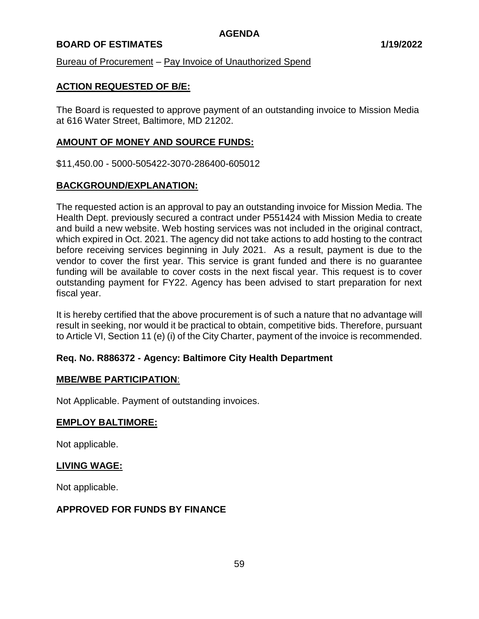## **BOARD OF ESTIMATES 1/19/2022**

Bureau of Procurement – Pay Invoice of Unauthorized Spend

## **ACTION REQUESTED OF B/E:**

The Board is requested to approve payment of an outstanding invoice to Mission Media at 616 Water Street, Baltimore, MD 21202.

## **AMOUNT OF MONEY AND SOURCE FUNDS:**

\$11,450.00 - 5000-505422-3070-286400-605012

## **BACKGROUND/EXPLANATION:**

The requested action is an approval to pay an outstanding invoice for Mission Media. The Health Dept. previously secured a contract under P551424 with Mission Media to create and build a new website. Web hosting services was not included in the original contract, which expired in Oct. 2021. The agency did not take actions to add hosting to the contract before receiving services beginning in July 2021. As a result, payment is due to the vendor to cover the first year. This service is grant funded and there is no guarantee funding will be available to cover costs in the next fiscal year. This request is to cover outstanding payment for FY22. Agency has been advised to start preparation for next fiscal year.

It is hereby certified that the above procurement is of such a nature that no advantage will result in seeking, nor would it be practical to obtain, competitive bids. Therefore, pursuant to Article VI, Section 11 (e) (i) of the City Charter, payment of the invoice is recommended.

# **Req. No. R886372 - Agency: Baltimore City Health Department**

## **MBE/WBE PARTICIPATION**:

Not Applicable. Payment of outstanding invoices.

## **EMPLOY BALTIMORE:**

Not applicable.

## **LIVING WAGE:**

Not applicable.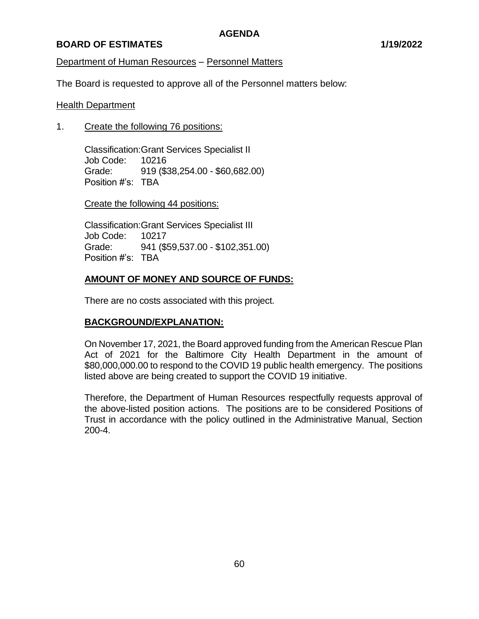# **BOARD OF ESTIMATES 1/19/2022**

# Department of Human Resources – Personnel Matters

The Board is requested to approve all of the Personnel matters below:

## Health Department

1. Create the following 76 positions:

Classification:Grant Services Specialist II Job Code: 10216 Grade: 919 (\$38,254.00 - \$60,682.00) Position #'s: TBA

Create the following 44 positions:

Classification:Grant Services Specialist III Job Code: 10217 Grade: 941 (\$59,537.00 - \$102,351.00) Position #'s: TBA

# **AMOUNT OF MONEY AND SOURCE OF FUNDS:**

There are no costs associated with this project.

## **BACKGROUND/EXPLANATION:**

On November 17, 2021, the Board approved funding from the American Rescue Plan Act of 2021 for the Baltimore City Health Department in the amount of \$80,000,000.00 to respond to the COVID 19 public health emergency. The positions listed above are being created to support the COVID 19 initiative.

Therefore, the Department of Human Resources respectfully requests approval of the above-listed position actions. The positions are to be considered Positions of Trust in accordance with the policy outlined in the Administrative Manual, Section 200-4.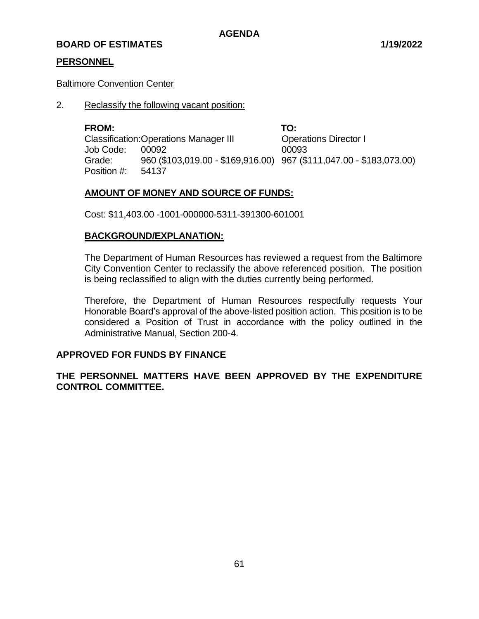# **PERSONNEL**

## Baltimore Convention Center

2. Reclassify the following vacant position:

**FROM: TO:** Classification:Operations Manager III Operations Director I Job Code: 00092 00093 Grade: 960 (\$103,019.00 - \$169,916.00) 967 (\$111,047.00 - \$183,073.00) Position #: 54137

# **AMOUNT OF MONEY AND SOURCE OF FUNDS:**

Cost: \$11,403.00 -1001-000000-5311-391300-601001

# **BACKGROUND/EXPLANATION:**

The Department of Human Resources has reviewed a request from the Baltimore City Convention Center to reclassify the above referenced position. The position is being reclassified to align with the duties currently being performed.

Therefore, the Department of Human Resources respectfully requests Your Honorable Board's approval of the above-listed position action. This position is to be considered a Position of Trust in accordance with the policy outlined in the Administrative Manual, Section 200-4.

# **APPROVED FOR FUNDS BY FINANCE**

**THE PERSONNEL MATTERS HAVE BEEN APPROVED BY THE EXPENDITURE CONTROL COMMITTEE.**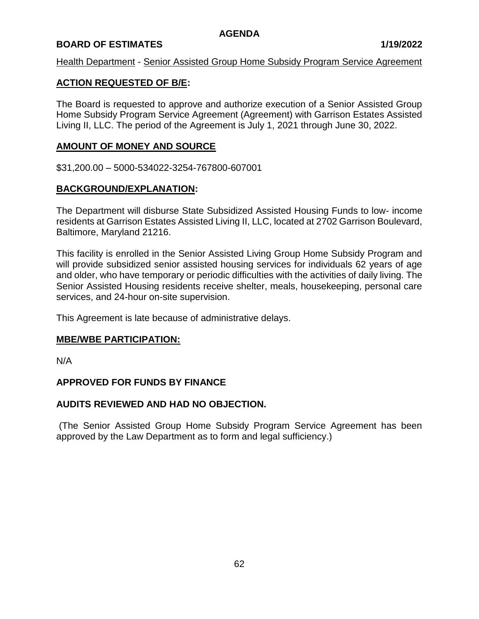# **BOARD OF ESTIMATES 1/19/2022**

## Health Department - Senior Assisted Group Home Subsidy Program Service Agreement

## **ACTION REQUESTED OF B/E:**

The Board is requested to approve and authorize execution of a Senior Assisted Group Home Subsidy Program Service Agreement (Agreement) with Garrison Estates Assisted Living II, LLC. The period of the Agreement is July 1, 2021 through June 30, 2022.

## **AMOUNT OF MONEY AND SOURCE**

\$31,200.00 – 5000-534022-3254-767800-607001

## **BACKGROUND/EXPLANATION:**

The Department will disburse State Subsidized Assisted Housing Funds to low- income residents at Garrison Estates Assisted Living II, LLC, located at 2702 Garrison Boulevard, Baltimore, Maryland 21216.

This facility is enrolled in the Senior Assisted Living Group Home Subsidy Program and will provide subsidized senior assisted housing services for individuals 62 years of age and older, who have temporary or periodic difficulties with the activities of daily living. The Senior Assisted Housing residents receive shelter, meals, housekeeping, personal care services, and 24-hour on-site supervision.

This Agreement is late because of administrative delays.

## **MBE/WBE PARTICIPATION:**

N/A

## **APPROVED FOR FUNDS BY FINANCE**

## **AUDITS REVIEWED AND HAD NO OBJECTION.**

(The Senior Assisted Group Home Subsidy Program Service Agreement has been approved by the Law Department as to form and legal sufficiency.)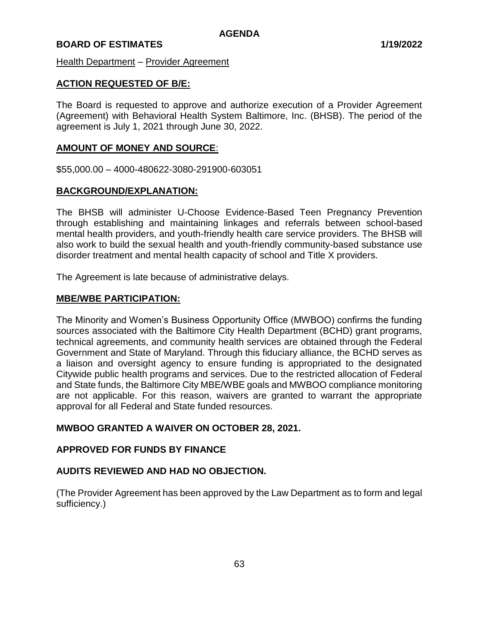Health Department – Provider Agreement

## **ACTION REQUESTED OF B/E:**

The Board is requested to approve and authorize execution of a Provider Agreement (Agreement) with Behavioral Health System Baltimore, Inc. (BHSB). The period of the agreement is July 1, 2021 through June 30, 2022.

## **AMOUNT OF MONEY AND SOURCE**:

\$55,000.00 – 4000-480622-3080-291900-603051

## **BACKGROUND/EXPLANATION:**

The BHSB will administer U-Choose Evidence-Based Teen Pregnancy Prevention through establishing and maintaining linkages and referrals between school-based mental health providers, and youth-friendly health care service providers. The BHSB will also work to build the sexual health and youth-friendly community-based substance use disorder treatment and mental health capacity of school and Title X providers.

The Agreement is late because of administrative delays.

## **MBE/WBE PARTICIPATION:**

The Minority and Women's Business Opportunity Office (MWBOO) confirms the funding sources associated with the Baltimore City Health Department (BCHD) grant programs, technical agreements, and community health services are obtained through the Federal Government and State of Maryland. Through this fiduciary alliance, the BCHD serves as a liaison and oversight agency to ensure funding is appropriated to the designated Citywide public health programs and services. Due to the restricted allocation of Federal and State funds, the Baltimore City MBE/WBE goals and MWBOO compliance monitoring are not applicable. For this reason, waivers are granted to warrant the appropriate approval for all Federal and State funded resources.

## **MWBOO GRANTED A WAIVER ON OCTOBER 28, 2021.**

## **APPROVED FOR FUNDS BY FINANCE**

## **AUDITS REVIEWED AND HAD NO OBJECTION.**

(The Provider Agreement has been approved by the Law Department as to form and legal sufficiency.)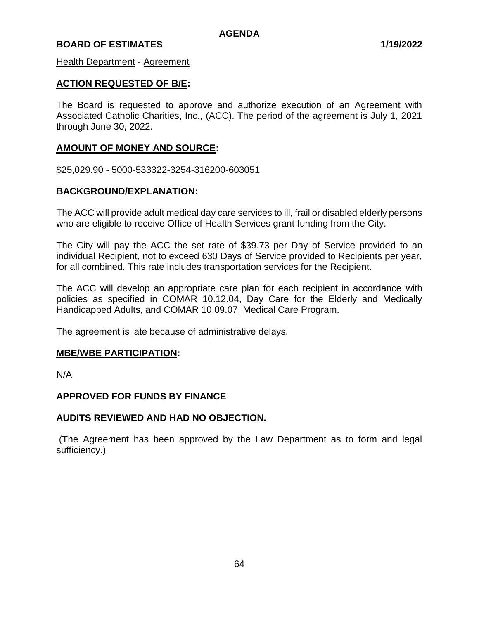**Health Department - Agreement** 

## **ACTION REQUESTED OF B/E:**

The Board is requested to approve and authorize execution of an Agreement with Associated Catholic Charities, Inc., (ACC). The period of the agreement is July 1, 2021 through June 30, 2022.

## **AMOUNT OF MONEY AND SOURCE:**

\$25,029.90 - 5000-533322-3254-316200-603051

## **BACKGROUND/EXPLANATION:**

The ACC will provide adult medical day care services to ill, frail or disabled elderly persons who are eligible to receive Office of Health Services grant funding from the City.

The City will pay the ACC the set rate of \$39.73 per Day of Service provided to an individual Recipient, not to exceed 630 Days of Service provided to Recipients per year, for all combined. This rate includes transportation services for the Recipient.

The ACC will develop an appropriate care plan for each recipient in accordance with policies as specified in COMAR 10.12.04, Day Care for the Elderly and Medically Handicapped Adults, and COMAR 10.09.07, Medical Care Program.

The agreement is late because of administrative delays.

#### **MBE/WBE PARTICIPATION:**

N/A

## **APPROVED FOR FUNDS BY FINANCE**

## **AUDITS REVIEWED AND HAD NO OBJECTION.**

(The Agreement has been approved by the Law Department as to form and legal sufficiency.)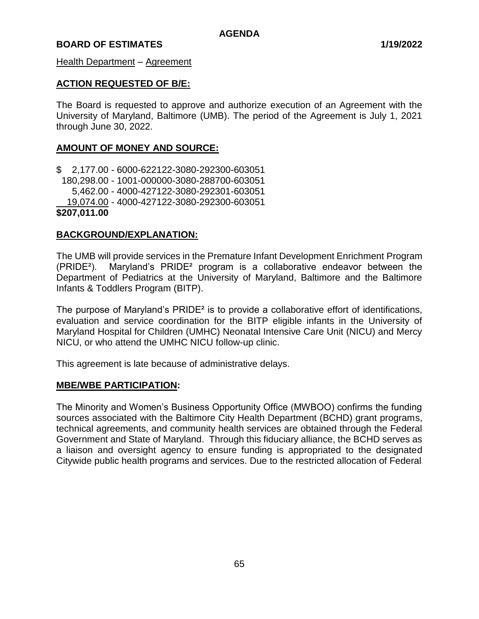Health Department – Agreement

## **ACTION REQUESTED OF B/E:**

The Board is requested to approve and authorize execution of an Agreement with the University of Maryland, Baltimore (UMB). The period of the Agreement is July 1, 2021 through June 30, 2022.

## **AMOUNT OF MONEY AND SOURCE:**

\$ 2,177.00 - 6000-622122-3080-292300-603051 180,298.00 - 1001-000000-3080-288700-603051 5,462.00 - 4000-427122-3080-292301-603051 19,074.00 - 4000-427122-3080-292300-603051 **\$207,011.00**

## **BACKGROUND/EXPLANATION:**

The UMB will provide services in the Premature Infant Development Enrichment Program (PRIDE²). Maryland's PRIDE² program is a collaborative endeavor between the Department of Pediatrics at the University of Maryland, Baltimore and the Baltimore Infants & Toddlers Program (BITP).

The purpose of Maryland's PRIDE² is to provide a collaborative effort of identifications, evaluation and service coordination for the BITP eligible infants in the University of Maryland Hospital for Children (UMHC) Neonatal Intensive Care Unit (NICU) and Mercy NICU, or who attend the UMHC NICU follow-up clinic.

This agreement is late because of administrative delays.

#### **MBE/WBE PARTICIPATION:**

The Minority and Women's Business Opportunity Office (MWBOO) confirms the funding sources associated with the Baltimore City Health Department (BCHD) grant programs, technical agreements, and community health services are obtained through the Federal Government and State of Maryland. Through this fiduciary alliance, the BCHD serves as a liaison and oversight agency to ensure funding is appropriated to the designated Citywide public health programs and services. Due to the restricted allocation of Federal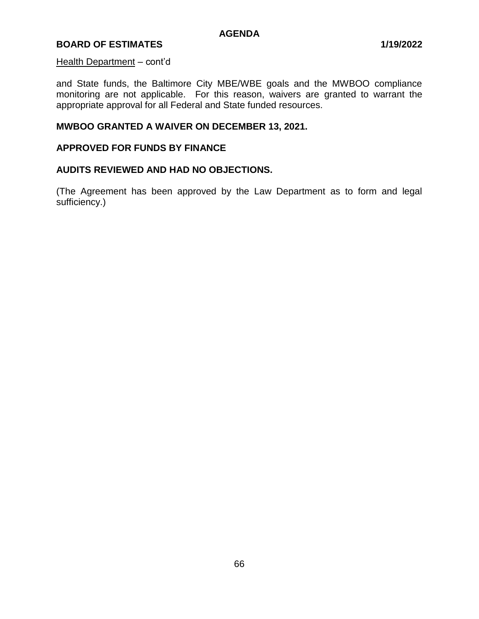#### Health Department – cont'd

and State funds, the Baltimore City MBE/WBE goals and the MWBOO compliance monitoring are not applicable. For this reason, waivers are granted to warrant the appropriate approval for all Federal and State funded resources.

#### **MWBOO GRANTED A WAIVER ON DECEMBER 13, 2021.**

## **APPROVED FOR FUNDS BY FINANCE**

#### **AUDITS REVIEWED AND HAD NO OBJECTIONS.**

(The Agreement has been approved by the Law Department as to form and legal sufficiency.)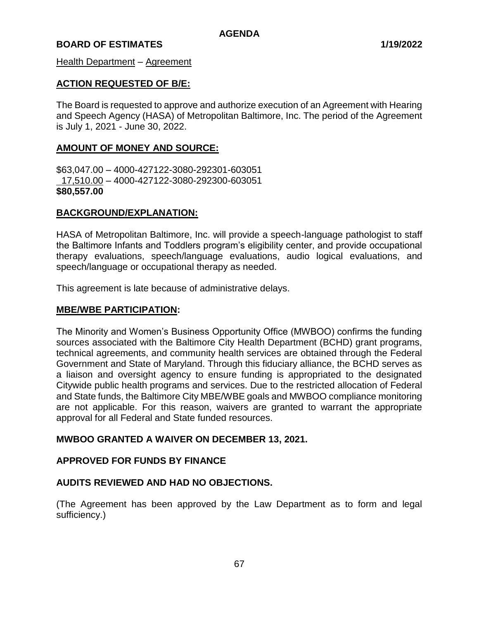Health Department – Agreement

## **ACTION REQUESTED OF B/E:**

The Board is requested to approve and authorize execution of an Agreement with Hearing and Speech Agency (HASA) of Metropolitan Baltimore, Inc. The period of the Agreement is July 1, 2021 - June 30, 2022.

## **AMOUNT OF MONEY AND SOURCE:**

\$63,047.00 – 4000-427122-3080-292301-603051 17,510.00 – 4000-427122-3080-292300-603051 **\$80,557.00**

## **BACKGROUND/EXPLANATION:**

HASA of Metropolitan Baltimore, Inc. will provide a speech-language pathologist to staff the Baltimore Infants and Toddlers program's eligibility center, and provide occupational therapy evaluations, speech/language evaluations, audio logical evaluations, and speech/language or occupational therapy as needed.

This agreement is late because of administrative delays.

## **MBE/WBE PARTICIPATION:**

The Minority and Women's Business Opportunity Office (MWBOO) confirms the funding sources associated with the Baltimore City Health Department (BCHD) grant programs, technical agreements, and community health services are obtained through the Federal Government and State of Maryland. Through this fiduciary alliance, the BCHD serves as a liaison and oversight agency to ensure funding is appropriated to the designated Citywide public health programs and services. Due to the restricted allocation of Federal and State funds, the Baltimore City MBE/WBE goals and MWBOO compliance monitoring are not applicable. For this reason, waivers are granted to warrant the appropriate approval for all Federal and State funded resources.

## **MWBOO GRANTED A WAIVER ON DECEMBER 13, 2021.**

## **APPROVED FOR FUNDS BY FINANCE**

## **AUDITS REVIEWED AND HAD NO OBJECTIONS.**

(The Agreement has been approved by the Law Department as to form and legal sufficiency.)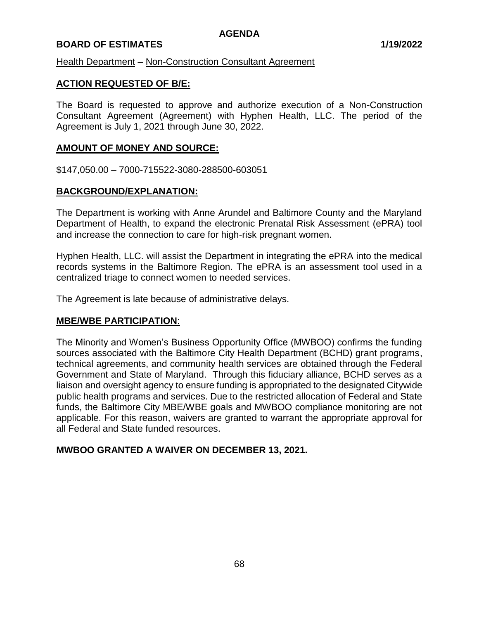# **BOARD OF ESTIMATES 1/19/2022**

Health Department – Non-Construction Consultant Agreement

## **ACTION REQUESTED OF B/E:**

The Board is requested to approve and authorize execution of a Non-Construction Consultant Agreement (Agreement) with Hyphen Health, LLC. The period of the Agreement is July 1, 2021 through June 30, 2022.

## **AMOUNT OF MONEY AND SOURCE:**

\$147,050.00 – 7000-715522-3080-288500-603051

## **BACKGROUND/EXPLANATION:**

The Department is working with Anne Arundel and Baltimore County and the Maryland Department of Health, to expand the electronic Prenatal Risk Assessment (ePRA) tool and increase the connection to care for high-risk pregnant women.

Hyphen Health, LLC. will assist the Department in integrating the ePRA into the medical records systems in the Baltimore Region. The ePRA is an assessment tool used in a centralized triage to connect women to needed services.

The Agreement is late because of administrative delays.

## **MBE/WBE PARTICIPATION**:

The Minority and Women's Business Opportunity Office (MWBOO) confirms the funding sources associated with the Baltimore City Health Department (BCHD) grant programs, technical agreements, and community health services are obtained through the Federal Government and State of Maryland. Through this fiduciary alliance, BCHD serves as a liaison and oversight agency to ensure funding is appropriated to the designated Citywide public health programs and services. Due to the restricted allocation of Federal and State funds, the Baltimore City MBE/WBE goals and MWBOO compliance monitoring are not applicable. For this reason, waivers are granted to warrant the appropriate approval for all Federal and State funded resources.

## **MWBOO GRANTED A WAIVER ON DECEMBER 13, 2021.**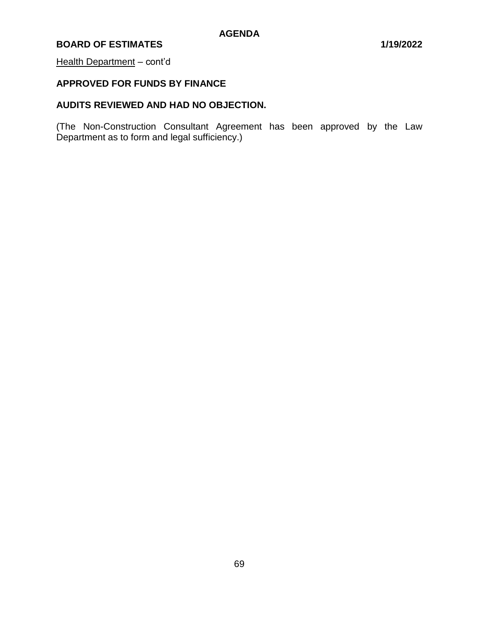## Health Department - cont'd

# **APPROVED FOR FUNDS BY FINANCE**

# **AUDITS REVIEWED AND HAD NO OBJECTION.**

(The Non-Construction Consultant Agreement has been approved by the Law Department as to form and legal sufficiency.)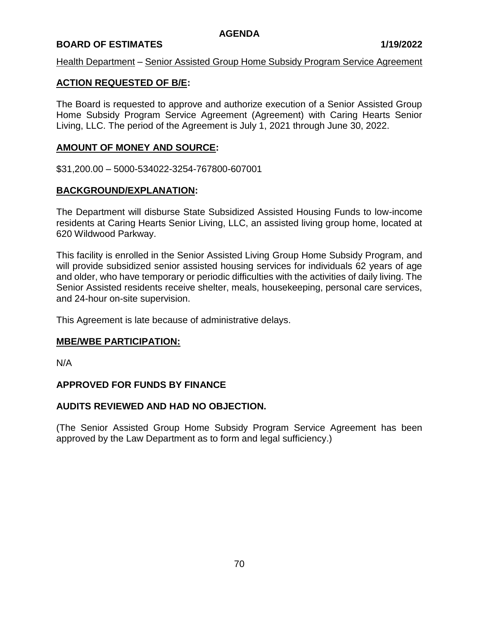## **BOARD OF ESTIMATES 1/19/2022**

## Health Department – Senior Assisted Group Home Subsidy Program Service Agreement

## **ACTION REQUESTED OF B/E:**

The Board is requested to approve and authorize execution of a Senior Assisted Group Home Subsidy Program Service Agreement (Agreement) with Caring Hearts Senior Living, LLC. The period of the Agreement is July 1, 2021 through June 30, 2022.

## **AMOUNT OF MONEY AND SOURCE:**

\$31,200.00 – 5000-534022-3254-767800-607001

## **BACKGROUND/EXPLANATION:**

The Department will disburse State Subsidized Assisted Housing Funds to low-income residents at Caring Hearts Senior Living, LLC, an assisted living group home, located at 620 Wildwood Parkway.

This facility is enrolled in the Senior Assisted Living Group Home Subsidy Program, and will provide subsidized senior assisted housing services for individuals 62 years of age and older, who have temporary or periodic difficulties with the activities of daily living. The Senior Assisted residents receive shelter, meals, housekeeping, personal care services, and 24-hour on-site supervision.

This Agreement is late because of administrative delays.

## **MBE/WBE PARTICIPATION:**

N/A

## **APPROVED FOR FUNDS BY FINANCE**

## **AUDITS REVIEWED AND HAD NO OBJECTION.**

(The Senior Assisted Group Home Subsidy Program Service Agreement has been approved by the Law Department as to form and legal sufficiency.)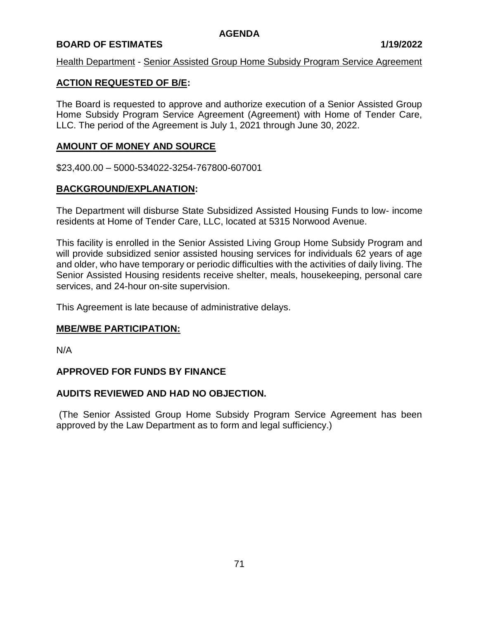## **BOARD OF ESTIMATES 1/19/2022**

## Health Department - Senior Assisted Group Home Subsidy Program Service Agreement

## **ACTION REQUESTED OF B/E:**

The Board is requested to approve and authorize execution of a Senior Assisted Group Home Subsidy Program Service Agreement (Agreement) with Home of Tender Care, LLC. The period of the Agreement is July 1, 2021 through June 30, 2022.

## **AMOUNT OF MONEY AND SOURCE**

\$23,400.00 – 5000-534022-3254-767800-607001

## **BACKGROUND/EXPLANATION:**

The Department will disburse State Subsidized Assisted Housing Funds to low- income residents at Home of Tender Care, LLC, located at 5315 Norwood Avenue.

This facility is enrolled in the Senior Assisted Living Group Home Subsidy Program and will provide subsidized senior assisted housing services for individuals 62 years of age and older, who have temporary or periodic difficulties with the activities of daily living. The Senior Assisted Housing residents receive shelter, meals, housekeeping, personal care services, and 24-hour on-site supervision.

This Agreement is late because of administrative delays.

## **MBE/WBE PARTICIPATION:**

N/A

## **APPROVED FOR FUNDS BY FINANCE**

## **AUDITS REVIEWED AND HAD NO OBJECTION.**

(The Senior Assisted Group Home Subsidy Program Service Agreement has been approved by the Law Department as to form and legal sufficiency.)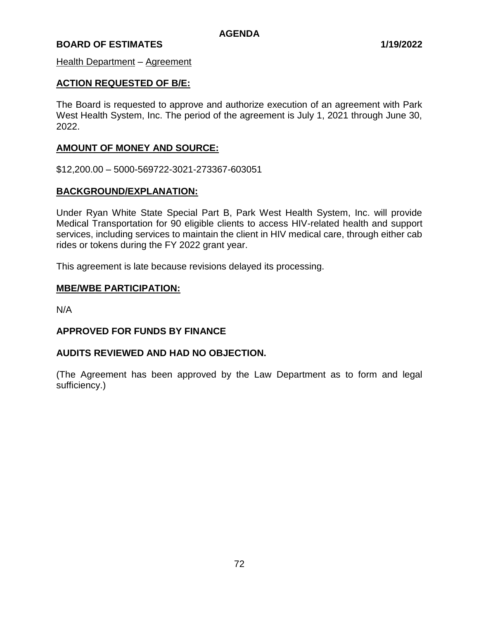Health Department – Agreement

## **ACTION REQUESTED OF B/E:**

The Board is requested to approve and authorize execution of an agreement with Park West Health System, Inc. The period of the agreement is July 1, 2021 through June 30, 2022.

## **AMOUNT OF MONEY AND SOURCE:**

\$12,200.00 – 5000-569722-3021-273367-603051

## **BACKGROUND/EXPLANATION:**

Under Ryan White State Special Part B, Park West Health System, Inc. will provide Medical Transportation for 90 eligible clients to access HIV-related health and support services, including services to maintain the client in HIV medical care, through either cab rides or tokens during the FY 2022 grant year.

This agreement is late because revisions delayed its processing.

## **MBE/WBE PARTICIPATION:**

N/A

## **APPROVED FOR FUNDS BY FINANCE**

## **AUDITS REVIEWED AND HAD NO OBJECTION.**

(The Agreement has been approved by the Law Department as to form and legal sufficiency.)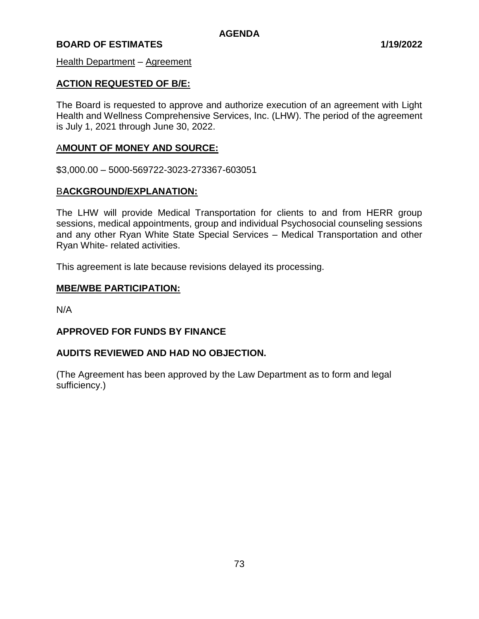Health Department - Agreement

## **ACTION REQUESTED OF B/E:**

The Board is requested to approve and authorize execution of an agreement with Light Health and Wellness Comprehensive Services, Inc. (LHW). The period of the agreement is July 1, 2021 through June 30, 2022.

## A**MOUNT OF MONEY AND SOURCE:**

\$3,000.00 – 5000-569722-3023-273367-603051

## B**ACKGROUND/EXPLANATION:**

The LHW will provide Medical Transportation for clients to and from HERR group sessions, medical appointments, group and individual Psychosocial counseling sessions and any other Ryan White State Special Services – Medical Transportation and other Ryan White- related activities.

This agreement is late because revisions delayed its processing.

#### **MBE/WBE PARTICIPATION:**

N/A

## **APPROVED FOR FUNDS BY FINANCE**

## **AUDITS REVIEWED AND HAD NO OBJECTION.**

(The Agreement has been approved by the Law Department as to form and legal sufficiency.)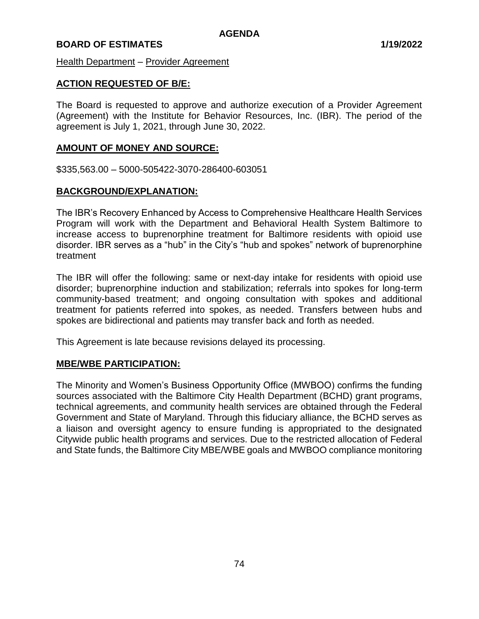Health Department - Provider Agreement

## **ACTION REQUESTED OF B/E:**

The Board is requested to approve and authorize execution of a Provider Agreement (Agreement) with the Institute for Behavior Resources, Inc. (IBR). The period of the agreement is July 1, 2021, through June 30, 2022.

## **AMOUNT OF MONEY AND SOURCE:**

\$335,563.00 – 5000-505422-3070-286400-603051

## **BACKGROUND/EXPLANATION:**

The IBR's Recovery Enhanced by Access to Comprehensive Healthcare Health Services Program will work with the Department and Behavioral Health System Baltimore to increase access to buprenorphine treatment for Baltimore residents with opioid use disorder. IBR serves as a "hub" in the City's "hub and spokes" network of buprenorphine treatment

The IBR will offer the following: same or next-day intake for residents with opioid use disorder; buprenorphine induction and stabilization; referrals into spokes for long-term community-based treatment; and ongoing consultation with spokes and additional treatment for patients referred into spokes, as needed. Transfers between hubs and spokes are bidirectional and patients may transfer back and forth as needed.

This Agreement is late because revisions delayed its processing.

## **MBE/WBE PARTICIPATION:**

The Minority and Women's Business Opportunity Office (MWBOO) confirms the funding sources associated with the Baltimore City Health Department (BCHD) grant programs, technical agreements, and community health services are obtained through the Federal Government and State of Maryland. Through this fiduciary alliance, the BCHD serves as a liaison and oversight agency to ensure funding is appropriated to the designated Citywide public health programs and services. Due to the restricted allocation of Federal and State funds, the Baltimore City MBE/WBE goals and MWBOO compliance monitoring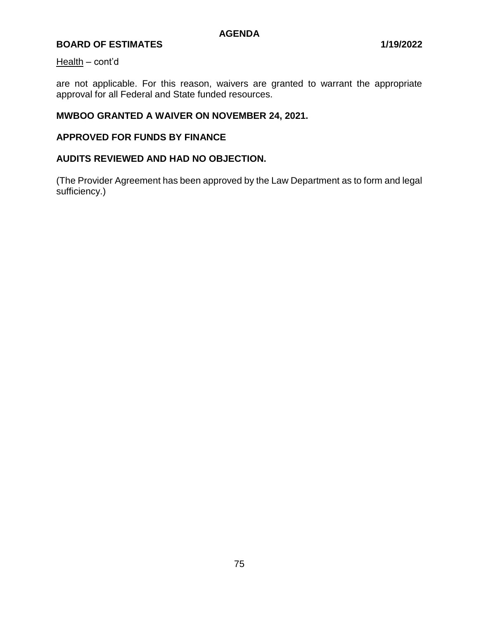#### Health – cont'd

are not applicable. For this reason, waivers are granted to warrant the appropriate approval for all Federal and State funded resources.

## **MWBOO GRANTED A WAIVER ON NOVEMBER 24, 2021.**

## **APPROVED FOR FUNDS BY FINANCE**

# **AUDITS REVIEWED AND HAD NO OBJECTION.**

(The Provider Agreement has been approved by the Law Department as to form and legal sufficiency.)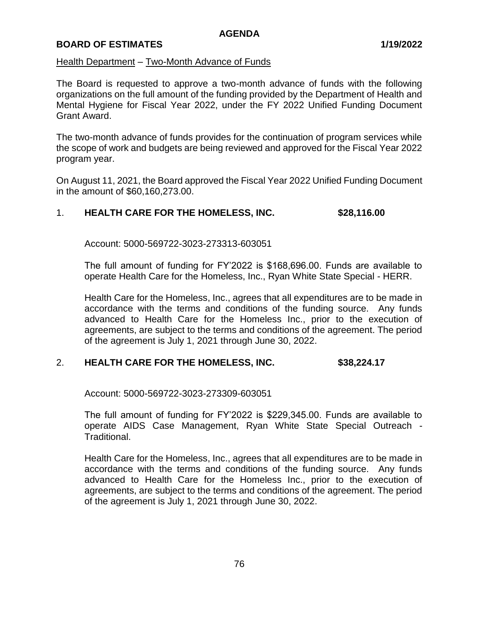#### Health Department – Two-Month Advance of Funds

The Board is requested to approve a two-month advance of funds with the following organizations on the full amount of the funding provided by the Department of Health and Mental Hygiene for Fiscal Year 2022, under the FY 2022 Unified Funding Document Grant Award.

The two-month advance of funds provides for the continuation of program services while the scope of work and budgets are being reviewed and approved for the Fiscal Year 2022 program year.

On August 11, 2021, the Board approved the Fiscal Year 2022 Unified Funding Document in the amount of \$60,160,273.00.

## 1. **HEALTH CARE FOR THE HOMELESS, INC. \$28,116.00**

Account: 5000-569722-3023-273313-603051

The full amount of funding for FY'2022 is \$168,696.00. Funds are available to operate Health Care for the Homeless, Inc., Ryan White State Special - HERR.

Health Care for the Homeless, Inc., agrees that all expenditures are to be made in accordance with the terms and conditions of the funding source. Any funds advanced to Health Care for the Homeless Inc., prior to the execution of agreements, are subject to the terms and conditions of the agreement. The period of the agreement is July 1, 2021 through June 30, 2022.

## 2. **HEALTH CARE FOR THE HOMELESS, INC. \$38,224.17**

Account: 5000-569722-3023-273309-603051

The full amount of funding for FY'2022 is \$229,345.00. Funds are available to operate AIDS Case Management, Ryan White State Special Outreach - Traditional.

Health Care for the Homeless, Inc., agrees that all expenditures are to be made in accordance with the terms and conditions of the funding source. Any funds advanced to Health Care for the Homeless Inc., prior to the execution of agreements, are subject to the terms and conditions of the agreement. The period of the agreement is July 1, 2021 through June 30, 2022.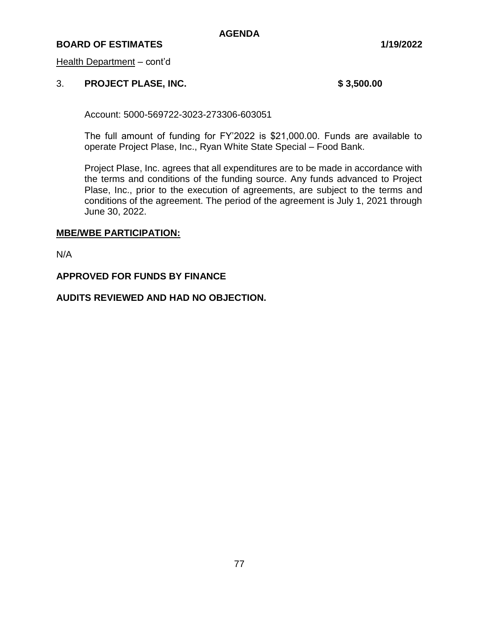## **BOARD OF ESTIMATES 1/19/2022**

Health Department – cont'd

#### 3. **PROJECT PLASE, INC. \$ 3,500.00**

Account: 5000-569722-3023-273306-603051

The full amount of funding for FY'2022 is \$21,000.00. Funds are available to operate Project Plase, Inc., Ryan White State Special – Food Bank.

Project Plase, Inc. agrees that all expenditures are to be made in accordance with the terms and conditions of the funding source. Any funds advanced to Project Plase, Inc., prior to the execution of agreements, are subject to the terms and conditions of the agreement. The period of the agreement is July 1, 2021 through June 30, 2022.

#### **MBE/WBE PARTICIPATION:**

N/A

## **APPROVED FOR FUNDS BY FINANCE**

## **AUDITS REVIEWED AND HAD NO OBJECTION.**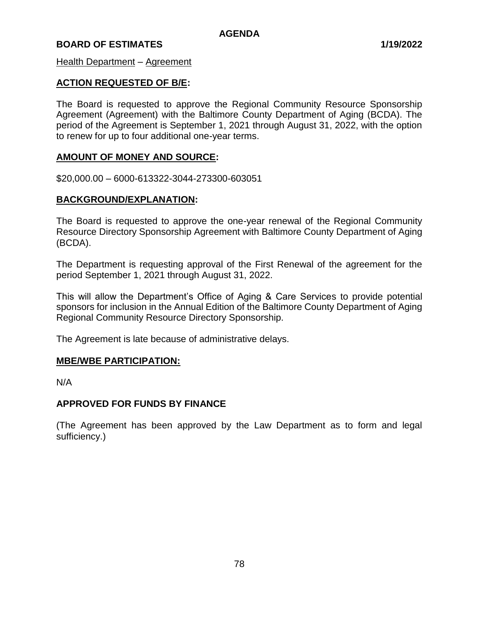Health Department – Agreement

#### **ACTION REQUESTED OF B/E:**

The Board is requested to approve the Regional Community Resource Sponsorship Agreement (Agreement) with the Baltimore County Department of Aging (BCDA). The period of the Agreement is September 1, 2021 through August 31, 2022, with the option to renew for up to four additional one-year terms.

#### **AMOUNT OF MONEY AND SOURCE:**

\$20,000.00 – 6000-613322-3044-273300-603051

#### **BACKGROUND/EXPLANATION:**

The Board is requested to approve the one-year renewal of the Regional Community Resource Directory Sponsorship Agreement with Baltimore County Department of Aging (BCDA).

The Department is requesting approval of the First Renewal of the agreement for the period September 1, 2021 through August 31, 2022.

This will allow the Department's Office of Aging & Care Services to provide potential sponsors for inclusion in the Annual Edition of the Baltimore County Department of Aging Regional Community Resource Directory Sponsorship.

The Agreement is late because of administrative delays.

#### **MBE/WBE PARTICIPATION:**

N/A

## **APPROVED FOR FUNDS BY FINANCE**

(The Agreement has been approved by the Law Department as to form and legal sufficiency.)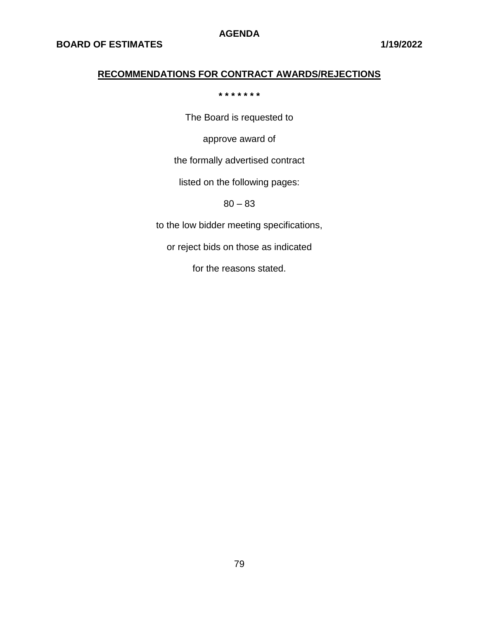# **RECOMMENDATIONS FOR CONTRACT AWARDS/REJECTIONS**

#### **\* \* \* \* \* \* \***

The Board is requested to

approve award of

the formally advertised contract

listed on the following pages:

80 – 83

to the low bidder meeting specifications,

or reject bids on those as indicated

for the reasons stated.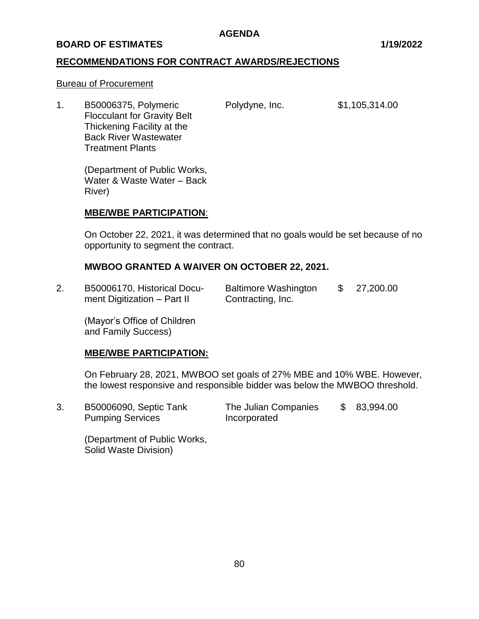## **BOARD OF ESTIMATES 1/19/2022**

## **RECOMMENDATIONS FOR CONTRACT AWARDS/REJECTIONS**

#### Bureau of Procurement

1. B50006375, Polymeric Polydyne, Inc. \$1,105,314.00 Flocculant for Gravity Belt Thickening Facility at the Back River Wastewater Treatment Plants

(Department of Public Works, Water & Waste Water – Back River)

## **MBE/WBE PARTICIPATION**:

On October 22, 2021, it was determined that no goals would be set because of no opportunity to segment the contract.

## **MWBOO GRANTED A WAIVER ON OCTOBER 22, 2021.**

2. B50006170, Historical Docu- Baltimore Washington \$ 27,200.00 ment Digitization  $-$  Part II Contracting, Inc.

(Mayor's Office of Children and Family Success)

## **MBE/WBE PARTICIPATION:**

On February 28, 2021, MWBOO set goals of 27% MBE and 10% WBE. However, the lowest responsive and responsible bidder was below the MWBOO threshold.

3. B50006090, Septic Tank The Julian Companies \$ 83,994.00 Pumping Services **Incorporated** 

(Department of Public Works, Solid Waste Division)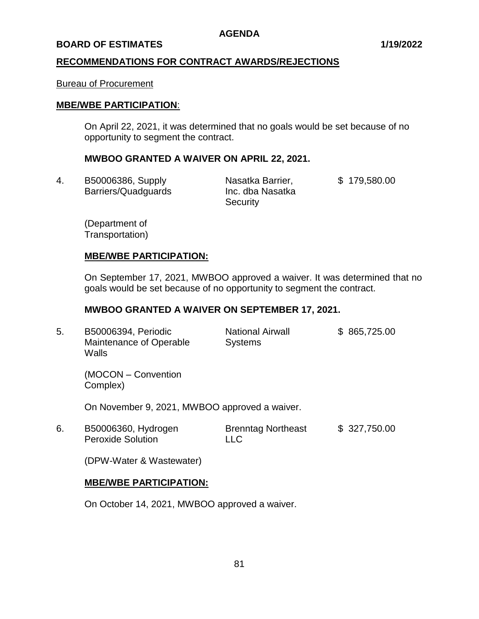#### **BOARD OF ESTIMATES 1/19/2022**

## **RECOMMENDATIONS FOR CONTRACT AWARDS/REJECTIONS**

#### Bureau of Procurement

## **MBE/WBE PARTICIPATION**:

On April 22, 2021, it was determined that no goals would be set because of no opportunity to segment the contract.

## **MWBOO GRANTED A WAIVER ON APRIL 22, 2021.**

4. B50006386, Supply Nasatka Barrier, \$ 179,580.00 Barriers/Quadquards Inc. dba Nasatka

**Security** 

(Department of Transportation)

#### **MBE/WBE PARTICIPATION:**

On September 17, 2021, MWBOO approved a waiver. It was determined that no goals would be set because of no opportunity to segment the contract.

## **MWBOO GRANTED A WAIVER ON SEPTEMBER 17, 2021.**

5. B50006394, Periodic National Airwall \$ 865,725.00 Maintenance of Operable Systems **Walls** 

(MOCON – Convention Complex)

On November 9, 2021, MWBOO approved a waiver.

6. B50006360, Hydrogen Brenntag Northeast \$ 327,750.00 Peroxide Solution **LLC** 

(DPW-Water & Wastewater)

## **MBE/WBE PARTICIPATION:**

On October 14, 2021, MWBOO approved a waiver.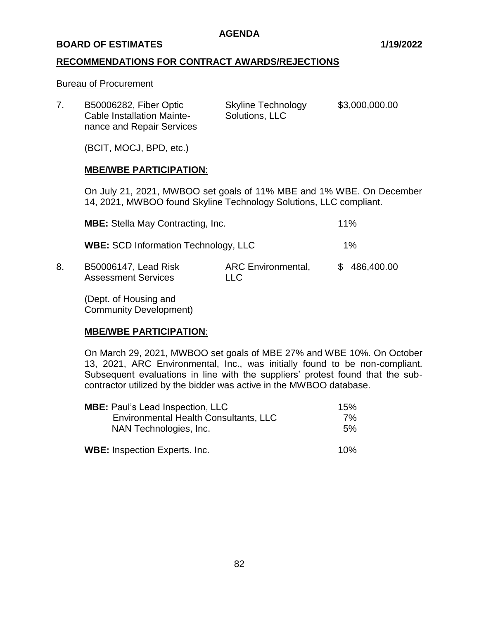#### **BOARD OF ESTIMATES 1/19/2022**

## **RECOMMENDATIONS FOR CONTRACT AWARDS/REJECTIONS**

#### Bureau of Procurement

| <b>B50006282, Fiber Optic</b><br><b>Cable Installation Mainte-</b><br>nance and Repair Services | <b>Skyline Technology</b><br>Solutions, LLC | \$3,000,000.00 |
|-------------------------------------------------------------------------------------------------|---------------------------------------------|----------------|
| (BCIT, MOCJ, BPD, etc.)                                                                         |                                             |                |

## **MBE/WBE PARTICIPATION**:

On July 21, 2021, MWBOO set goals of 11% MBE and 1% WBE. On December 14, 2021, MWBOO found Skyline Technology Solutions, LLC compliant.

|    | <b>MBE:</b> Stella May Contracting, Inc.<br><b>WBE: SCD Information Technology, LLC</b> |                                   | 11%<br>$1\%$ |            |
|----|-----------------------------------------------------------------------------------------|-----------------------------------|--------------|------------|
|    |                                                                                         |                                   |              |            |
| 8. | B50006147, Lead Risk<br><b>Assessment Services</b>                                      | <b>ARC Environmental,</b><br>LLC. | SS.          | 486,400.00 |

(Dept. of Housing and Community Development)

## **MBE/WBE PARTICIPATION**:

On March 29, 2021, MWBOO set goals of MBE 27% and WBE 10%. On October 13, 2021, ARC Environmental, Inc., was initially found to be non-compliant. Subsequent evaluations in line with the suppliers' protest found that the subcontractor utilized by the bidder was active in the MWBOO database.

| <b>MBE:</b> Paul's Lead Inspection, LLC                                | 15%      |  |
|------------------------------------------------------------------------|----------|--|
| <b>Environmental Health Consultants, LLC</b><br>NAN Technologies, Inc. | 7%<br>5% |  |
| <b>WBE:</b> Inspection Experts. Inc.                                   | 10%      |  |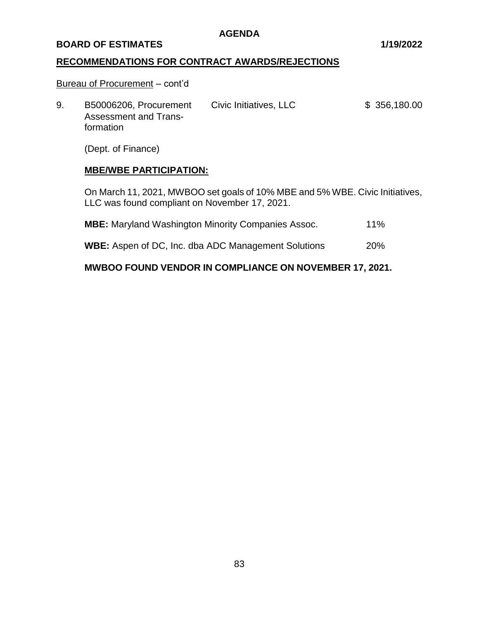#### **BOARD OF ESTIMATES 1/19/2022**

## **RECOMMENDATIONS FOR CONTRACT AWARDS/REJECTIONS**

#### Bureau of Procurement – cont'd

9. B50006206, Procurement Civic Initiatives, LLC \$ 356,180.00 Assessment and Transformation

(Dept. of Finance)

# **MBE/WBE PARTICIPATION:**

On March 11, 2021, MWBOO set goals of 10% MBE and 5% WBE. Civic Initiatives, LLC was found compliant on November 17, 2021.

| <b>MBE:</b> Maryland Washington Minority Companies Assoc.  | $11\%$     |
|------------------------------------------------------------|------------|
| <b>WBE:</b> Aspen of DC, Inc. dba ADC Management Solutions | <b>20%</b> |

# **MWBOO FOUND VENDOR IN COMPLIANCE ON NOVEMBER 17, 2021.**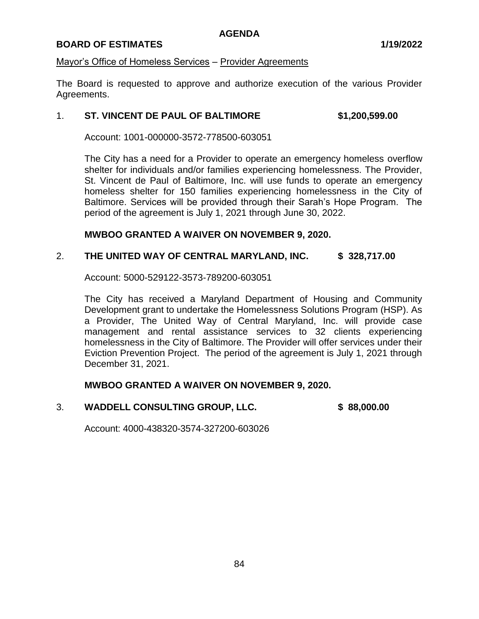## **BOARD OF ESTIMATES 1/19/2022**

## Mayor's Office of Homeless Services – Provider Agreements

The Board is requested to approve and authorize execution of the various Provider Agreements.

## 1. **ST. VINCENT DE PAUL OF BALTIMORE \$1,200,599.00**

Account: 1001-000000-3572-778500-603051

The City has a need for a Provider to operate an emergency homeless overflow shelter for individuals and/or families experiencing homelessness. The Provider, St. Vincent de Paul of Baltimore, Inc. will use funds to operate an emergency homeless shelter for 150 families experiencing homelessness in the City of Baltimore. Services will be provided through their Sarah's Hope Program. The period of the agreement is July 1, 2021 through June 30, 2022.

#### **MWBOO GRANTED A WAIVER ON NOVEMBER 9, 2020.**

## 2. **THE UNITED WAY OF CENTRAL MARYLAND, INC. \$ 328,717.00**

Account: 5000-529122-3573-789200-603051

The City has received a Maryland Department of Housing and Community Development grant to undertake the Homelessness Solutions Program (HSP). As a Provider, The United Way of Central Maryland, Inc. will provide case management and rental assistance services to 32 clients experiencing homelessness in the City of Baltimore. The Provider will offer services under their Eviction Prevention Project. The period of the agreement is July 1, 2021 through December 31, 2021.

## **MWBOO GRANTED A WAIVER ON NOVEMBER 9, 2020.**

3. **WADDELL CONSULTING GROUP, LLC. \$ 88,000.00**

Account: 4000-438320-3574-327200-603026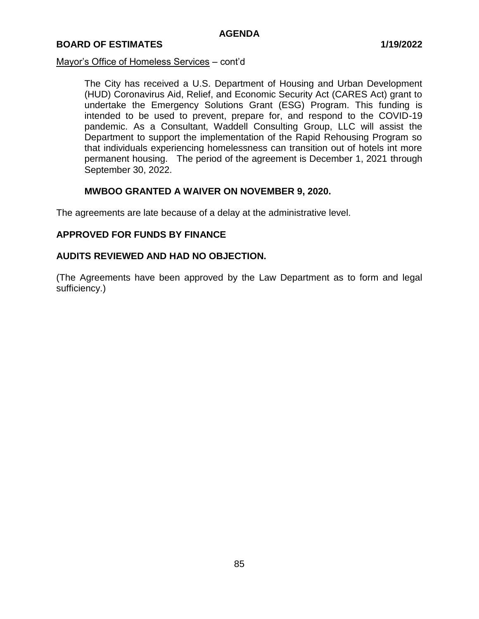#### Mayor's Office of Homeless Services – cont'd

The City has received a U.S. Department of Housing and Urban Development (HUD) Coronavirus Aid, Relief, and Economic Security Act (CARES Act) grant to undertake the Emergency Solutions Grant (ESG) Program. This funding is intended to be used to prevent, prepare for, and respond to the COVID-19 pandemic. As a Consultant, Waddell Consulting Group, LLC will assist the Department to support the implementation of the Rapid Rehousing Program so that individuals experiencing homelessness can transition out of hotels int more permanent housing. The period of the agreement is December 1, 2021 through September 30, 2022.

## **MWBOO GRANTED A WAIVER ON NOVEMBER 9, 2020.**

The agreements are late because of a delay at the administrative level.

## **APPROVED FOR FUNDS BY FINANCE**

## **AUDITS REVIEWED AND HAD NO OBJECTION.**

(The Agreements have been approved by the Law Department as to form and legal sufficiency.)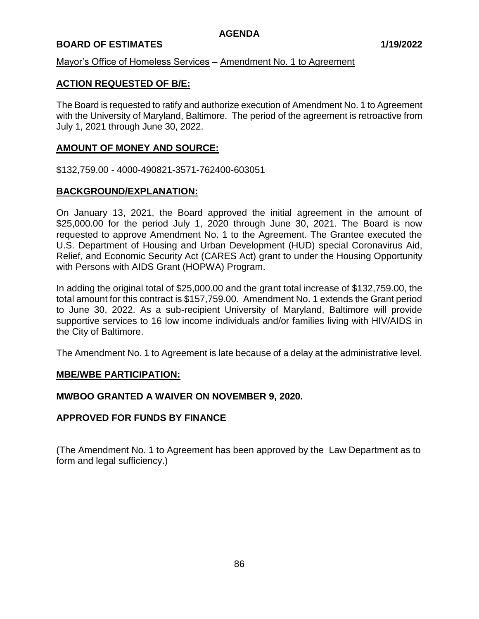## **BOARD OF ESTIMATES 1/19/2022**

## Mayor's Office of Homeless Services – Amendment No. 1 to Agreement

## **ACTION REQUESTED OF B/E:**

The Board is requested to ratify and authorize execution of Amendment No. 1 to Agreement with the University of Maryland, Baltimore. The period of the agreement is retroactive from July 1, 2021 through June 30, 2022.

## **AMOUNT OF MONEY AND SOURCE:**

\$132,759.00 - 4000-490821-3571-762400-603051

## **BACKGROUND/EXPLANATION:**

On January 13, 2021, the Board approved the initial agreement in the amount of \$25,000.00 for the period July 1, 2020 through June 30, 2021. The Board is now requested to approve Amendment No. 1 to the Agreement. The Grantee executed the U.S. Department of Housing and Urban Development (HUD) special Coronavirus Aid, Relief, and Economic Security Act (CARES Act) grant to under the Housing Opportunity with Persons with AIDS Grant (HOPWA) Program.

In adding the original total of \$25,000.00 and the grant total increase of \$132,759.00, the total amount for this contract is \$157,759.00. Amendment No. 1 extends the Grant period to June 30, 2022. As a sub-recipient University of Maryland, Baltimore will provide supportive services to 16 low income individuals and/or families living with HIV/AIDS in the City of Baltimore.

The Amendment No. 1 to Agreement is late because of a delay at the administrative level.

## **MBE/WBE PARTICIPATION:**

## **MWBOO GRANTED A WAIVER ON NOVEMBER 9, 2020.**

## **APPROVED FOR FUNDS BY FINANCE**

(The Amendment No. 1 to Agreement has been approved by the Law Department as to form and legal sufficiency.)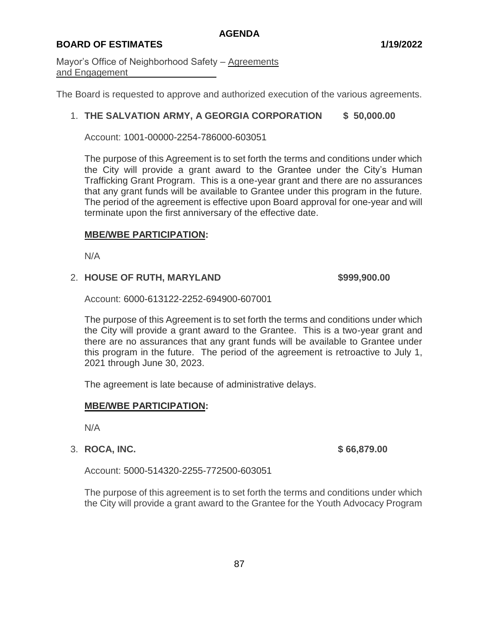# **BOARD OF ESTIMATES 1/19/2022**

Mayor's Office of Neighborhood Safety – Agreements and Engagement

The Board is requested to approve and authorized execution of the various agreements.

## 1. **THE SALVATION ARMY, A GEORGIA CORPORATION \$ 50,000.00**

Account: 1001-00000-2254-786000-603051

The purpose of this Agreement is to set forth the terms and conditions under which the City will provide a grant award to the Grantee under the City's Human Trafficking Grant Program. This is a one-year grant and there are no assurances that any grant funds will be available to Grantee under this program in the future. The period of the agreement is effective upon Board approval for one-year and will terminate upon the first anniversary of the effective date.

## **MBE/WBE PARTICIPATION:**

N/A

## 2. **HOUSE OF RUTH, MARYLAND \$999,900.00**

Account: 6000-613122-2252-694900-607001

The purpose of this Agreement is to set forth the terms and conditions under which the City will provide a grant award to the Grantee. This is a two-year grant and there are no assurances that any grant funds will be available to Grantee under this program in the future. The period of the agreement is retroactive to July 1, 2021 through June 30, 2023.

The agreement is late because of administrative delays.

## **MBE/WBE PARTICIPATION:**

N/A

## 3. **ROCA, INC. \$ 66,879.00**

Account: 5000-514320-2255-772500-603051

The purpose of this agreement is to set forth the terms and conditions under which the City will provide a grant award to the Grantee for the Youth Advocacy Program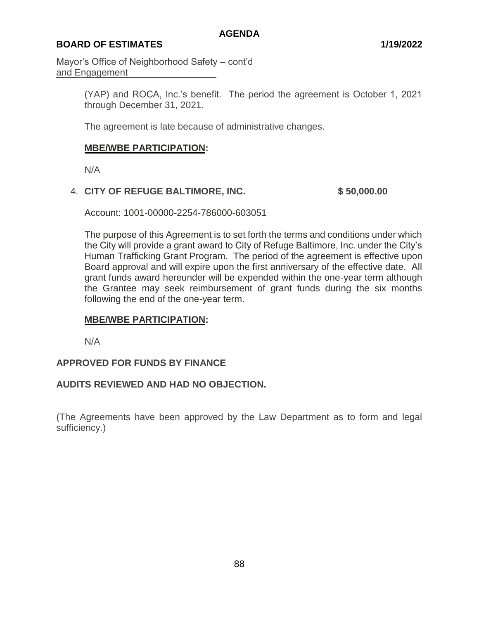# **BOARD OF ESTIMATES 1/19/2022**

Mayor's Office of Neighborhood Safety – cont'd and Engagement

> (YAP) and ROCA, Inc.'s benefit. The period the agreement is October 1, 2021 through December 31, 2021.

The agreement is late because of administrative changes.

## **MBE/WBE PARTICIPATION:**

N/A

## 4. **CITY OF REFUGE BALTIMORE, INC. \$ 50,000.00**

Account: 1001-00000-2254-786000-603051

The purpose of this Agreement is to set forth the terms and conditions under which the City will provide a grant award to City of Refuge Baltimore, Inc. under the City's Human Trafficking Grant Program. The period of the agreement is effective upon Board approval and will expire upon the first anniversary of the effective date. All grant funds award hereunder will be expended within the one-year term although the Grantee may seek reimbursement of grant funds during the six months following the end of the one-year term.

## **MBE/WBE PARTICIPATION:**

N/A

## **APPROVED FOR FUNDS BY FINANCE**

## **AUDITS REVIEWED AND HAD NO OBJECTION.**

(The Agreements have been approved by the Law Department as to form and legal sufficiency.)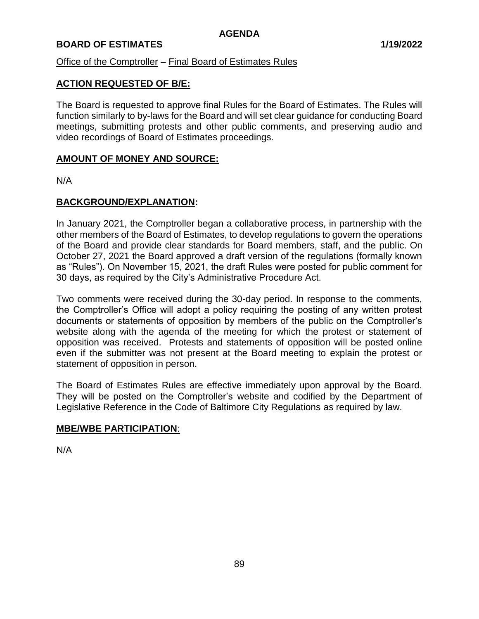## **BOARD OF ESTIMATES 1/19/2022**

## Office of the Comptroller – Final Board of Estimates Rules

## **ACTION REQUESTED OF B/E:**

The Board is requested to approve final Rules for the Board of Estimates. The Rules will function similarly to by-laws for the Board and will set clear guidance for conducting Board meetings, submitting protests and other public comments, and preserving audio and video recordings of Board of Estimates proceedings.

## **AMOUNT OF MONEY AND SOURCE:**

N/A

## **BACKGROUND/EXPLANATION:**

In January 2021, the Comptroller began a collaborative process, in partnership with the other members of the Board of Estimates, to develop regulations to govern the operations of the Board and provide clear standards for Board members, staff, and the public. On October 27, 2021 the Board approved a draft version of the regulations (formally known as "Rules"). On November 15, 2021, the draft Rules were posted for public comment for 30 days, as required by the City's Administrative Procedure Act.

Two comments were received during the 30-day period. In response to the comments, the Comptroller's Office will adopt a policy requiring the posting of any written protest documents or statements of opposition by members of the public on the Comptroller's website along with the agenda of the meeting for which the protest or statement of opposition was received. Protests and statements of opposition will be posted online even if the submitter was not present at the Board meeting to explain the protest or statement of opposition in person.

The Board of Estimates Rules are effective immediately upon approval by the Board. They will be posted on the Comptroller's website and codified by the Department of Legislative Reference in the Code of Baltimore City Regulations as required by law.

## **MBE/WBE PARTICIPATION**:

N/A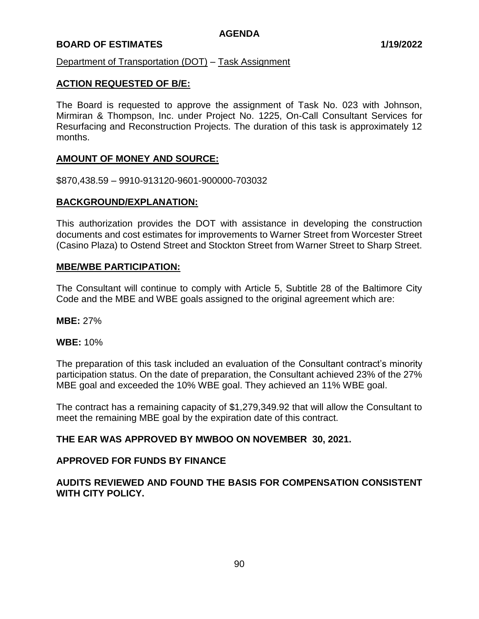## **BOARD OF ESTIMATES 1/19/2022**

Department of Transportation (DOT) – Task Assignment

## **ACTION REQUESTED OF B/E:**

The Board is requested to approve the assignment of Task No. 023 with Johnson, Mirmiran & Thompson, Inc. under Project No. 1225, On-Call Consultant Services for Resurfacing and Reconstruction Projects. The duration of this task is approximately 12 months.

## **AMOUNT OF MONEY AND SOURCE:**

\$870,438.59 – 9910-913120-9601-900000-703032

## **BACKGROUND/EXPLANATION:**

This authorization provides the DOT with assistance in developing the construction documents and cost estimates for improvements to Warner Street from Worcester Street (Casino Plaza) to Ostend Street and Stockton Street from Warner Street to Sharp Street.

#### **MBE/WBE PARTICIPATION:**

The Consultant will continue to comply with Article 5, Subtitle 28 of the Baltimore City Code and the MBE and WBE goals assigned to the original agreement which are:

**MBE:** 27%

#### **WBE:** 10%

The preparation of this task included an evaluation of the Consultant contract's minority participation status. On the date of preparation, the Consultant achieved 23% of the 27% MBE goal and exceeded the 10% WBE goal. They achieved an 11% WBE goal.

The contract has a remaining capacity of \$1,279,349.92 that will allow the Consultant to meet the remaining MBE goal by the expiration date of this contract.

## **THE EAR WAS APPROVED BY MWBOO ON NOVEMBER 30, 2021.**

## **APPROVED FOR FUNDS BY FINANCE**

## **AUDITS REVIEWED AND FOUND THE BASIS FOR COMPENSATION CONSISTENT WITH CITY POLICY.**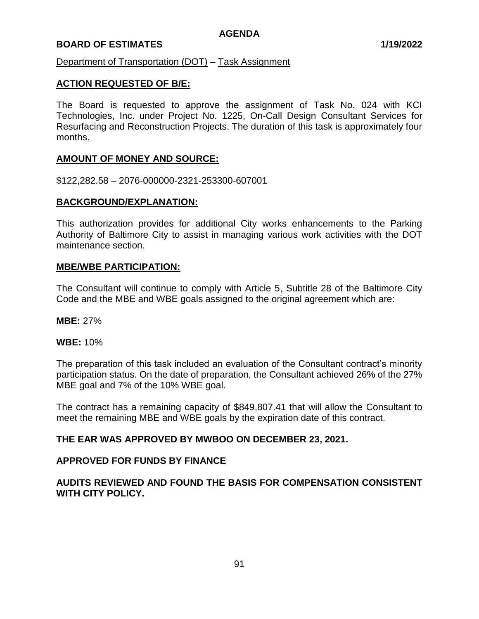## **BOARD OF ESTIMATES 1/19/2022**

Department of Transportation (DOT) – Task Assignment

## **ACTION REQUESTED OF B/E:**

The Board is requested to approve the assignment of Task No. 024 with KCI Technologies, Inc. under Project No. 1225, On-Call Design Consultant Services for Resurfacing and Reconstruction Projects. The duration of this task is approximately four months.

## **AMOUNT OF MONEY AND SOURCE:**

\$122,282.58 – 2076-000000-2321-253300-607001

## **BACKGROUND/EXPLANATION:**

This authorization provides for additional City works enhancements to the Parking Authority of Baltimore City to assist in managing various work activities with the DOT maintenance section.

#### **MBE/WBE PARTICIPATION:**

The Consultant will continue to comply with Article 5, Subtitle 28 of the Baltimore City Code and the MBE and WBE goals assigned to the original agreement which are:

**MBE:** 27%

#### **WBE:** 10%

The preparation of this task included an evaluation of the Consultant contract's minority participation status. On the date of preparation, the Consultant achieved 26% of the 27% MBE goal and 7% of the 10% WBE goal.

The contract has a remaining capacity of \$849,807.41 that will allow the Consultant to meet the remaining MBE and WBE goals by the expiration date of this contract.

## **THE EAR WAS APPROVED BY MWBOO ON DECEMBER 23, 2021.**

## **APPROVED FOR FUNDS BY FINANCE**

## **AUDITS REVIEWED AND FOUND THE BASIS FOR COMPENSATION CONSISTENT WITH CITY POLICY.**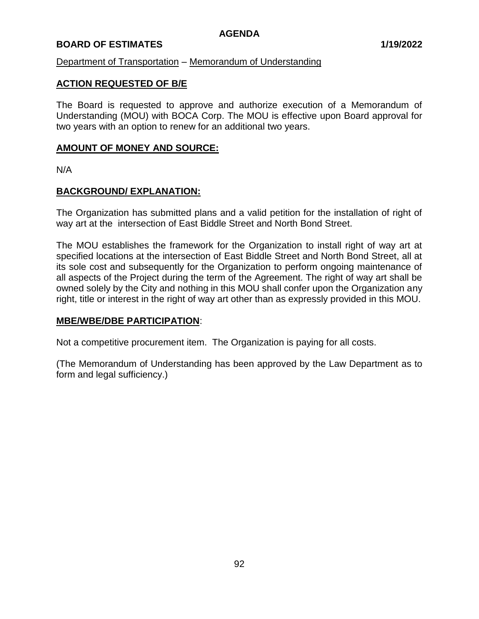## **BOARD OF ESTIMATES 1/19/2022**

## Department of Transportation – Memorandum of Understanding

## **ACTION REQUESTED OF B/E**

The Board is requested to approve and authorize execution of a Memorandum of Understanding (MOU) with BOCA Corp. The MOU is effective upon Board approval for two years with an option to renew for an additional two years.

## **AMOUNT OF MONEY AND SOURCE:**

N/A

## **BACKGROUND/ EXPLANATION:**

The Organization has submitted plans and a valid petition for the installation of right of way art at the intersection of East Biddle Street and North Bond Street.

The MOU establishes the framework for the Organization to install right of way art at specified locations at the intersection of East Biddle Street and North Bond Street, all at its sole cost and subsequently for the Organization to perform ongoing maintenance of all aspects of the Project during the term of the Agreement. The right of way art shall be owned solely by the City and nothing in this MOU shall confer upon the Organization any right, title or interest in the right of way art other than as expressly provided in this MOU.

## **MBE/WBE/DBE PARTICIPATION**:

Not a competitive procurement item. The Organization is paying for all costs.

(The Memorandum of Understanding has been approved by the Law Department as to form and legal sufficiency.)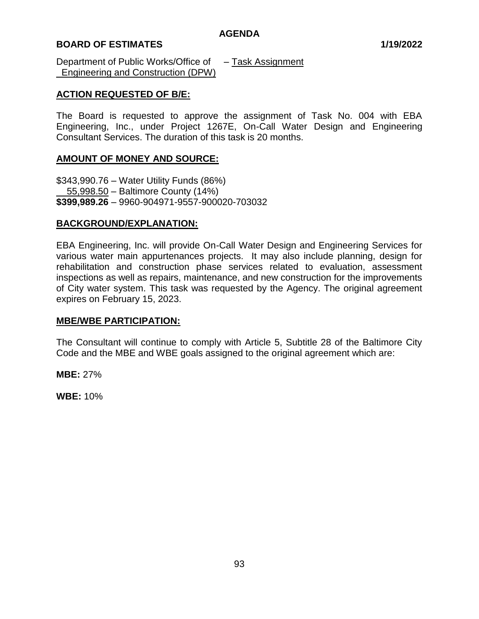## **BOARD OF ESTIMATES 1/19/2022**

Department of Public Works/Office of – Task Assignment Engineering and Construction (DPW)

## **ACTION REQUESTED OF B/E:**

The Board is requested to approve the assignment of Task No. 004 with EBA Engineering, Inc., under Project 1267E, On-Call Water Design and Engineering Consultant Services. The duration of this task is 20 months.

## **AMOUNT OF MONEY AND SOURCE:**

\$343,990.76 – Water Utility Funds (86%) 55,998.50 – Baltimore County (14%) **\$399,989.26** – 9960-904971-9557-900020-703032

## **BACKGROUND/EXPLANATION:**

EBA Engineering, Inc. will provide On-Call Water Design and Engineering Services for various water main appurtenances projects. It may also include planning, design for rehabilitation and construction phase services related to evaluation, assessment inspections as well as repairs, maintenance, and new construction for the improvements of City water system. This task was requested by the Agency. The original agreement expires on February 15, 2023.

## **MBE/WBE PARTICIPATION:**

The Consultant will continue to comply with Article 5, Subtitle 28 of the Baltimore City Code and the MBE and WBE goals assigned to the original agreement which are:

**MBE:** 27%

**WBE:** 10%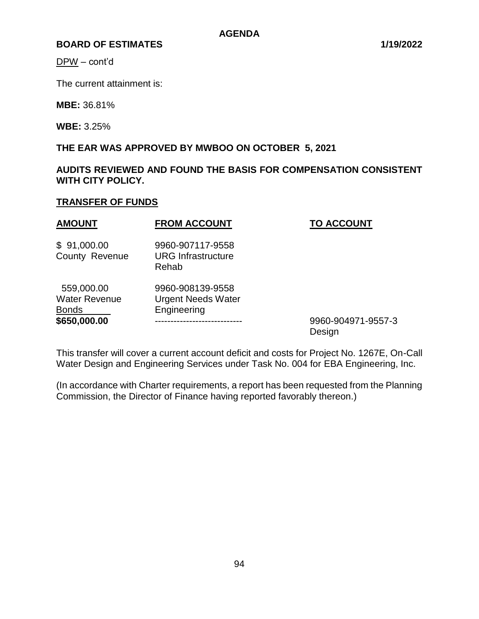DPW – cont'd

The current attainment is:

**MBE:** 36.81%

**WBE:** 3.25%

# **THE EAR WAS APPROVED BY MWBOO ON OCTOBER 5, 2021**

**AUDITS REVIEWED AND FOUND THE BASIS FOR COMPENSATION CONSISTENT WITH CITY POLICY.**

# **TRANSFER OF FUNDS**

| <b>AMOUNT</b>                                                      | <b>FROM ACCOUNT</b>                                          | <b>TO ACCOUNT</b>            |
|--------------------------------------------------------------------|--------------------------------------------------------------|------------------------------|
| \$91,000.00<br>County Revenue                                      | 9960-907117-9558<br><b>URG</b> Infrastructure<br>Rehab       |                              |
| 559,000.00<br><b>Water Revenue</b><br><b>Bonds</b><br>\$650,000.00 | 9960-908139-9558<br><b>Urgent Needs Water</b><br>Engineering | 9960-904971-9557-3<br>Design |

This transfer will cover a current account deficit and costs for Project No. 1267E, On-Call Water Design and Engineering Services under Task No. 004 for EBA Engineering, Inc.

(In accordance with Charter requirements, a report has been requested from the Planning Commission, the Director of Finance having reported favorably thereon.)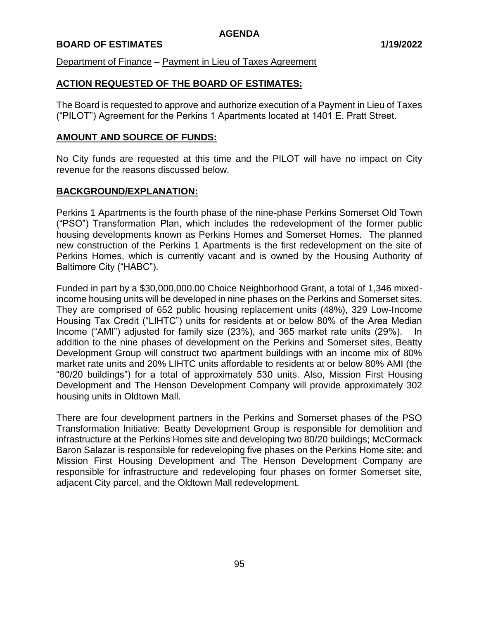## **BOARD OF ESTIMATES 1/19/2022**

Department of Finance – Payment in Lieu of Taxes Agreement

## **ACTION REQUESTED OF THE BOARD OF ESTIMATES:**

The Board is requested to approve and authorize execution of a Payment in Lieu of Taxes ("PILOT") Agreement for the Perkins 1 Apartments located at 1401 E. Pratt Street.

#### **AMOUNT AND SOURCE OF FUNDS:**

No City funds are requested at this time and the PILOT will have no impact on City revenue for the reasons discussed below.

#### **BACKGROUND/EXPLANATION:**

Perkins 1 Apartments is the fourth phase of the nine-phase Perkins Somerset Old Town ("PSO") Transformation Plan, which includes the redevelopment of the former public housing developments known as Perkins Homes and Somerset Homes. The planned new construction of the Perkins 1 Apartments is the first redevelopment on the site of Perkins Homes, which is currently vacant and is owned by the Housing Authority of Baltimore City ("HABC").

Funded in part by a \$30,000,000.00 Choice Neighborhood Grant, a total of 1,346 mixedincome housing units will be developed in nine phases on the Perkins and Somerset sites. They are comprised of 652 public housing replacement units (48%), 329 Low-Income Housing Tax Credit ("LIHTC") units for residents at or below 80% of the Area Median Income ("AMI") adjusted for family size (23%), and 365 market rate units (29%). In addition to the nine phases of development on the Perkins and Somerset sites, Beatty Development Group will construct two apartment buildings with an income mix of 80% market rate units and 20% LIHTC units affordable to residents at or below 80% AMI (the "80/20 buildings") for a total of approximately 530 units. Also, Mission First Housing Development and The Henson Development Company will provide approximately 302 housing units in Oldtown Mall.

There are four development partners in the Perkins and Somerset phases of the PSO Transformation Initiative: Beatty Development Group is responsible for demolition and infrastructure at the Perkins Homes site and developing two 80/20 buildings; McCormack Baron Salazar is responsible for redeveloping five phases on the Perkins Home site; and Mission First Housing Development and The Henson Development Company are responsible for infrastructure and redeveloping four phases on former Somerset site, adjacent City parcel, and the Oldtown Mall redevelopment.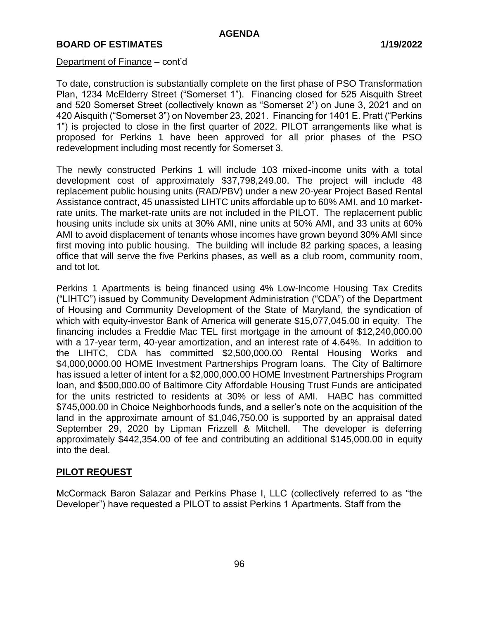#### Department of Finance – cont'd

To date, construction is substantially complete on the first phase of PSO Transformation Plan, 1234 McElderry Street ("Somerset 1"). Financing closed for 525 Aisquith Street and 520 Somerset Street (collectively known as "Somerset 2") on June 3, 2021 and on 420 Aisquith ("Somerset 3") on November 23, 2021. Financing for 1401 E. Pratt ("Perkins 1") is projected to close in the first quarter of 2022. PILOT arrangements like what is proposed for Perkins 1 have been approved for all prior phases of the PSO redevelopment including most recently for Somerset 3.

The newly constructed Perkins 1 will include 103 mixed-income units with a total development cost of approximately \$37,798,249.00. The project will include 48 replacement public housing units (RAD/PBV) under a new 20-year Project Based Rental Assistance contract, 45 unassisted LIHTC units affordable up to 60% AMI, and 10 marketrate units. The market-rate units are not included in the PILOT. The replacement public housing units include six units at 30% AMI, nine units at 50% AMI, and 33 units at 60% AMI to avoid displacement of tenants whose incomes have grown beyond 30% AMI since first moving into public housing. The building will include 82 parking spaces, a leasing office that will serve the five Perkins phases, as well as a club room, community room, and tot lot.

Perkins 1 Apartments is being financed using 4% Low-Income Housing Tax Credits ("LIHTC") issued by Community Development Administration ("CDA") of the Department of Housing and Community Development of the State of Maryland, the syndication of which with equity-investor Bank of America will generate \$15,077,045.00 in equity. The financing includes a Freddie Mac TEL first mortgage in the amount of \$12,240,000.00 with a 17-year term, 40-year amortization, and an interest rate of 4.64%. In addition to the LIHTC, CDA has committed \$2,500,000.00 Rental Housing Works and \$4,000,0000.00 HOME Investment Partnerships Program loans. The City of Baltimore has issued a letter of intent for a \$2,000,000.00 HOME Investment Partnerships Program loan, and \$500,000.00 of Baltimore City Affordable Housing Trust Funds are anticipated for the units restricted to residents at 30% or less of AMI. HABC has committed \$745,000.00 in Choice Neighborhoods funds, and a seller's note on the acquisition of the land in the approximate amount of \$1,046,750.00 is supported by an appraisal dated September 29, 2020 by Lipman Frizzell & Mitchell. The developer is deferring approximately \$442,354.00 of fee and contributing an additional \$145,000.00 in equity into the deal.

#### **PILOT REQUEST**

McCormack Baron Salazar and Perkins Phase I, LLC (collectively referred to as "the Developer") have requested a PILOT to assist Perkins 1 Apartments. Staff from the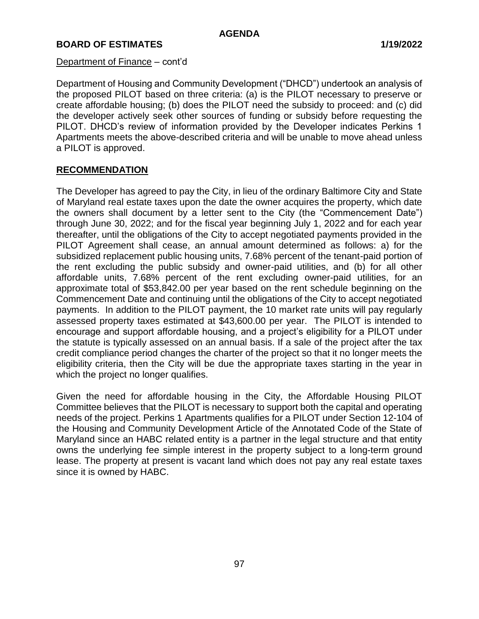#### Department of Finance – cont'd

Department of Housing and Community Development ("DHCD") undertook an analysis of the proposed PILOT based on three criteria: (a) is the PILOT necessary to preserve or create affordable housing; (b) does the PILOT need the subsidy to proceed: and (c) did the developer actively seek other sources of funding or subsidy before requesting the PILOT. DHCD's review of information provided by the Developer indicates Perkins 1 Apartments meets the above-described criteria and will be unable to move ahead unless a PILOT is approved.

## **RECOMMENDATION**

The Developer has agreed to pay the City, in lieu of the ordinary Baltimore City and State of Maryland real estate taxes upon the date the owner acquires the property, which date the owners shall document by a letter sent to the City (the "Commencement Date") through June 30, 2022; and for the fiscal year beginning July 1, 2022 and for each year thereafter, until the obligations of the City to accept negotiated payments provided in the PILOT Agreement shall cease, an annual amount determined as follows: a) for the subsidized replacement public housing units, 7.68% percent of the tenant-paid portion of the rent excluding the public subsidy and owner-paid utilities, and (b) for all other affordable units, 7.68% percent of the rent excluding owner-paid utilities, for an approximate total of \$53,842.00 per year based on the rent schedule beginning on the Commencement Date and continuing until the obligations of the City to accept negotiated payments. In addition to the PILOT payment, the 10 market rate units will pay regularly assessed property taxes estimated at \$43,600.00 per year. The PILOT is intended to encourage and support affordable housing, and a project's eligibility for a PILOT under the statute is typically assessed on an annual basis. If a sale of the project after the tax credit compliance period changes the charter of the project so that it no longer meets the eligibility criteria, then the City will be due the appropriate taxes starting in the year in which the project no longer qualifies.

Given the need for affordable housing in the City, the Affordable Housing PILOT Committee believes that the PILOT is necessary to support both the capital and operating needs of the project. Perkins 1 Apartments qualifies for a PILOT under Section 12-104 of the Housing and Community Development Article of the Annotated Code of the State of Maryland since an HABC related entity is a partner in the legal structure and that entity owns the underlying fee simple interest in the property subject to a long-term ground lease. The property at present is vacant land which does not pay any real estate taxes since it is owned by HABC.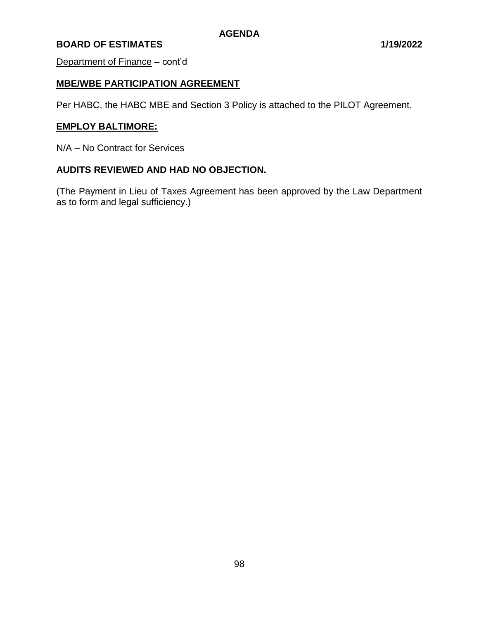Department of Finance – cont'd

## **MBE/WBE PARTICIPATION AGREEMENT**

Per HABC, the HABC MBE and Section 3 Policy is attached to the PILOT Agreement.

## **EMPLOY BALTIMORE:**

N/A – No Contract for Services

#### **AUDITS REVIEWED AND HAD NO OBJECTION.**

(The Payment in Lieu of Taxes Agreement has been approved by the Law Department as to form and legal sufficiency.)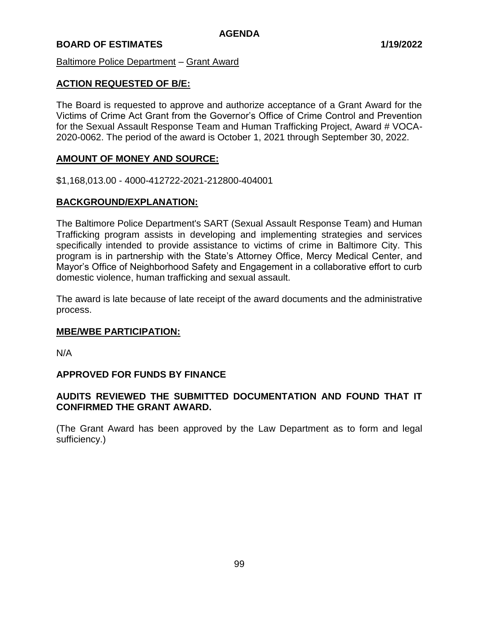Baltimore Police Department – Grant Award

## **ACTION REQUESTED OF B/E:**

The Board is requested to approve and authorize acceptance of a Grant Award for the Victims of Crime Act Grant from the Governor's Office of Crime Control and Prevention for the Sexual Assault Response Team and Human Trafficking Project, Award # VOCA-2020-0062. The period of the award is October 1, 2021 through September 30, 2022.

## **AMOUNT OF MONEY AND SOURCE:**

\$1,168,013.00 - 4000-412722-2021-212800-404001

## **BACKGROUND/EXPLANATION:**

The Baltimore Police Department's SART (Sexual Assault Response Team) and Human Trafficking program assists in developing and implementing strategies and services specifically intended to provide assistance to victims of crime in Baltimore City. This program is in partnership with the State's Attorney Office, Mercy Medical Center, and Mayor's Office of Neighborhood Safety and Engagement in a collaborative effort to curb domestic violence, human trafficking and sexual assault.

The award is late because of late receipt of the award documents and the administrative process.

## **MBE/WBE PARTICIPATION:**

N/A

## **APPROVED FOR FUNDS BY FINANCE**

## **AUDITS REVIEWED THE SUBMITTED DOCUMENTATION AND FOUND THAT IT CONFIRMED THE GRANT AWARD.**

(The Grant Award has been approved by the Law Department as to form and legal sufficiency.)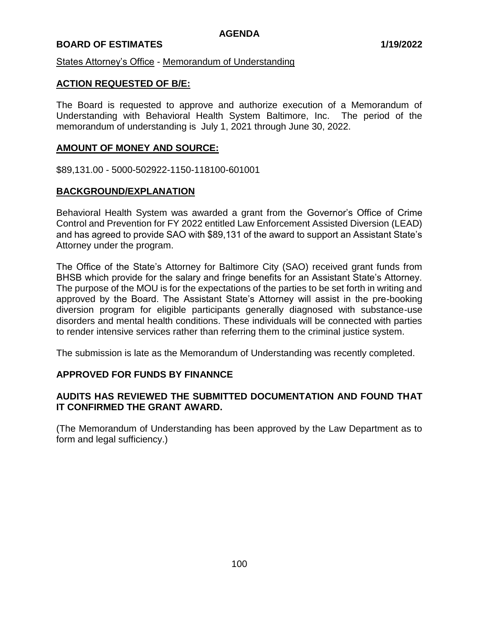## **BOARD OF ESTIMATES 1/19/2022**

States Attorney's Office - Memorandum of Understanding

## **ACTION REQUESTED OF B/E:**

The Board is requested to approve and authorize execution of a Memorandum of Understanding with Behavioral Health System Baltimore, Inc. The period of the memorandum of understanding is July 1, 2021 through June 30, 2022.

#### **AMOUNT OF MONEY AND SOURCE:**

\$89,131.00 - 5000-502922-1150-118100-601001

#### **BACKGROUND/EXPLANATION**

Behavioral Health System was awarded a grant from the Governor's Office of Crime Control and Prevention for FY 2022 entitled Law Enforcement Assisted Diversion (LEAD) and has agreed to provide SAO with \$89,131 of the award to support an Assistant State's Attorney under the program.

The Office of the State's Attorney for Baltimore City (SAO) received grant funds from BHSB which provide for the salary and fringe benefits for an Assistant State's Attorney. The purpose of the MOU is for the expectations of the parties to be set forth in writing and approved by the Board. The Assistant State's Attorney will assist in the pre-booking diversion program for eligible participants generally diagnosed with substance-use disorders and mental health conditions. These individuals will be connected with parties to render intensive services rather than referring them to the criminal justice system.

The submission is late as the Memorandum of Understanding was recently completed.

#### **APPROVED FOR FUNDS BY FINANNCE**

## **AUDITS HAS REVIEWED THE SUBMITTED DOCUMENTATION AND FOUND THAT IT CONFIRMED THE GRANT AWARD.**

(The Memorandum of Understanding has been approved by the Law Department as to form and legal sufficiency.)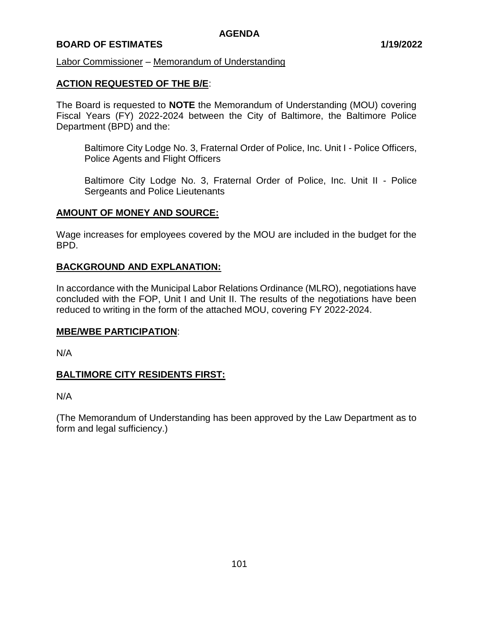## **BOARD OF ESTIMATES 1/19/2022**

#### Labor Commissioner – Memorandum of Understanding

## **ACTION REQUESTED OF THE B/E**:

The Board is requested to **NOTE** the Memorandum of Understanding (MOU) covering Fiscal Years (FY) 2022-2024 between the City of Baltimore, the Baltimore Police Department (BPD) and the:

Baltimore City Lodge No. 3, Fraternal Order of Police, Inc. Unit I - Police Officers, Police Agents and Flight Officers

Baltimore City Lodge No. 3, Fraternal Order of Police, Inc. Unit II - Police Sergeants and Police Lieutenants

#### **AMOUNT OF MONEY AND SOURCE:**

Wage increases for employees covered by the MOU are included in the budget for the BPD.

## **BACKGROUND AND EXPLANATION:**

In accordance with the Municipal Labor Relations Ordinance (MLRO), negotiations have concluded with the FOP, Unit I and Unit II. The results of the negotiations have been reduced to writing in the form of the attached MOU, covering FY 2022-2024.

## **MBE/WBE PARTICIPATION**:

N/A

## **BALTIMORE CITY RESIDENTS FIRST:**

N/A

(The Memorandum of Understanding has been approved by the Law Department as to form and legal sufficiency.)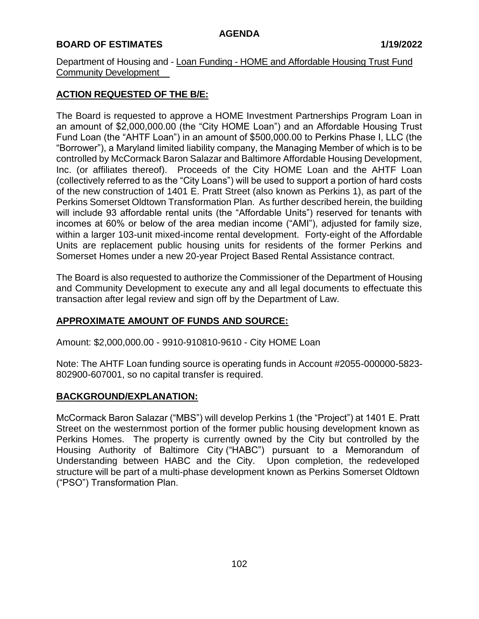Department of Housing and - Loan Funding - HOME and Affordable Housing Trust Fund Community Development\_\_

# **ACTION REQUESTED OF THE B/E:**

The Board is requested to approve a HOME Investment Partnerships Program Loan in an amount of \$2,000,000.00 (the "City HOME Loan") and an Affordable Housing Trust Fund Loan (the "AHTF Loan") in an amount of \$500,000.00 to Perkins Phase I, LLC (the "Borrower"), a Maryland limited liability company, the Managing Member of which is to be controlled by McCormack Baron Salazar and Baltimore Affordable Housing Development, Inc. (or affiliates thereof). Proceeds of the City HOME Loan and the AHTF Loan (collectively referred to as the "City Loans") will be used to support a portion of hard costs of the new construction of 1401 E. Pratt Street (also known as Perkins 1), as part of the Perkins Somerset Oldtown Transformation Plan. As further described herein, the building will include 93 affordable rental units (the "Affordable Units") reserved for tenants with incomes at 60% or below of the area median income ("AMI"), adjusted for family size, within a larger 103-unit mixed-income rental development. Forty-eight of the Affordable Units are replacement public housing units for residents of the former Perkins and Somerset Homes under a new 20-year Project Based Rental Assistance contract.

The Board is also requested to authorize the Commissioner of the Department of Housing and Community Development to execute any and all legal documents to effectuate this transaction after legal review and sign off by the Department of Law.

# **APPROXIMATE AMOUNT OF FUNDS AND SOURCE:**

Amount: \$2,000,000.00 - 9910-910810-9610 - City HOME Loan

Note: The AHTF Loan funding source is operating funds in Account #2055-000000-5823- 802900-607001, so no capital transfer is required.

## **BACKGROUND/EXPLANATION:**

McCormack Baron Salazar ("MBS") will develop Perkins 1 (the "Project") at 1401 E. Pratt Street on the westernmost portion of the former public housing development known as Perkins Homes. The property is currently owned by the City but controlled by the Housing Authority of Baltimore City ("HABC") pursuant to a Memorandum of Understanding between HABC and the City. Upon completion, the redeveloped structure will be part of a multi-phase development known as Perkins Somerset Oldtown ("PSO") Transformation Plan.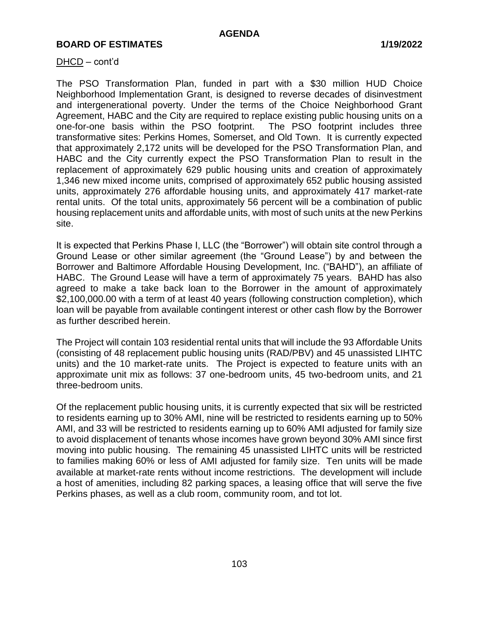#### DHCD – cont'd

The PSO Transformation Plan, funded in part with a \$30 million HUD Choice Neighborhood Implementation Grant, is designed to reverse decades of disinvestment and intergenerational poverty. Under the terms of the Choice Neighborhood Grant Agreement, HABC and the City are required to replace existing public housing units on a one-for-one basis within the PSO footprint. The PSO footprint includes three transformative sites: Perkins Homes, Somerset, and Old Town. It is currently expected that approximately 2,172 units will be developed for the PSO Transformation Plan, and HABC and the City currently expect the PSO Transformation Plan to result in the replacement of approximately 629 public housing units and creation of approximately 1,346 new mixed income units, comprised of approximately 652 public housing assisted units, approximately 276 affordable housing units, and approximately 417 market-rate rental units. Of the total units, approximately 56 percent will be a combination of public housing replacement units and affordable units, with most of such units at the new Perkins site.

It is expected that Perkins Phase I, LLC (the "Borrower") will obtain site control through a Ground Lease or other similar agreement (the "Ground Lease") by and between the Borrower and Baltimore Affordable Housing Development, Inc. ("BAHD"), an affiliate of HABC. The Ground Lease will have a term of approximately 75 years. BAHD has also agreed to make a take back loan to the Borrower in the amount of approximately \$2,100,000.00 with a term of at least 40 years (following construction completion), which loan will be payable from available contingent interest or other cash flow by the Borrower as further described herein.

The Project will contain 103 residential rental units that will include the 93 Affordable Units (consisting of 48 replacement public housing units (RAD/PBV) and 45 unassisted LIHTC units) and the 10 market-rate units. The Project is expected to feature units with an approximate unit mix as follows: 37 one-bedroom units, 45 two-bedroom units, and 21 three-bedroom units.

Of the replacement public housing units, it is currently expected that six will be restricted to residents earning up to 30% AMI, nine will be restricted to residents earning up to 50% AMI, and 33 will be restricted to residents earning up to 60% AMI adjusted for family size to avoid displacement of tenants whose incomes have grown beyond 30% AMI since first moving into public housing. The remaining 45 unassisted LIHTC units will be restricted to families making 60% or less of AMI adjusted for family size. Ten units will be made available at market-rate rents without income restrictions. The development will include a host of amenities, including 82 parking spaces, a leasing office that will serve the five Perkins phases, as well as a club room, community room, and tot lot.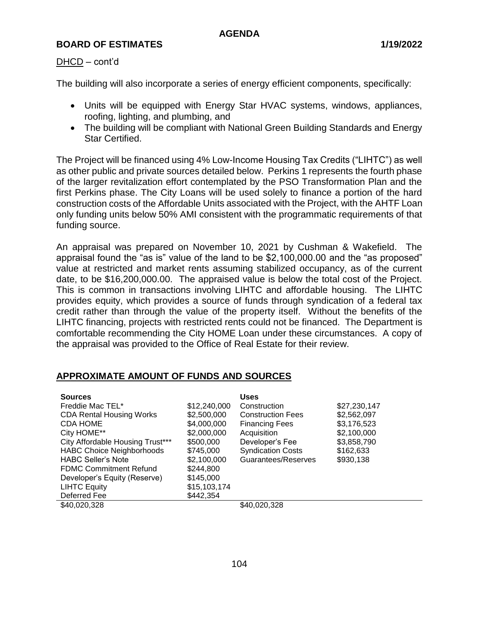## DHCD – cont'd

The building will also incorporate a series of energy efficient components, specifically:

- Units will be equipped with Energy Star HVAC systems, windows, appliances, roofing, lighting, and plumbing, and
- The building will be compliant with National Green Building Standards and Energy Star Certified.

The Project will be financed using 4% Low-Income Housing Tax Credits ("LIHTC") as well as other public and private sources detailed below. Perkins 1 represents the fourth phase of the larger revitalization effort contemplated by the PSO Transformation Plan and the first Perkins phase. The City Loans will be used solely to finance a portion of the hard construction costs of the Affordable Units associated with the Project, with the AHTF Loan only funding units below 50% AMI consistent with the programmatic requirements of that funding source.

An appraisal was prepared on November 10, 2021 by Cushman & Wakefield. The appraisal found the "as is" value of the land to be \$2,100,000.00 and the "as proposed" value at restricted and market rents assuming stabilized occupancy, as of the current date, to be \$16,200,000.00. The appraised value is below the total cost of the Project. This is common in transactions involving LIHTC and affordable housing. The LIHTC provides equity, which provides a source of funds through syndication of a federal tax credit rather than through the value of the property itself. Without the benefits of the LIHTC financing, projects with restricted rents could not be financed. The Department is comfortable recommending the City HOME Loan under these circumstances. A copy of the appraisal was provided to the Office of Real Estate for their review.

## **APPROXIMATE AMOUNT OF FUNDS AND SOURCES**

| <b>Sources</b><br>Freddie Mac TEL*<br><b>CDA Rental Housing Works</b><br><b>CDA HOME</b><br>City HOME**<br>City Affordable Housing Trust*** | \$12,240,000<br>\$2,500,000<br>\$4,000,000<br>\$2,000,000<br>\$500,000 | <b>Uses</b><br>Construction<br><b>Construction Fees</b><br><b>Financing Fees</b><br>Acquisition<br>Developer's Fee | \$27,230,147<br>\$2,562,097<br>\$3,176,523<br>\$2,100,000<br>\$3,858,790 |
|---------------------------------------------------------------------------------------------------------------------------------------------|------------------------------------------------------------------------|--------------------------------------------------------------------------------------------------------------------|--------------------------------------------------------------------------|
| <b>HABC Choice Neighborhoods</b><br><b>HABC Seller's Note</b>                                                                               | \$745,000<br>\$2,100,000                                               | <b>Syndication Costs</b><br>Guarantees/Reserves                                                                    | \$162,633<br>\$930,138                                                   |
| <b>FDMC Commitment Refund</b><br>Developer's Equity (Reserve)<br><b>LIHTC Equity</b><br>Deferred Fee                                        | \$244,800<br>\$145,000<br>\$15,103,174<br>\$442,354                    |                                                                                                                    |                                                                          |
| \$40,020,328                                                                                                                                |                                                                        | \$40,020,328                                                                                                       |                                                                          |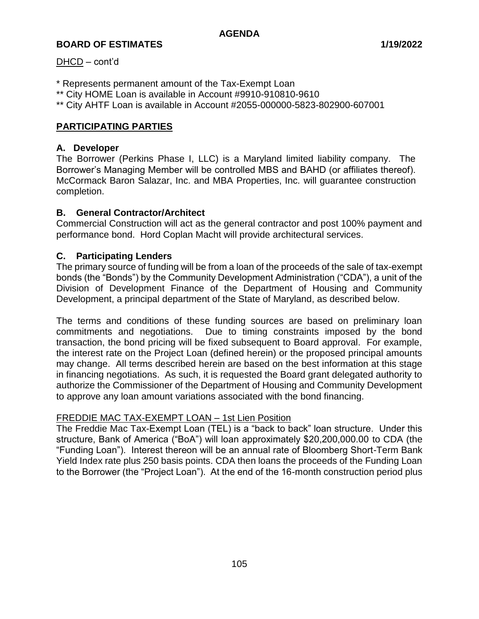## DHCD – cont'd

- \* Represents permanent amount of the Tax-Exempt Loan
- \*\* City HOME Loan is available in Account #9910-910810-9610
- \*\* City AHTF Loan is available in Account #2055-000000-5823-802900-607001

# **PARTICIPATING PARTIES**

# **A. Developer**

The Borrower (Perkins Phase I, LLC) is a Maryland limited liability company. The Borrower's Managing Member will be controlled MBS and BAHD (or affiliates thereof). McCormack Baron Salazar, Inc. and MBA Properties, Inc. will guarantee construction completion.

# **B. General Contractor/Architect**

Commercial Construction will act as the general contractor and post 100% payment and performance bond. Hord Coplan Macht will provide architectural services.

## **C. Participating Lenders**

The primary source of funding will be from a loan of the proceeds of the sale of tax-exempt bonds (the "Bonds") by the Community Development Administration ("CDA"), a unit of the Division of Development Finance of the Department of Housing and Community Development, a principal department of the State of Maryland, as described below.

The terms and conditions of these funding sources are based on preliminary loan commitments and negotiations. Due to timing constraints imposed by the bond transaction, the bond pricing will be fixed subsequent to Board approval. For example, the interest rate on the Project Loan (defined herein) or the proposed principal amounts may change. All terms described herein are based on the best information at this stage in financing negotiations. As such, it is requested the Board grant delegated authority to authorize the Commissioner of the Department of Housing and Community Development to approve any loan amount variations associated with the bond financing.

## FREDDIE MAC TAX-EXEMPT LOAN – 1st Lien Position

The Freddie Mac Tax-Exempt Loan (TEL) is a "back to back" loan structure. Under this structure, Bank of America ("BoA") will loan approximately \$20,200,000.00 to CDA (the "Funding Loan"). Interest thereon will be an annual rate of Bloomberg Short-Term Bank Yield Index rate plus 250 basis points. CDA then loans the proceeds of the Funding Loan to the Borrower (the "Project Loan"). At the end of the 16-month construction period plus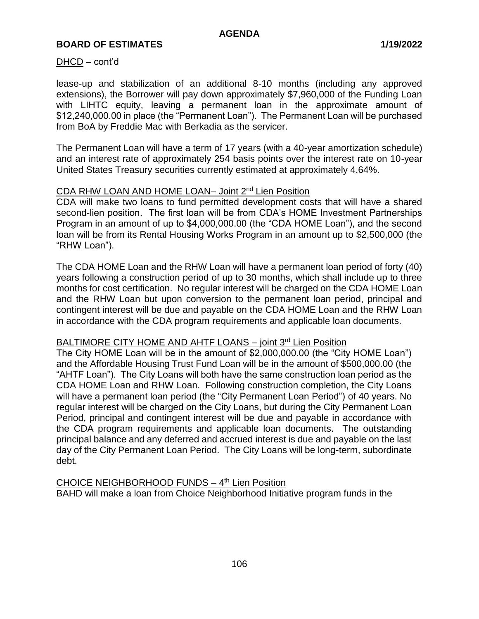DHCD – cont'd

lease-up and stabilization of an additional 8-10 months (including any approved extensions), the Borrower will pay down approximately \$7,960,000 of the Funding Loan with LIHTC equity, leaving a permanent loan in the approximate amount of \$12,240,000.00 in place (the "Permanent Loan"). The Permanent Loan will be purchased from BoA by Freddie Mac with Berkadia as the servicer.

The Permanent Loan will have a term of 17 years (with a 40-year amortization schedule) and an interest rate of approximately 254 basis points over the interest rate on 10-year United States Treasury securities currently estimated at approximately 4.64%.

#### CDA RHW LOAN AND HOME LOAN– Joint 2nd Lien Position

CDA will make two loans to fund permitted development costs that will have a shared second-lien position. The first loan will be from CDA's HOME Investment Partnerships Program in an amount of up to \$4,000,000.00 (the "CDA HOME Loan"), and the second loan will be from its Rental Housing Works Program in an amount up to \$2,500,000 (the "RHW Loan").

The CDA HOME Loan and the RHW Loan will have a permanent loan period of forty (40) years following a construction period of up to 30 months, which shall include up to three months for cost certification. No regular interest will be charged on the CDA HOME Loan and the RHW Loan but upon conversion to the permanent loan period, principal and contingent interest will be due and payable on the CDA HOME Loan and the RHW Loan in accordance with the CDA program requirements and applicable loan documents.

# BALTIMORE CITY HOME AND AHTF LOANS - joint 3rd Lien Position

The City HOME Loan will be in the amount of \$2,000,000.00 (the "City HOME Loan") and the Affordable Housing Trust Fund Loan will be in the amount of \$500,000.00 (the "AHTF Loan"). The City Loans will both have the same construction loan period as the CDA HOME Loan and RHW Loan. Following construction completion, the City Loans will have a permanent loan period (the "City Permanent Loan Period") of 40 years. No regular interest will be charged on the City Loans, but during the City Permanent Loan Period, principal and contingent interest will be due and payable in accordance with the CDA program requirements and applicable loan documents. The outstanding principal balance and any deferred and accrued interest is due and payable on the last day of the City Permanent Loan Period. The City Loans will be long-term, subordinate debt.

CHOICE NEIGHBORHOOD FUNDS - 4<sup>th</sup> Lien Position BAHD will make a loan from Choice Neighborhood Initiative program funds in the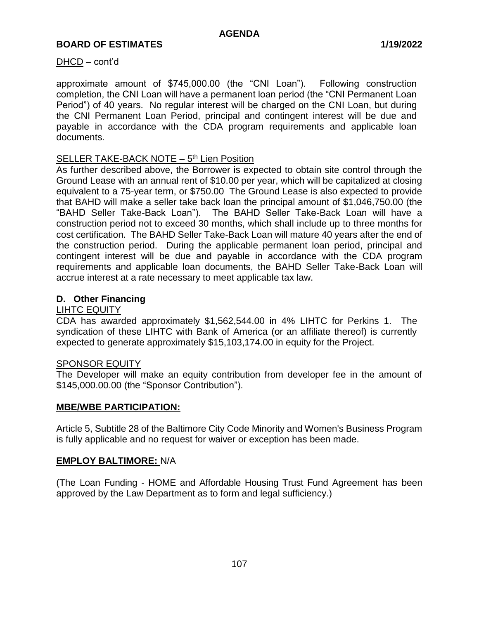#### DHCD – cont'd

approximate amount of \$745,000.00 (the "CNI Loan"). Following construction completion, the CNI Loan will have a permanent loan period (the "CNI Permanent Loan Period") of 40 years. No regular interest will be charged on the CNI Loan, but during the CNI Permanent Loan Period, principal and contingent interest will be due and payable in accordance with the CDA program requirements and applicable loan documents.

# SELLER TAKE-BACK NOTE - 5<sup>th</sup> Lien Position

As further described above, the Borrower is expected to obtain site control through the Ground Lease with an annual rent of \$10.00 per year, which will be capitalized at closing equivalent to a 75-year term, or \$750.00 The Ground Lease is also expected to provide that BAHD will make a seller take back loan the principal amount of \$1,046,750.00 (the "BAHD Seller Take-Back Loan"). The BAHD Seller Take-Back Loan will have a construction period not to exceed 30 months, which shall include up to three months for cost certification. The BAHD Seller Take-Back Loan will mature 40 years after the end of the construction period. During the applicable permanent loan period, principal and contingent interest will be due and payable in accordance with the CDA program requirements and applicable loan documents, the BAHD Seller Take-Back Loan will accrue interest at a rate necessary to meet applicable tax law.

# **D. Other Financing**

#### LIHTC EQUITY

CDA has awarded approximately \$1,562,544.00 in 4% LIHTC for Perkins 1. The syndication of these LIHTC with Bank of America (or an affiliate thereof) is currently expected to generate approximately \$15,103,174.00 in equity for the Project.

#### SPONSOR EQUITY

The Developer will make an equity contribution from developer fee in the amount of \$145,000.00.00 (the "Sponsor Contribution").

#### **MBE/WBE PARTICIPATION:**

Article 5, Subtitle 28 of the Baltimore City Code Minority and Women's Business Program is fully applicable and no request for waiver or exception has been made.

#### **EMPLOY BALTIMORE:** N/A

(The Loan Funding - HOME and Affordable Housing Trust Fund Agreement has been approved by the Law Department as to form and legal sufficiency.)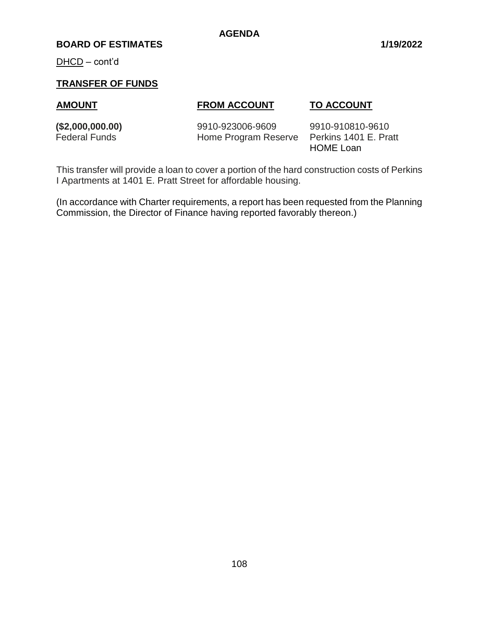#### **BOARD OF ESTIMATES 1/19/2022**

DHCD – cont'd

# **TRANSFER OF FUNDS**

# **AMOUNT FROM ACCOUNT TO ACCOUNT**

**(\$2,000,000.00)** 9910-923006-9609 9910-910810-9610 Federal Funds **Home Program Reserve** Perkins 1401 E. Pratt

HOME Loan

This transfer will provide a loan to cover a portion of the hard construction costs of Perkins I Apartments at 1401 E. Pratt Street for affordable housing.

(In accordance with Charter requirements, a report has been requested from the Planning Commission, the Director of Finance having reported favorably thereon.)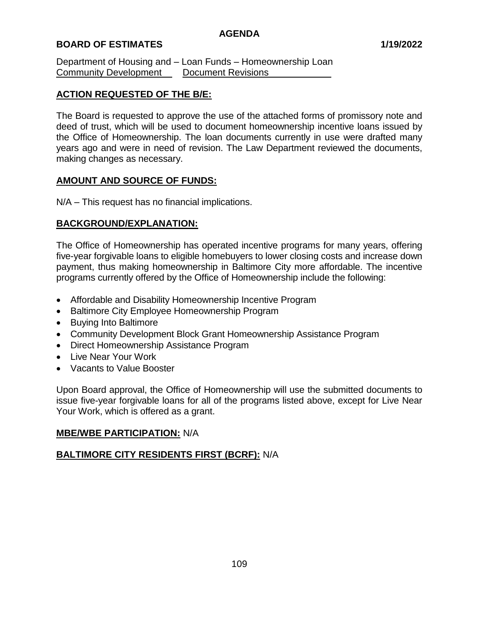Department of Housing and – Loan Funds – Homeownership Loan Community Development\_\_\_\_\_Document Revisions\_

# **ACTION REQUESTED OF THE B/E:**

The Board is requested to approve the use of the attached forms of promissory note and deed of trust, which will be used to document homeownership incentive loans issued by the Office of Homeownership. The loan documents currently in use were drafted many years ago and were in need of revision. The Law Department reviewed the documents, making changes as necessary.

# **AMOUNT AND SOURCE OF FUNDS:**

N/A – This request has no financial implications.

# **BACKGROUND/EXPLANATION:**

The Office of Homeownership has operated incentive programs for many years, offering five-year forgivable loans to eligible homebuyers to lower closing costs and increase down payment, thus making homeownership in Baltimore City more affordable. The incentive programs currently offered by the Office of Homeownership include the following:

- Affordable and Disability Homeownership Incentive Program
- Baltimore City Employee Homeownership Program
- Buying Into Baltimore
- Community Development Block Grant Homeownership Assistance Program
- Direct Homeownership Assistance Program
- Live Near Your Work
- Vacants to Value Booster

Upon Board approval, the Office of Homeownership will use the submitted documents to issue five-year forgivable loans for all of the programs listed above, except for Live Near Your Work, which is offered as a grant.

# **MBE/WBE PARTICIPATION:** N/A

# **BALTIMORE CITY RESIDENTS FIRST (BCRF):** N/A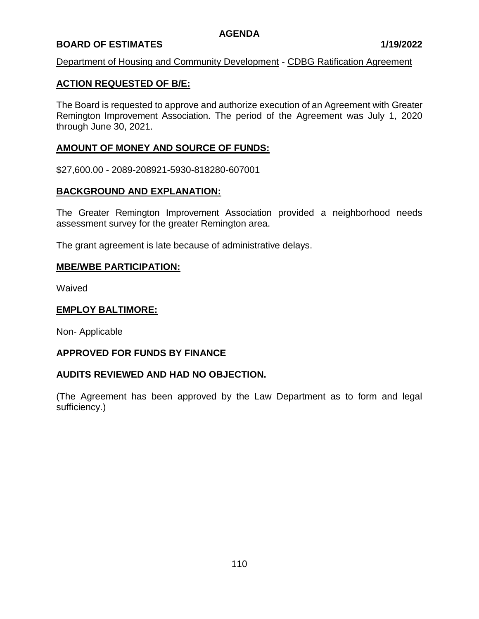# **BOARD OF ESTIMATES 1/19/2022**

#### Department of Housing and Community Development - CDBG Ratification Agreement

# **ACTION REQUESTED OF B/E:**

The Board is requested to approve and authorize execution of an Agreement with Greater Remington Improvement Association. The period of the Agreement was July 1, 2020 through June 30, 2021.

# **AMOUNT OF MONEY AND SOURCE OF FUNDS:**

\$27,600.00 - 2089-208921-5930-818280-607001

#### **BACKGROUND AND EXPLANATION:**

The Greater Remington Improvement Association provided a neighborhood needs assessment survey for the greater Remington area.

The grant agreement is late because of administrative delays.

#### **MBE/WBE PARTICIPATION:**

Waived

### **EMPLOY BALTIMORE:**

Non- Applicable

#### **APPROVED FOR FUNDS BY FINANCE**

#### **AUDITS REVIEWED AND HAD NO OBJECTION.**

(The Agreement has been approved by the Law Department as to form and legal sufficiency.)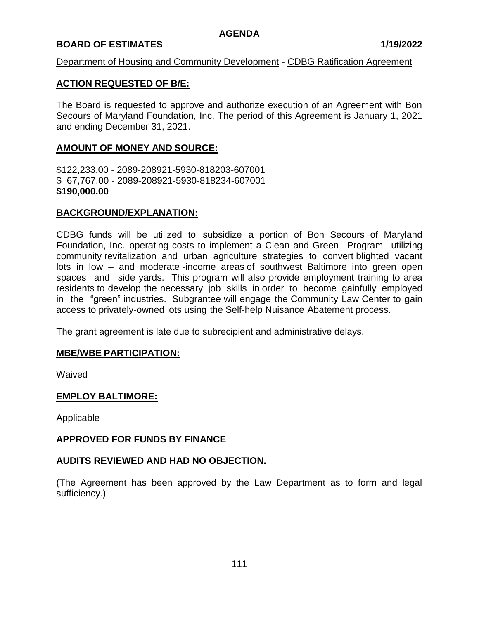# **BOARD OF ESTIMATES 1/19/2022**

#### Department of Housing and Community Development - CDBG Ratification Agreement

# **ACTION REQUESTED OF B/E:**

The Board is requested to approve and authorize execution of an Agreement with Bon Secours of Maryland Foundation, Inc. The period of this Agreement is January 1, 2021 and ending December 31, 2021.

# **AMOUNT OF MONEY AND SOURCE:**

\$122,233.00 - 2089-208921-5930-818203-607001 \$ 67,767.00 - 2089-208921-5930-818234-607001 **\$190,000.00**

# **BACKGROUND/EXPLANATION:**

CDBG funds will be utilized to subsidize a portion of Bon Secours of Maryland Foundation, Inc. operating costs to implement a Clean and Green Program utilizing community revitalization and urban agriculture strategies to convert blighted vacant lots in low – and moderate -income areas of southwest Baltimore into green open spaces and side yards. This program will also provide employment training to area residents to develop the necessary job skills in order to become gainfully employed in the "green" industries. Subgrantee will engage the Community Law Center to gain access to privately-owned lots using the Self-help Nuisance Abatement process.

The grant agreement is late due to subrecipient and administrative delays.

#### **MBE/WBE PARTICIPATION:**

Waived

#### **EMPLOY BALTIMORE:**

Applicable

#### **APPROVED FOR FUNDS BY FINANCE**

#### **AUDITS REVIEWED AND HAD NO OBJECTION.**

(The Agreement has been approved by the Law Department as to form and legal sufficiency.)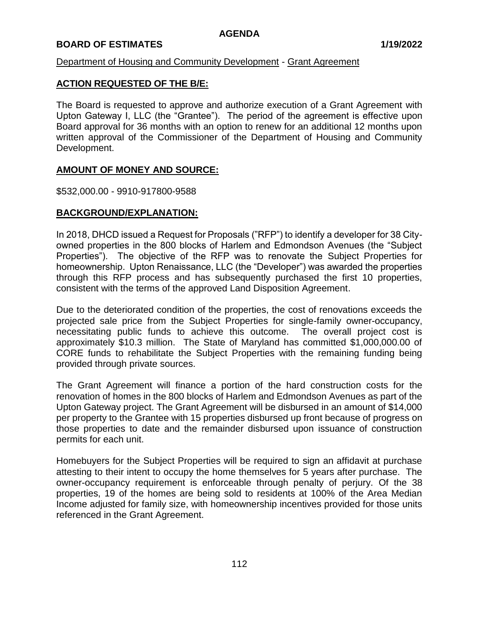# **BOARD OF ESTIMATES 1/19/2022**

# Department of Housing and Community Development - Grant Agreement

# **ACTION REQUESTED OF THE B/E:**

The Board is requested to approve and authorize execution of a Grant Agreement with Upton Gateway I, LLC (the "Grantee"). The period of the agreement is effective upon Board approval for 36 months with an option to renew for an additional 12 months upon written approval of the Commissioner of the Department of Housing and Community Development.

# **AMOUNT OF MONEY AND SOURCE:**

\$532,000.00 - 9910-917800-9588

# **BACKGROUND/EXPLANATION:**

In 2018, DHCD issued a Request for Proposals ("RFP") to identify a developer for 38 Cityowned properties in the 800 blocks of Harlem and Edmondson Avenues (the "Subject Properties"). The objective of the RFP was to renovate the Subject Properties for homeownership. Upton Renaissance, LLC (the "Developer") was awarded the properties through this RFP process and has subsequently purchased the first 10 properties, consistent with the terms of the approved Land Disposition Agreement.

Due to the deteriorated condition of the properties, the cost of renovations exceeds the projected sale price from the Subject Properties for single-family owner-occupancy, necessitating public funds to achieve this outcome. The overall project cost is approximately \$10.3 million. The State of Maryland has committed \$1,000,000.00 of CORE funds to rehabilitate the Subject Properties with the remaining funding being provided through private sources.

The Grant Agreement will finance a portion of the hard construction costs for the renovation of homes in the 800 blocks of Harlem and Edmondson Avenues as part of the Upton Gateway project. The Grant Agreement will be disbursed in an amount of \$14,000 per property to the Grantee with 15 properties disbursed up front because of progress on those properties to date and the remainder disbursed upon issuance of construction permits for each unit.

Homebuyers for the Subject Properties will be required to sign an affidavit at purchase attesting to their intent to occupy the home themselves for 5 years after purchase. The owner-occupancy requirement is enforceable through penalty of perjury. Of the 38 properties, 19 of the homes are being sold to residents at 100% of the Area Median Income adjusted for family size, with homeownership incentives provided for those units referenced in the Grant Agreement.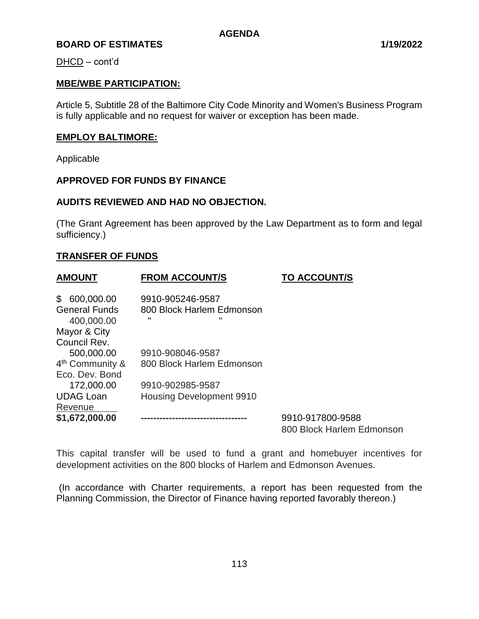DHCD – cont'd

# **MBE/WBE PARTICIPATION:**

Article 5, Subtitle 28 of the Baltimore City Code Minority and Women's Business Program is fully applicable and no request for waiver or exception has been made.

### **EMPLOY BALTIMORE:**

Applicable

# **APPROVED FOR FUNDS BY FINANCE**

#### **AUDITS REVIEWED AND HAD NO OBJECTION.**

(The Grant Agreement has been approved by the Law Department as to form and legal sufficiency.)

#### **TRANSFER OF FUNDS**

| <b>AMOUNT</b>                      | <b>FROM ACCOUNT/S</b>           | <b>TO ACCOUNT/S</b>                           |
|------------------------------------|---------------------------------|-----------------------------------------------|
| \$600,000.00                       | 9910-905246-9587                |                                               |
| <b>General Funds</b><br>400,000.00 | 800 Block Harlem Edmonson       |                                               |
| Mayor & City                       |                                 |                                               |
| Council Rev.                       |                                 |                                               |
| 500,000.00                         | 9910-908046-9587                |                                               |
| 4 <sup>th</sup> Community &        | 800 Block Harlem Edmonson       |                                               |
| Eco. Dev. Bond                     |                                 |                                               |
| 172,000.00                         | 9910-902985-9587                |                                               |
| <b>UDAG Loan</b>                   | <b>Housing Development 9910</b> |                                               |
| Revenue                            |                                 |                                               |
| \$1,672,000.00                     |                                 | 9910-917800-9588<br>800 Block Harlem Edmonson |
|                                    |                                 |                                               |

This capital transfer will be used to fund a grant and homebuyer incentives for development activities on the 800 blocks of Harlem and Edmonson Avenues.

(In accordance with Charter requirements, a report has been requested from the Planning Commission, the Director of Finance having reported favorably thereon.)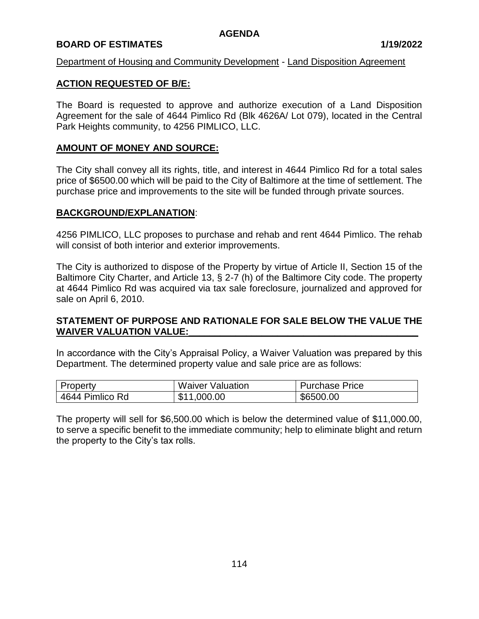# **BOARD OF ESTIMATES 1/19/2022**

#### Department of Housing and Community Development - Land Disposition Agreement

# **ACTION REQUESTED OF B/E:**

The Board is requested to approve and authorize execution of a Land Disposition Agreement for the sale of 4644 Pimlico Rd (Blk 4626A/ Lot 079), located in the Central Park Heights community, to 4256 PIMLICO, LLC.

# **AMOUNT OF MONEY AND SOURCE:**

The City shall convey all its rights, title, and interest in 4644 Pimlico Rd for a total sales price of \$6500.00 which will be paid to the City of Baltimore at the time of settlement. The purchase price and improvements to the site will be funded through private sources.

#### **BACKGROUND/EXPLANATION**:

4256 PIMLICO, LLC proposes to purchase and rehab and rent 4644 Pimlico. The rehab will consist of both interior and exterior improvements.

The City is authorized to dispose of the Property by virtue of Article II, Section 15 of the Baltimore City Charter, and Article 13, § 2-7 (h) of the Baltimore City code. The property at 4644 Pimlico Rd was acquired via tax sale foreclosure, journalized and approved for sale on April 6, 2010.

#### **STATEMENT OF PURPOSE AND RATIONALE FOR SALE BELOW THE VALUE THE**  WAIVER VALUATION VALUE:

In accordance with the City's Appraisal Policy, a Waiver Valuation was prepared by this Department. The determined property value and sale price are as follows:

| Property        | <b>Waiver Valuation</b> | <b>Purchase Price</b> |
|-----------------|-------------------------|-----------------------|
| 4644 Pimlico Rd | \$11,000.00             | \$6500.00             |

The property will sell for \$6,500.00 which is below the determined value of \$11,000.00, to serve a specific benefit to the immediate community; help to eliminate blight and return the property to the City's tax rolls.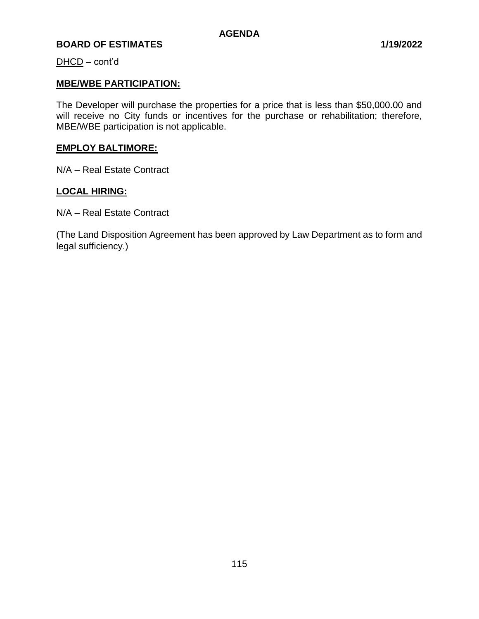DHCD – cont'd

# **MBE/WBE PARTICIPATION:**

The Developer will purchase the properties for a price that is less than \$50,000.00 and will receive no City funds or incentives for the purchase or rehabilitation; therefore, MBE/WBE participation is not applicable.

# **EMPLOY BALTIMORE:**

N/A – Real Estate Contract

# **LOCAL HIRING:**

N/A – Real Estate Contract

(The Land Disposition Agreement has been approved by Law Department as to form and legal sufficiency.)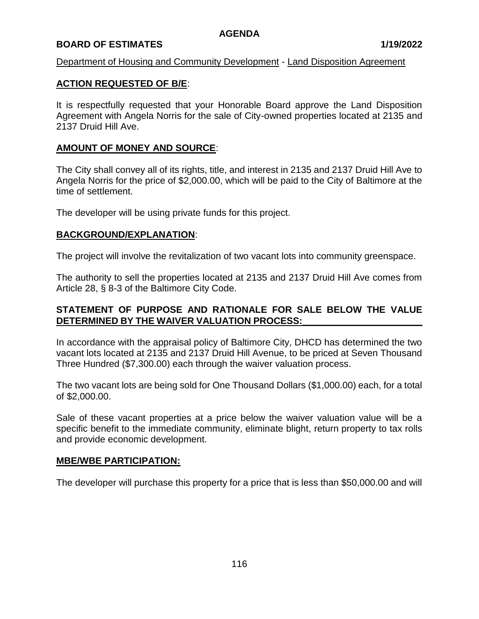# **BOARD OF ESTIMATES 1/19/2022**

### Department of Housing and Community Development - Land Disposition Agreement

# **ACTION REQUESTED OF B/E**:

It is respectfully requested that your Honorable Board approve the Land Disposition Agreement with Angela Norris for the sale of City-owned properties located at 2135 and 2137 Druid Hill Ave.

# **AMOUNT OF MONEY AND SOURCE**:

The City shall convey all of its rights, title, and interest in 2135 and 2137 Druid Hill Ave to Angela Norris for the price of \$2,000.00, which will be paid to the City of Baltimore at the time of settlement.

The developer will be using private funds for this project.

#### **BACKGROUND/EXPLANATION**:

The project will involve the revitalization of two vacant lots into community greenspace.

The authority to sell the properties located at 2135 and 2137 Druid Hill Ave comes from Article 28, § 8-3 of the Baltimore City Code.

# **STATEMENT OF PURPOSE AND RATIONALE FOR SALE BELOW THE VALUE DETERMINED BY THE WAIVER VALUATION PROCESS:\_\_\_\_\_\_\_\_\_\_\_\_\_\_\_\_\_\_\_\_\_\_\_**

In accordance with the appraisal policy of Baltimore City, DHCD has determined the two vacant lots located at 2135 and 2137 Druid Hill Avenue, to be priced at Seven Thousand Three Hundred (\$7,300.00) each through the waiver valuation process.

The two vacant lots are being sold for One Thousand Dollars (\$1,000.00) each, for a total of \$2,000.00.

Sale of these vacant properties at a price below the waiver valuation value will be a specific benefit to the immediate community, eliminate blight, return property to tax rolls and provide economic development.

#### **MBE/WBE PARTICIPATION:**

The developer will purchase this property for a price that is less than \$50,000.00 and will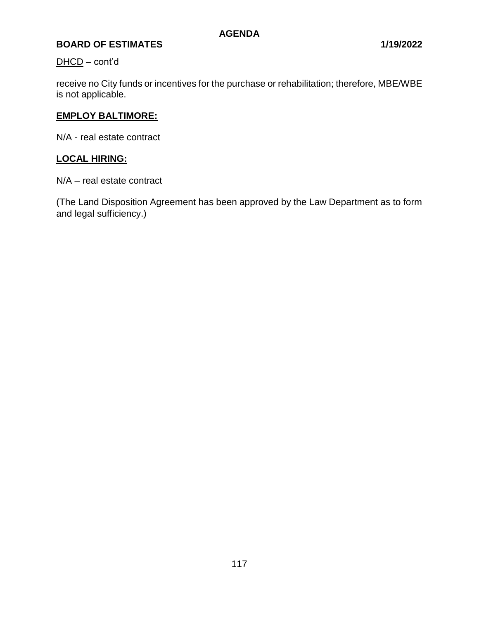# DHCD – cont'd

receive no City funds or incentives for the purchase or rehabilitation; therefore, MBE/WBE is not applicable.

# **EMPLOY BALTIMORE:**

N/A - real estate contract

# **LOCAL HIRING:**

N/A – real estate contract

(The Land Disposition Agreement has been approved by the Law Department as to form and legal sufficiency.)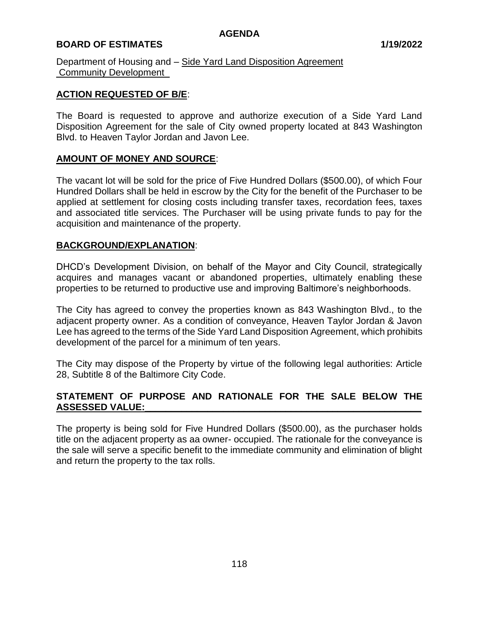# **BOARD OF ESTIMATES 1/19/2022**

Department of Housing and – Side Yard Land Disposition Agreement Community Development\_

# **ACTION REQUESTED OF B/E**:

The Board is requested to approve and authorize execution of a Side Yard Land Disposition Agreement for the sale of City owned property located at 843 Washington Blvd. to Heaven Taylor Jordan and Javon Lee.

#### **AMOUNT OF MONEY AND SOURCE**:

The vacant lot will be sold for the price of Five Hundred Dollars (\$500.00), of which Four Hundred Dollars shall be held in escrow by the City for the benefit of the Purchaser to be applied at settlement for closing costs including transfer taxes, recordation fees, taxes and associated title services. The Purchaser will be using private funds to pay for the acquisition and maintenance of the property.

#### **BACKGROUND/EXPLANATION**:

DHCD's Development Division, on behalf of the Mayor and City Council, strategically acquires and manages vacant or abandoned properties, ultimately enabling these properties to be returned to productive use and improving Baltimore's neighborhoods.

The City has agreed to convey the properties known as 843 Washington Blvd., to the adjacent property owner. As a condition of conveyance, Heaven Taylor Jordan & Javon Lee has agreed to the terms of the Side Yard Land Disposition Agreement, which prohibits development of the parcel for a minimum of ten years.

The City may dispose of the Property by virtue of the following legal authorities: Article 28, Subtitle 8 of the Baltimore City Code.

# **STATEMENT OF PURPOSE AND RATIONALE FOR THE SALE BELOW THE ASSESSED VALUE:\_\_\_\_\_\_\_\_\_\_\_\_\_\_\_\_\_\_\_\_\_\_\_\_\_\_\_\_\_\_\_\_\_\_\_\_\_\_\_\_\_\_\_\_\_\_\_\_\_\_\_\_\_**

The property is being sold for Five Hundred Dollars (\$500.00), as the purchaser holds title on the adjacent property as aa owner- occupied. The rationale for the conveyance is the sale will serve a specific benefit to the immediate community and elimination of blight and return the property to the tax rolls.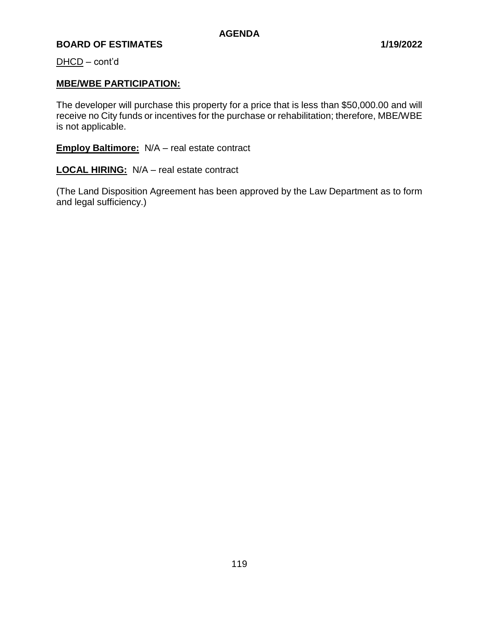DHCD – cont'd

# **MBE/WBE PARTICIPATION:**

The developer will purchase this property for a price that is less than \$50,000.00 and will receive no City funds or incentives for the purchase or rehabilitation; therefore, MBE/WBE is not applicable.

**Employ Baltimore:** N/A – real estate contract

**LOCAL HIRING:** N/A – real estate contract

(The Land Disposition Agreement has been approved by the Law Department as to form and legal sufficiency.)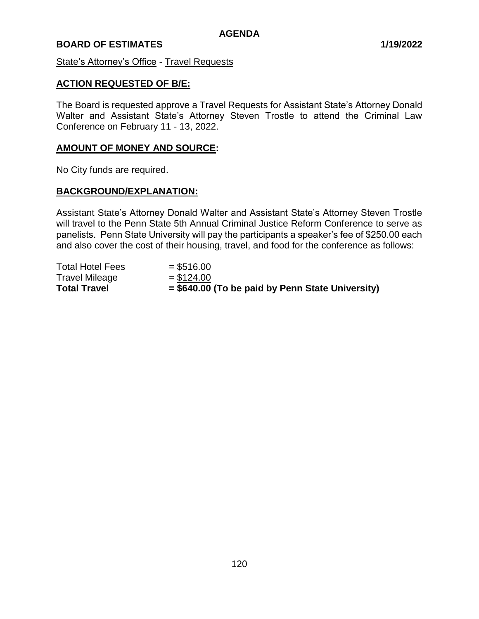#### State's Attorney's Office - Travel Requests

### **ACTION REQUESTED OF B/E:**

The Board is requested approve a Travel Requests for Assistant State's Attorney Donald Walter and Assistant State's Attorney Steven Trostle to attend the Criminal Law Conference on February 11 - 13, 2022.

### **AMOUNT OF MONEY AND SOURCE:**

No City funds are required.

#### **BACKGROUND/EXPLANATION:**

Assistant State's Attorney Donald Walter and Assistant State's Attorney Steven Trostle will travel to the Penn State 5th Annual Criminal Justice Reform Conference to serve as panelists. Penn State University will pay the participants a speaker's fee of \$250.00 each and also cover the cost of their housing, travel, and food for the conference as follows:

| <b>Total Travel</b>     | $=$ \$640.00 (To be paid by Penn State University) |
|-------------------------|----------------------------------------------------|
| <b>Travel Mileage</b>   | $= $124.00$                                        |
| <b>Total Hotel Fees</b> | $=$ \$516.00                                       |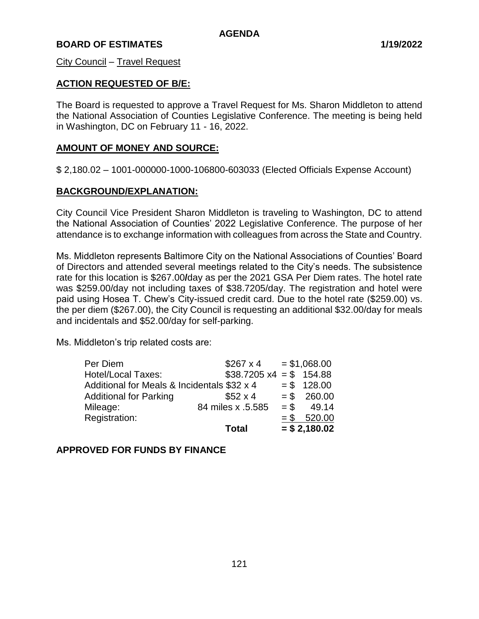City Council – Travel Request

# **ACTION REQUESTED OF B/E:**

The Board is requested to approve a Travel Request for Ms. Sharon Middleton to attend the National Association of Counties Legislative Conference. The meeting is being held in Washington, DC on February 11 - 16, 2022.

#### **AMOUNT OF MONEY AND SOURCE:**

\$ 2,180.02 – 1001-000000-1000-106800-603033 (Elected Officials Expense Account)

#### **BACKGROUND/EXPLANATION:**

City Council Vice President Sharon Middleton is traveling to Washington, DC to attend the National Association of Counties' 2022 Legislative Conference. The purpose of her attendance is to exchange information with colleagues from across the State and Country.

Ms. Middleton represents Baltimore City on the National Associations of Counties' Board of Directors and attended several meetings related to the City's needs. The subsistence rate for this location is \$267.00**/**day as per the 2021 GSA Per Diem rates. The hotel rate was \$259.00/day not including taxes of \$38.7205/day. The registration and hotel were paid using Hosea T. Chew's City-issued credit card. Due to the hotel rate (\$259.00) vs. the per diem (\$267.00), the City Council is requesting an additional \$32.00/day for meals and incidentals and \$52.00/day for self-parking.

Ms. Middleton's trip related costs are:

| Per Diem                                    | $$267 \times 4$                |        | $= $1,068.00$ |
|---------------------------------------------|--------------------------------|--------|---------------|
| <b>Hotel/Local Taxes:</b>                   | $$38.7205 \times 4 = $ 154.88$ |        |               |
| Additional for Meals & Incidentals \$32 x 4 |                                |        | $= $ 128.00$  |
| <b>Additional for Parking</b>               | $$52 \times 4$                 |        | $= $ 260.00$  |
| Mileage:                                    | 84 miles x .5.585              | $=$ \$ | 49.14         |
| Registration:                               |                                |        | $= $$ 520.00  |
|                                             | <b>Total</b>                   |        | $= $2,180.02$ |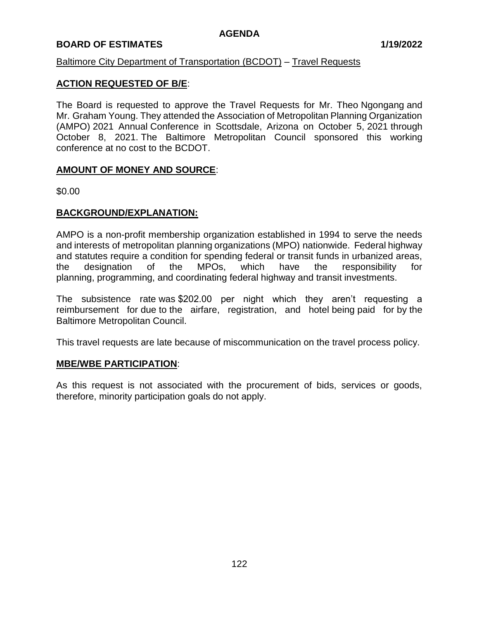# **BOARD OF ESTIMATES 1/19/2022**

# Baltimore City Department of Transportation (BCDOT) – Travel Requests

# **ACTION REQUESTED OF B/E**:

The Board is requested to approve the Travel Requests for Mr. Theo Ngongang and Mr. Graham Young. They attended the Association of Metropolitan Planning Organization (AMPO) 2021 Annual Conference in Scottsdale, Arizona on October 5, 2021 through October 8, 2021. The Baltimore Metropolitan Council sponsored this working conference at no cost to the BCDOT.

#### **AMOUNT OF MONEY AND SOURCE**:

\$0.00

#### **BACKGROUND/EXPLANATION:**

AMPO is a non-profit membership organization established in 1994 to serve the needs and interests of metropolitan planning organizations (MPO) nationwide. Federal highway and statutes require a condition for spending federal or transit funds in urbanized areas, the designation of the MPOs, which have the responsibility for planning, programming, and coordinating federal highway and transit investments.

The subsistence rate was \$202.00 per night which they aren't requesting a reimbursement for due to the airfare, registration, and hotel being paid for by the Baltimore Metropolitan Council.

This travel requests are late because of miscommunication on the travel process policy.

#### **MBE/WBE PARTICIPATION**:

As this request is not associated with the procurement of bids, services or goods, therefore, minority participation goals do not apply.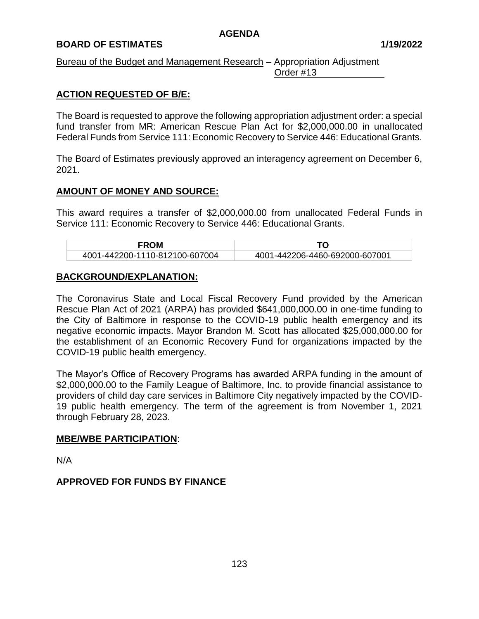# **BOARD OF ESTIMATES 1/19/2022**

Bureau of the Budget and Management Research – Appropriation Adjustment Order #13

# **ACTION REQUESTED OF B/E:**

The Board is requested to approve the following appropriation adjustment order: a special fund transfer from MR: American Rescue Plan Act for \$2,000,000.00 in unallocated Federal Funds from Service 111: Economic Recovery to Service 446: Educational Grants.

The Board of Estimates previously approved an interagency agreement on December 6, 2021.

# **AMOUNT OF MONEY AND SOURCE:**

This award requires a transfer of \$2,000,000.00 from unallocated Federal Funds in Service 111: Economic Recovery to Service 446: Educational Grants.

| <b>FROM</b>                    |                                |
|--------------------------------|--------------------------------|
| 4001-442200-1110-812100-607004 | 4001-442206-4460-692000-607001 |

# **BACKGROUND/EXPLANATION:**

The Coronavirus State and Local Fiscal Recovery Fund provided by the American Rescue Plan Act of 2021 (ARPA) has provided \$641,000,000.00 in one-time funding to the City of Baltimore in response to the COVID-19 public health emergency and its negative economic impacts. Mayor Brandon M. Scott has allocated \$25,000,000.00 for the establishment of an Economic Recovery Fund for organizations impacted by the COVID-19 public health emergency.

The Mayor's Office of Recovery Programs has awarded ARPA funding in the amount of \$2,000,000.00 to the Family League of Baltimore, Inc. to provide financial assistance to providers of child day care services in Baltimore City negatively impacted by the COVID-19 public health emergency. The term of the agreement is from November 1, 2021 through February 28, 2023.

#### **MBE/WBE PARTICIPATION**:

N/A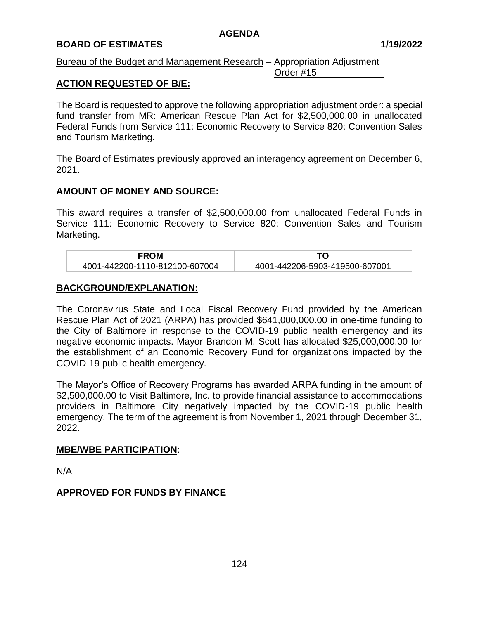#### **BOARD OF ESTIMATES 1/19/2022**

#### Bureau of the Budget and Management Research – Appropriation Adjustment Order #15

# **ACTION REQUESTED OF B/E:**

The Board is requested to approve the following appropriation adjustment order: a special fund transfer from MR: American Rescue Plan Act for \$2,500,000.00 in unallocated Federal Funds from Service 111: Economic Recovery to Service 820: Convention Sales and Tourism Marketing.

The Board of Estimates previously approved an interagency agreement on December 6, 2021.

#### **AMOUNT OF MONEY AND SOURCE:**

This award requires a transfer of \$2,500,000.00 from unallocated Federal Funds in Service 111: Economic Recovery to Service 820: Convention Sales and Tourism Marketing.

| <b>FROM</b>                    |                                |  |
|--------------------------------|--------------------------------|--|
| 4001-442200-1110-812100-607004 | 4001-442206-5903-419500-607001 |  |

#### **BACKGROUND/EXPLANATION:**

The Coronavirus State and Local Fiscal Recovery Fund provided by the American Rescue Plan Act of 2021 (ARPA) has provided \$641,000,000.00 in one-time funding to the City of Baltimore in response to the COVID-19 public health emergency and its negative economic impacts. Mayor Brandon M. Scott has allocated \$25,000,000.00 for the establishment of an Economic Recovery Fund for organizations impacted by the COVID-19 public health emergency.

The Mayor's Office of Recovery Programs has awarded ARPA funding in the amount of \$2,500,000.00 to Visit Baltimore, Inc. to provide financial assistance to accommodations providers in Baltimore City negatively impacted by the COVID-19 public health emergency. The term of the agreement is from November 1, 2021 through December 31, 2022.

#### **MBE/WBE PARTICIPATION**:

N/A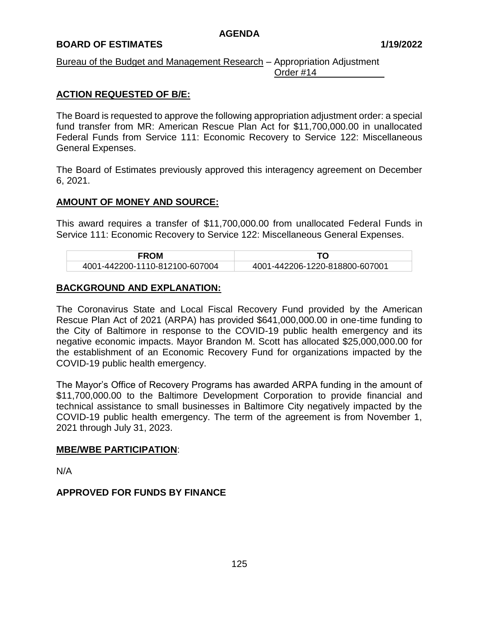# **BOARD OF ESTIMATES 1/19/2022**

#### Bureau of the Budget and Management Research – Appropriation Adjustment Order #14

# **ACTION REQUESTED OF B/E:**

The Board is requested to approve the following appropriation adjustment order: a special fund transfer from MR: American Rescue Plan Act for \$11,700,000.00 in unallocated Federal Funds from Service 111: Economic Recovery to Service 122: Miscellaneous General Expenses.

The Board of Estimates previously approved this interagency agreement on December 6, 2021.

# **AMOUNT OF MONEY AND SOURCE:**

This award requires a transfer of \$11,700,000.00 from unallocated Federal Funds in Service 111: Economic Recovery to Service 122: Miscellaneous General Expenses.

| <b>FROM</b>                    |                                |  |
|--------------------------------|--------------------------------|--|
| 4001-442200-1110-812100-607004 | 4001-442206-1220-818800-607001 |  |

#### **BACKGROUND AND EXPLANATION:**

The Coronavirus State and Local Fiscal Recovery Fund provided by the American Rescue Plan Act of 2021 (ARPA) has provided \$641,000,000.00 in one-time funding to the City of Baltimore in response to the COVID-19 public health emergency and its negative economic impacts. Mayor Brandon M. Scott has allocated \$25,000,000.00 for the establishment of an Economic Recovery Fund for organizations impacted by the COVID-19 public health emergency.

The Mayor's Office of Recovery Programs has awarded ARPA funding in the amount of \$11,700,000.00 to the Baltimore Development Corporation to provide financial and technical assistance to small businesses in Baltimore City negatively impacted by the COVID-19 public health emergency. The term of the agreement is from November 1, 2021 through July 31, 2023.

#### **MBE/WBE PARTICIPATION**:

N/A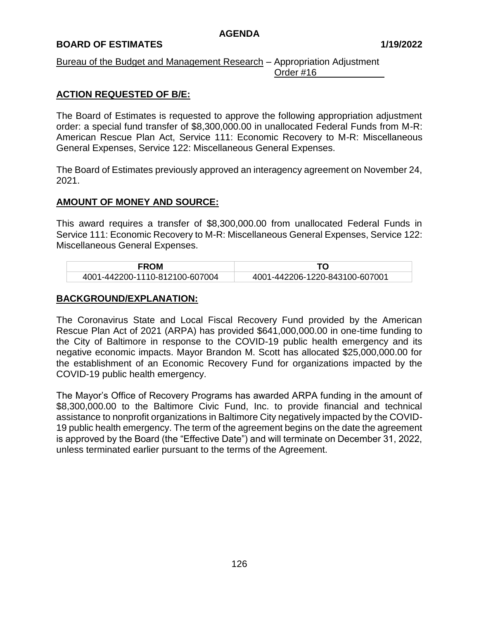# **BOARD OF ESTIMATES 1/19/2022**

#### Bureau of the Budget and Management Research – Appropriation Adjustment Order #16

# **ACTION REQUESTED OF B/E:**

The Board of Estimates is requested to approve the following appropriation adjustment order: a special fund transfer of \$8,300,000.00 in unallocated Federal Funds from M-R: American Rescue Plan Act, Service 111: Economic Recovery to M-R: Miscellaneous General Expenses, Service 122: Miscellaneous General Expenses.

The Board of Estimates previously approved an interagency agreement on November 24, 2021.

# **AMOUNT OF MONEY AND SOURCE:**

This award requires a transfer of \$8,300,000.00 from unallocated Federal Funds in Service 111: Economic Recovery to M-R: Miscellaneous General Expenses, Service 122: Miscellaneous General Expenses.

| <b>FROM</b>                    |                                |  |
|--------------------------------|--------------------------------|--|
| 4001-442200-1110-812100-607004 | 4001-442206-1220-843100-607001 |  |

# **BACKGROUND/EXPLANATION:**

The Coronavirus State and Local Fiscal Recovery Fund provided by the American Rescue Plan Act of 2021 (ARPA) has provided \$641,000,000.00 in one-time funding to the City of Baltimore in response to the COVID-19 public health emergency and its negative economic impacts. Mayor Brandon M. Scott has allocated \$25,000,000.00 for the establishment of an Economic Recovery Fund for organizations impacted by the COVID-19 public health emergency.

The Mayor's Office of Recovery Programs has awarded ARPA funding in the amount of \$8,300,000.00 to the Baltimore Civic Fund, Inc. to provide financial and technical assistance to nonprofit organizations in Baltimore City negatively impacted by the COVID-19 public health emergency. The term of the agreement begins on the date the agreement is approved by the Board (the "Effective Date") and will terminate on December 31, 2022, unless terminated earlier pursuant to the terms of the Agreement.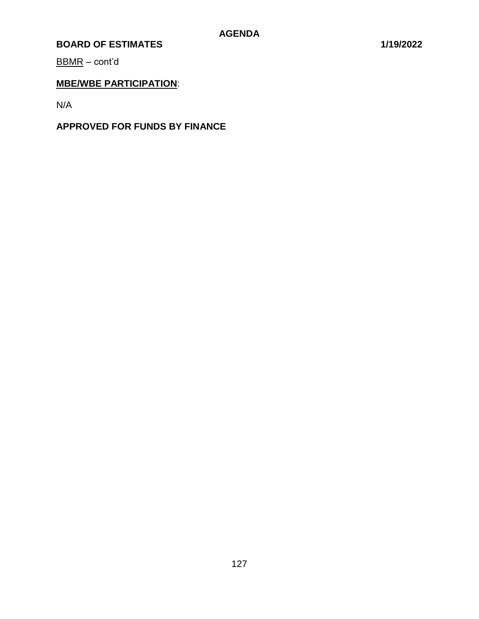BBMR – cont'd

# **MBE/WBE PARTICIPATION**:

N/A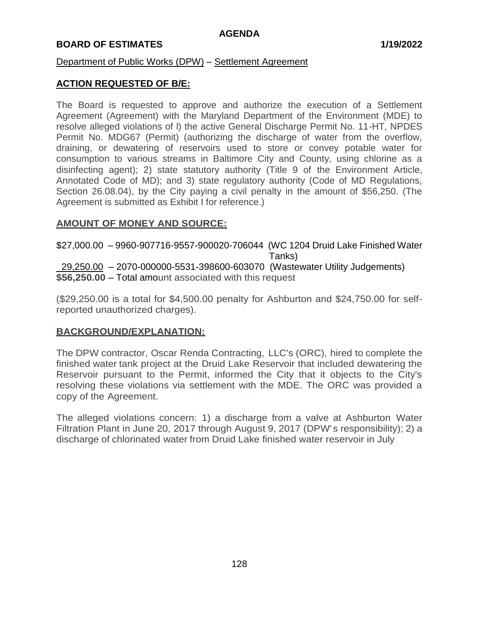#### **BOARD OF ESTIMATES 1/19/2022**

#### Department of Public Works (DPW) – Settlement Agreement

### **ACTION REQUESTED OF B/E:**

The Board is requested to approve and authorize the execution of a Settlement Agreement (Agreement) with the Maryland Department of the Environment (MDE) to resolve alleged violations of l) the active General Discharge Permit No. 11-HT, NPDES Permit No. MDG67 (Permit) (authorizing the discharge of water from the overflow, draining, or dewatering of reservoirs used to store or convey potable water for consumption to various streams in Baltimore City and County, using chlorine as a disinfecting agent); 2) state statutory authority (Title 9 of the Environment Article, Annotated Code of MD); and 3) state regulatory authority (Code of MD Regulations, Section 26.08.04), by the City paying a civil penalty in the amount of \$56,250. (The Agreement is submitted as Exhibit I for reference.)

#### **AMOUNT OF MONEY AND SOURCE:**

\$27,000.00 – 9960-907716-9557-900020-706044 (WC 1204 Druid Lake Finished Water Tanks) 29,250.00 – 2070-000000-5531-398600-603070 (Wastewater Utility Judgements) **\$56,250.00** – Total amount associated with this request

(\$29,250.00 is a total for \$4,500.00 penalty for Ashburton and \$24,750.00 for selfreported unauthorized charges).

# **BACKGROUND/EXPLANATION:**

The DPW contractor, Oscar Renda Contracting, LLC's (ORC), hired to complete the finished water tank project at the Druid Lake Reservoir that included dewatering the Reservoir pursuant to the Permit, informed the City that it objects to the City's resolving these violations via settlement with the MDE. The ORC was provided a copy of the Agreement.

The alleged violations concern: 1) a discharge from a valve at Ashburton Water Filtration Plant in June 20, 2017 through August 9, 2017 (DPW's responsibility); 2) a discharge of chlorinated water from Druid Lake finished water reservoir in July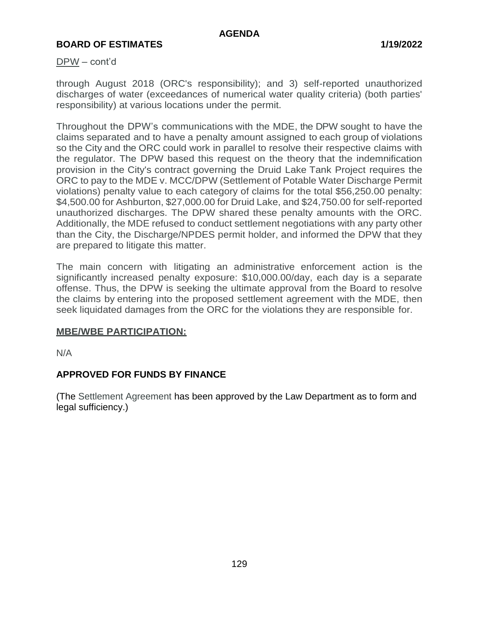#### DPW – cont'd

through August 2018 (ORC's responsibility); and 3) self-reported unauthorized discharges of water (exceedances of numerical water quality criteria) (both parties' responsibility) at various locations under the permit.

Throughout the DPW's communications with the MDE, the DPW sought to have the claims separated and to have a penalty amount assigned to each group of violations so the City and the ORC could work in parallel to resolve their respective claims with the regulator. The DPW based this request on the theory that the indemnification provision in the City's contract governing the Druid Lake Tank Project requires the ORC to pay to the MDE v. MCC/DPW (Settlement of Potable Water Discharge Permit violations) penalty value to each category of claims for the total \$56,250.00 penalty: \$4,500.00 for Ashburton, \$27,000.00 for Druid Lake, and \$24,750.00 for self-reported unauthorized discharges. The DPW shared these penalty amounts with the ORC. Additionally, the MDE refused to conduct settlement negotiations with any party other than the City, the Discharge/NPDES permit holder, and informed the DPW that they are prepared to litigate this matter.

The main concern with litigating an administrative enforcement action is the significantly increased penalty exposure: \$10,000.00/day, each day is a separate offense. Thus, the DPW is seeking the ultimate approval from the Board to resolve the claims by entering into the proposed settlement agreement with the MDE, then seek liquidated damages from the ORC for the violations they are responsible for.

#### **MBE/WBE PARTICIPATION:**

N/A

# **APPROVED FOR FUNDS BY FINANCE**

(The Settlement Agreement has been approved by the Law Department as to form and legal sufficiency.)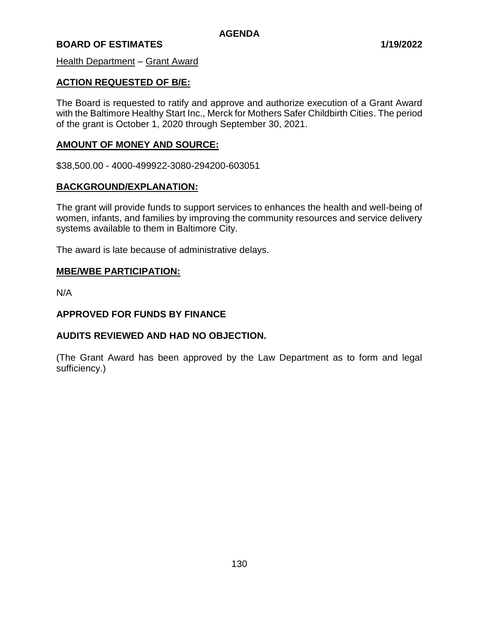Health Department – Grant Award

# **ACTION REQUESTED OF B/E:**

The Board is requested to ratify and approve and authorize execution of a Grant Award with the Baltimore Healthy Start Inc., Merck for Mothers Safer Childbirth Cities. The period of the grant is October 1, 2020 through September 30, 2021.

#### **AMOUNT OF MONEY AND SOURCE:**

\$38,500.00 - 4000-499922-3080-294200-603051

# **BACKGROUND/EXPLANATION:**

The grant will provide funds to support services to enhances the health and well-being of women, infants, and families by improving the community resources and service delivery systems available to them in Baltimore City.

The award is late because of administrative delays.

# **MBE/WBE PARTICIPATION:**

N/A

### **APPROVED FOR FUNDS BY FINANCE**

# **AUDITS REVIEWED AND HAD NO OBJECTION.**

(The Grant Award has been approved by the Law Department as to form and legal sufficiency.)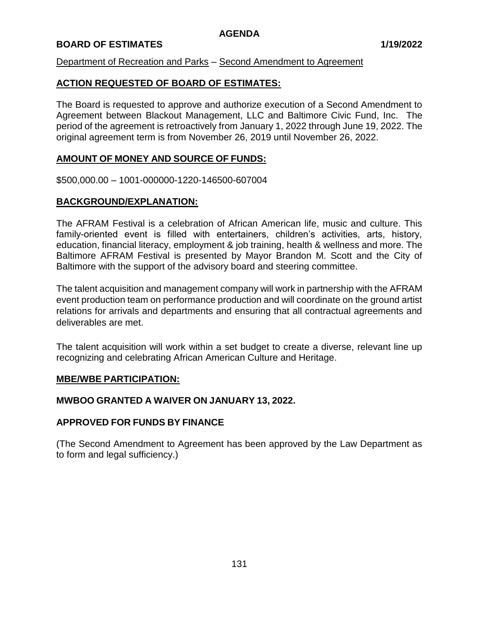# **BOARD OF ESTIMATES 1/19/2022**

### Department of Recreation and Parks – Second Amendment to Agreement

# **ACTION REQUESTED OF BOARD OF ESTIMATES:**

The Board is requested to approve and authorize execution of a Second Amendment to Agreement between Blackout Management, LLC and Baltimore Civic Fund, Inc. The period of the agreement is retroactively from January 1, 2022 through June 19, 2022. The original agreement term is from November 26, 2019 until November 26, 2022.

# **AMOUNT OF MONEY AND SOURCE OF FUNDS:**

\$500,000.00 – 1001-000000-1220-146500-607004

# **BACKGROUND/EXPLANATION:**

The AFRAM Festival is a celebration of African American life, music and culture. This family-oriented event is filled with entertainers, children's activities, arts, history, education, financial literacy, employment & job training, health & wellness and more. The Baltimore AFRAM Festival is presented by Mayor Brandon M. Scott and the City of Baltimore with the support of the advisory board and steering committee.

The talent acquisition and management company will work in partnership with the AFRAM event production team on performance production and will coordinate on the ground artist relations for arrivals and departments and ensuring that all contractual agreements and deliverables are met.

The talent acquisition will work within a set budget to create a diverse, relevant line up recognizing and celebrating African American Culture and Heritage.

#### **MBE/WBE PARTICIPATION:**

#### **MWBOO GRANTED A WAIVER ON JANUARY 13, 2022.**

#### **APPROVED FOR FUNDS BY FINANCE**

(The Second Amendment to Agreement has been approved by the Law Department as to form and legal sufficiency.)